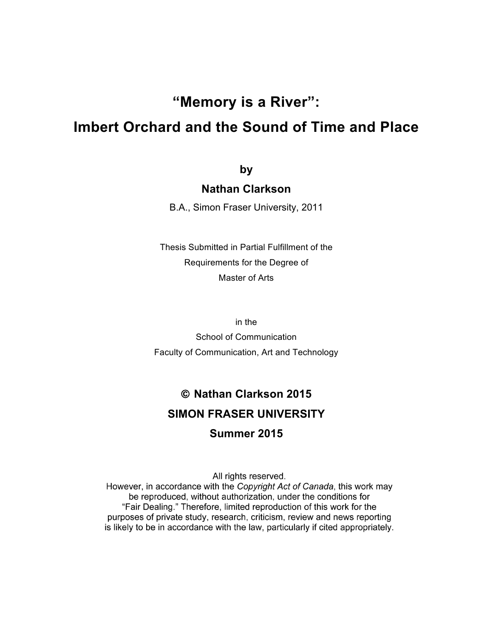# **"Memory is a River":**

# **Imbert Orchard and the Sound of Time and Place**

**by**

#### **Nathan Clarkson**

B.A., Simon Fraser University, 2011

Thesis Submitted in Partial Fulfillment of the Requirements for the Degree of Master of Arts

in the

School of Communication Faculty of Communication, Art and Technology

# ! **Nathan Clarkson 2015 SIMON FRASER UNIVERSITY**

#### **Summer 2015**

All rights reserved.

However, in accordance with the Copyright Act of Canada, this work may be reproduced, without authorization, under the conditions for "Fair Dealing." Therefore, limited reproduction of this work for the purposes of private study, research, criticism, review and news reporting is likely to be in accordance with the law, particularly if cited appropriately.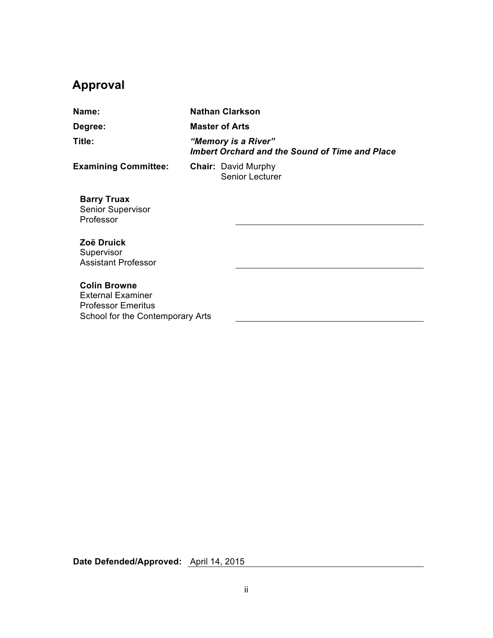# **Approval**

| Name:                                                                                                            |                                                                       | <b>Nathan Clarkson</b>                               |  |
|------------------------------------------------------------------------------------------------------------------|-----------------------------------------------------------------------|------------------------------------------------------|--|
| Degree:                                                                                                          | <b>Master of Arts</b>                                                 |                                                      |  |
| Title:                                                                                                           | "Memory is a River"<br>Imbert Orchard and the Sound of Time and Place |                                                      |  |
| <b>Examining Committee:</b>                                                                                      |                                                                       | <b>Chair: David Murphy</b><br><b>Senior Lecturer</b> |  |
| <b>Barry Truax</b><br><b>Senior Supervisor</b><br>Professor                                                      |                                                                       |                                                      |  |
| Zoë Druick<br>Supervisor<br><b>Assistant Professor</b>                                                           |                                                                       |                                                      |  |
| <b>Colin Browne</b><br><b>External Examiner</b><br><b>Professor Emeritus</b><br>School for the Contemporary Arts |                                                                       |                                                      |  |

**Date Defended/Approved:** April 14, 2015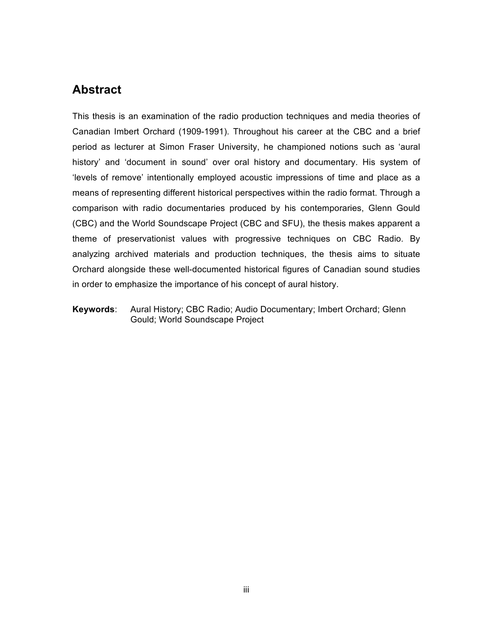## **Abstract**

This thesis is an examination of the radio production techniques and media theories of Canadian Imbert Orchard (1909-1991). Throughout his career at the CBC and a brief period as lecturer at Simon Fraser University, he championed notions such as 'aural history' and 'document in sound' over oral history and documentary. His system of 'levels of remove' intentionally employed acoustic impressions of time and place as a means of representing different historical perspectives within the radio format. Through a comparison with radio documentaries produced by his contemporaries, Glenn Gould (CBC) and the World Soundscape Project (CBC and SFU), the thesis makes apparent a theme of preservationist values with progressive techniques on CBC Radio. By analyzing archived materials and production techniques, the thesis aims to situate Orchard alongside these well-documented historical figures of Canadian sound studies in order to emphasize the importance of his concept of aural history.

**Keywords**: Aural History; CBC Radio; Audio Documentary; Imbert Orchard; Glenn Gould; World Soundscape Project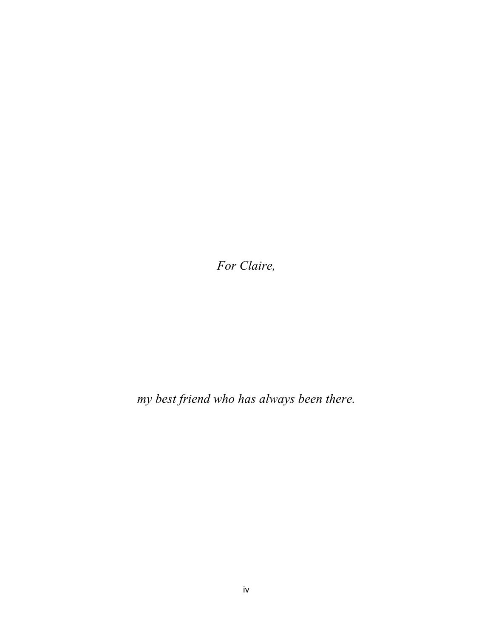*For Claire,* 

*my best friend who has always been there.*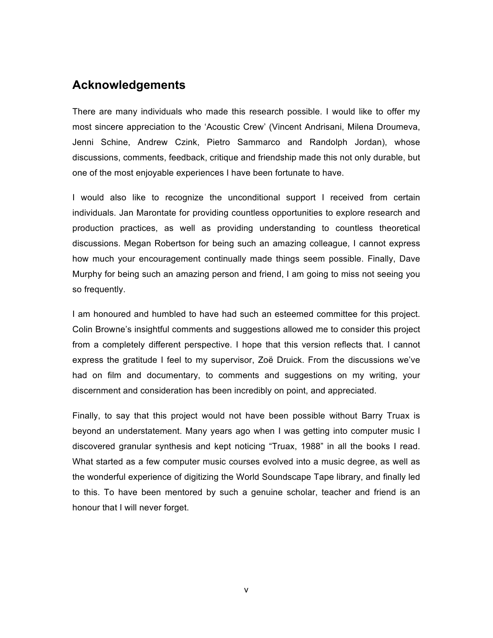#### **Acknowledgements**

There are many individuals who made this research possible. I would like to offer my most sincere appreciation to the 'Acoustic Crew' (Vincent Andrisani, Milena Droumeva, Jenni Schine, Andrew Czink, Pietro Sammarco and Randolph Jordan), whose discussions, comments, feedback, critique and friendship made this not only durable, but one of the most enjoyable experiences I have been fortunate to have.

I would also like to recognize the unconditional support I received from certain individuals. Jan Marontate for providing countless opportunities to explore research and production practices, as well as providing understanding to countless theoretical discussions. Megan Robertson for being such an amazing colleague, I cannot express how much your encouragement continually made things seem possible. Finally, Dave Murphy for being such an amazing person and friend, I am going to miss not seeing you so frequently.

I am honoured and humbled to have had such an esteemed committee for this project. Colin Browne's insightful comments and suggestions allowed me to consider this project from a completely different perspective. I hope that this version reflects that. I cannot express the gratitude I feel to my supervisor, Zoë Druick. From the discussions we've had on film and documentary, to comments and suggestions on my writing, your discernment and consideration has been incredibly on point, and appreciated.

Finally, to say that this project would not have been possible without Barry Truax is beyond an understatement. Many years ago when I was getting into computer music I discovered granular synthesis and kept noticing "Truax, 1988" in all the books I read. What started as a few computer music courses evolved into a music degree, as well as the wonderful experience of digitizing the World Soundscape Tape library, and finally led to this. To have been mentored by such a genuine scholar, teacher and friend is an honour that I will never forget.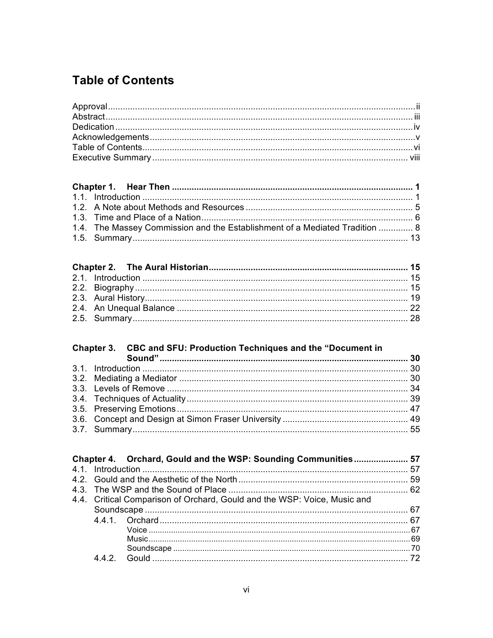# **Table of Contents**

| 1.4. The Massey Commission and the Establishment of a Mediated Tradition  8 |  |
|-----------------------------------------------------------------------------|--|
|                                                                             |  |

# 

|     | Chapter 4. Orchard, Gould and the WSP: Sounding Communities 57           |  |
|-----|--------------------------------------------------------------------------|--|
|     |                                                                          |  |
|     |                                                                          |  |
|     |                                                                          |  |
|     | 4.4. Critical Comparison of Orchard, Gould and the WSP: Voice, Music and |  |
|     |                                                                          |  |
|     |                                                                          |  |
|     |                                                                          |  |
|     |                                                                          |  |
|     |                                                                          |  |
| 442 |                                                                          |  |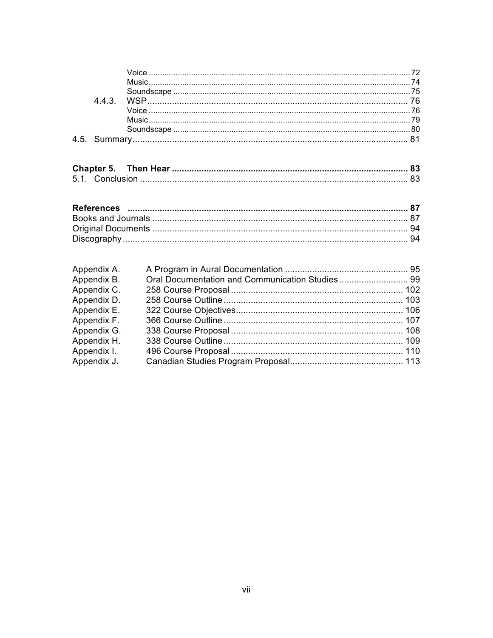| Appendix A. |  |
|-------------|--|
| Appendix B. |  |
| Appendix C. |  |
| Appendix D. |  |
| Appendix E. |  |
| Appendix F. |  |
| Appendix G. |  |
| Appendix H. |  |
| Appendix I. |  |
| Appendix J. |  |
|             |  |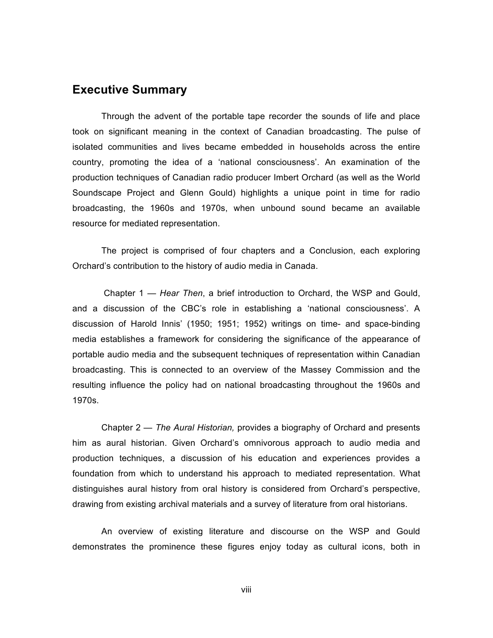#### **Executive Summary**

Through the advent of the portable tape recorder the sounds of life and place took on significant meaning in the context of Canadian broadcasting. The pulse of isolated communities and lives became embedded in households across the entire country, promoting the idea of a 'national consciousness'. An examination of the production techniques of Canadian radio producer Imbert Orchard (as well as the World Soundscape Project and Glenn Gould) highlights a unique point in time for radio broadcasting, the 1960s and 1970s, when unbound sound became an available resource for mediated representation.

The project is comprised of four chapters and a Conclusion, each exploring Orchard's contribution to the history of audio media in Canada.

Chapter 1 — *Hear Then*, a brief introduction to Orchard, the WSP and Gould, and a discussion of the CBC's role in establishing a 'national consciousness'. A discussion of Harold Innis' (1950; 1951; 1952) writings on time- and space-binding media establishes a framework for considering the significance of the appearance of portable audio media and the subsequent techniques of representation within Canadian broadcasting. This is connected to an overview of the Massey Commission and the resulting influence the policy had on national broadcasting throughout the 1960s and 1970s.

Chapter 2 *— The Aural Historian,* provides a biography of Orchard and presents him as aural historian. Given Orchard's omnivorous approach to audio media and production techniques, a discussion of his education and experiences provides a foundation from which to understand his approach to mediated representation. What distinguishes aural history from oral history is considered from Orchard's perspective, drawing from existing archival materials and a survey of literature from oral historians.

An overview of existing literature and discourse on the WSP and Gould demonstrates the prominence these figures enjoy today as cultural icons, both in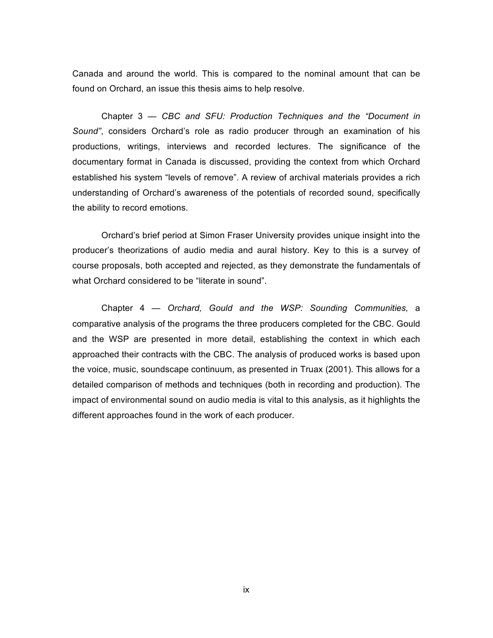Canada and around the world. This is compared to the nominal amount that can be found on Orchard, an issue this thesis aims to help resolve.

Chapter 3 — *CBC and SFU: Production Techniques and the "Document in Sound"*, considers Orchard's role as radio producer through an examination of his productions, writings, interviews and recorded lectures. The significance of the documentary format in Canada is discussed, providing the context from which Orchard established his system "levels of remove". A review of archival materials provides a rich understanding of Orchard's awareness of the potentials of recorded sound, specifically the ability to record emotions.

Orchard's brief period at Simon Fraser University provides unique insight into the producer's theorizations of audio media and aural history. Key to this is a survey of course proposals, both accepted and rejected, as they demonstrate the fundamentals of what Orchard considered to be "literate in sound".

Chapter 4 — *Orchard, Gould and the WSP: Sounding Communities,* a comparative analysis of the programs the three producers completed for the CBC. Gould and the WSP are presented in more detail, establishing the context in which each approached their contracts with the CBC. The analysis of produced works is based upon the voice, music, soundscape continuum, as presented in Truax (2001). This allows for a detailed comparison of methods and techniques (both in recording and production). The impact of environmental sound on audio media is vital to this analysis, as it highlights the different approaches found in the work of each producer.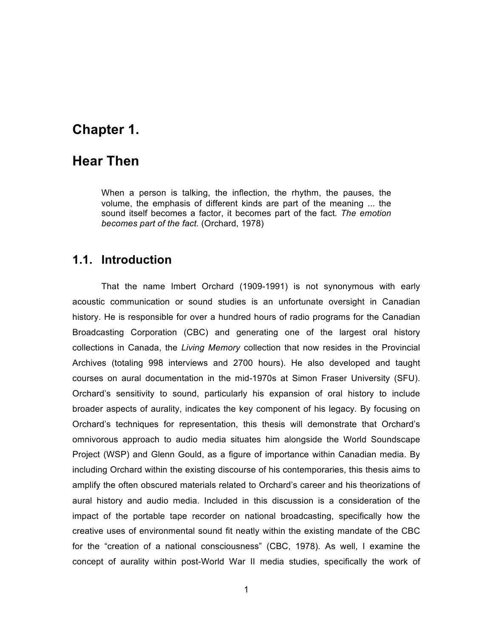## **Chapter 1.**

#### **Hear Then**

When a person is talking, the inflection, the rhythm, the pauses, the volume, the emphasis of different kinds are part of the meaning ... the sound itself becomes a factor, it becomes part of the fact. *The emotion becomes part of the fact.* (Orchard, 1978)

#### **1.1. Introduction**

That the name Imbert Orchard (1909-1991) is not synonymous with early acoustic communication or sound studies is an unfortunate oversight in Canadian history. He is responsible for over a hundred hours of radio programs for the Canadian Broadcasting Corporation (CBC) and generating one of the largest oral history collections in Canada, the *Living Memory* collection that now resides in the Provincial Archives (totaling 998 interviews and 2700 hours). He also developed and taught courses on aural documentation in the mid-1970s at Simon Fraser University (SFU). Orchard's sensitivity to sound, particularly his expansion of oral history to include broader aspects of aurality, indicates the key component of his legacy*.* By focusing on Orchard's techniques for representation, this thesis will demonstrate that Orchard's omnivorous approach to audio media situates him alongside the World Soundscape Project (WSP) and Glenn Gould, as a figure of importance within Canadian media. By including Orchard within the existing discourse of his contemporaries, this thesis aims to amplify the often obscured materials related to Orchard's career and his theorizations of aural history and audio media. Included in this discussion is a consideration of the impact of the portable tape recorder on national broadcasting, specifically how the creative uses of environmental sound fit neatly within the existing mandate of the CBC for the "creation of a national consciousness" (CBC, 1978). As well, I examine the concept of aurality within post-World War II media studies, specifically the work of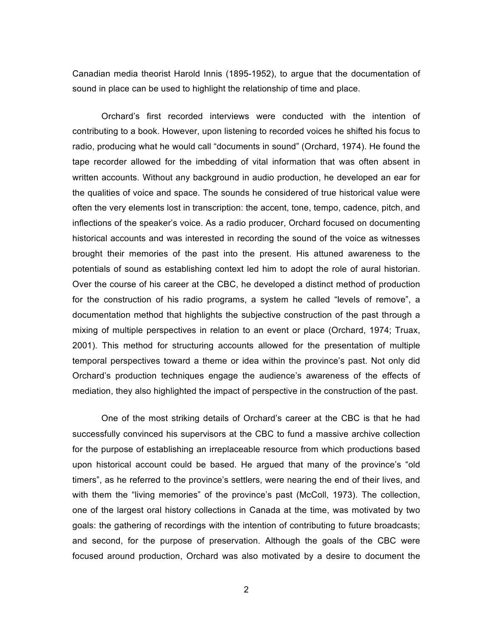Canadian media theorist Harold Innis (1895-1952), to argue that the documentation of sound in place can be used to highlight the relationship of time and place.

Orchard's first recorded interviews were conducted with the intention of contributing to a book. However, upon listening to recorded voices he shifted his focus to radio, producing what he would call "documents in sound" (Orchard, 1974). He found the tape recorder allowed for the imbedding of vital information that was often absent in written accounts. Without any background in audio production, he developed an ear for the qualities of voice and space. The sounds he considered of true historical value were often the very elements lost in transcription: the accent, tone, tempo, cadence, pitch, and inflections of the speaker's voice. As a radio producer, Orchard focused on documenting historical accounts and was interested in recording the sound of the voice as witnesses brought their memories of the past into the present. His attuned awareness to the potentials of sound as establishing context led him to adopt the role of aural historian. Over the course of his career at the CBC, he developed a distinct method of production for the construction of his radio programs, a system he called "levels of remove", a documentation method that highlights the subjective construction of the past through a mixing of multiple perspectives in relation to an event or place (Orchard, 1974; Truax, 2001). This method for structuring accounts allowed for the presentation of multiple temporal perspectives toward a theme or idea within the province's past. Not only did Orchard's production techniques engage the audience's awareness of the effects of mediation, they also highlighted the impact of perspective in the construction of the past.

One of the most striking details of Orchard's career at the CBC is that he had successfully convinced his supervisors at the CBC to fund a massive archive collection for the purpose of establishing an irreplaceable resource from which productions based upon historical account could be based. He argued that many of the province's "old timers", as he referred to the province's settlers, were nearing the end of their lives, and with them the "living memories" of the province's past (McColl, 1973). The collection, one of the largest oral history collections in Canada at the time, was motivated by two goals: the gathering of recordings with the intention of contributing to future broadcasts; and second, for the purpose of preservation. Although the goals of the CBC were focused around production, Orchard was also motivated by a desire to document the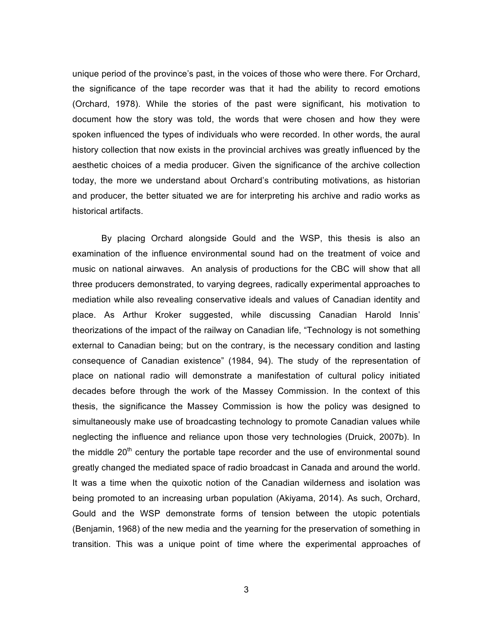unique period of the province's past, in the voices of those who were there. For Orchard, the significance of the tape recorder was that it had the ability to record emotions (Orchard, 1978). While the stories of the past were significant, his motivation to document how the story was told, the words that were chosen and how they were spoken influenced the types of individuals who were recorded. In other words, the aural history collection that now exists in the provincial archives was greatly influenced by the aesthetic choices of a media producer. Given the significance of the archive collection today, the more we understand about Orchard's contributing motivations, as historian and producer, the better situated we are for interpreting his archive and radio works as historical artifacts.

By placing Orchard alongside Gould and the WSP, this thesis is also an examination of the influence environmental sound had on the treatment of voice and music on national airwaves. An analysis of productions for the CBC will show that all three producers demonstrated, to varying degrees, radically experimental approaches to mediation while also revealing conservative ideals and values of Canadian identity and place. As Arthur Kroker suggested, while discussing Canadian Harold Innis' theorizations of the impact of the railway on Canadian life, "Technology is not something external to Canadian being; but on the contrary, is the necessary condition and lasting consequence of Canadian existence" (1984, 94). The study of the representation of place on national radio will demonstrate a manifestation of cultural policy initiated decades before through the work of the Massey Commission. In the context of this thesis, the significance the Massey Commission is how the policy was designed to simultaneously make use of broadcasting technology to promote Canadian values while neglecting the influence and reliance upon those very technologies (Druick, 2007b). In the middle  $20<sup>th</sup>$  century the portable tape recorder and the use of environmental sound greatly changed the mediated space of radio broadcast in Canada and around the world. It was a time when the quixotic notion of the Canadian wilderness and isolation was being promoted to an increasing urban population (Akiyama, 2014). As such, Orchard, Gould and the WSP demonstrate forms of tension between the utopic potentials (Benjamin, 1968) of the new media and the yearning for the preservation of something in transition. This was a unique point of time where the experimental approaches of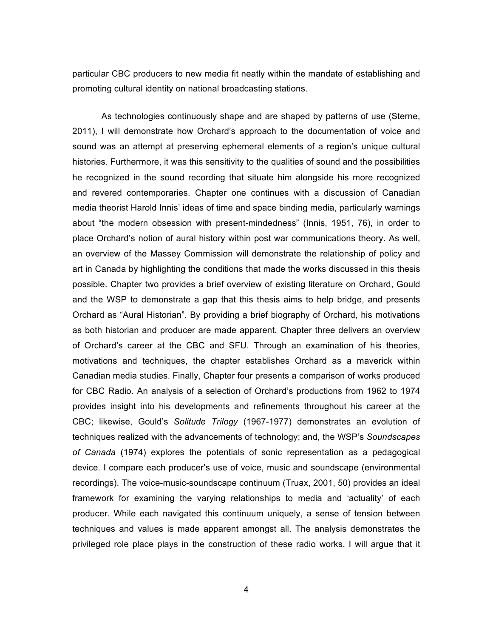particular CBC producers to new media fit neatly within the mandate of establishing and promoting cultural identity on national broadcasting stations.

As technologies continuously shape and are shaped by patterns of use (Sterne, 2011), I will demonstrate how Orchard's approach to the documentation of voice and sound was an attempt at preserving ephemeral elements of a region's unique cultural histories. Furthermore, it was this sensitivity to the qualities of sound and the possibilities he recognized in the sound recording that situate him alongside his more recognized and revered contemporaries. Chapter one continues with a discussion of Canadian media theorist Harold Innis' ideas of time and space binding media, particularly warnings about "the modern obsession with present-mindedness" (Innis, 1951, 76), in order to place Orchard's notion of aural history within post war communications theory. As well, an overview of the Massey Commission will demonstrate the relationship of policy and art in Canada by highlighting the conditions that made the works discussed in this thesis possible. Chapter two provides a brief overview of existing literature on Orchard, Gould and the WSP to demonstrate a gap that this thesis aims to help bridge, and presents Orchard as "Aural Historian". By providing a brief biography of Orchard, his motivations as both historian and producer are made apparent. Chapter three delivers an overview of Orchard's career at the CBC and SFU. Through an examination of his theories, motivations and techniques, the chapter establishes Orchard as a maverick within Canadian media studies. Finally, Chapter four presents a comparison of works produced for CBC Radio. An analysis of a selection of Orchard's productions from 1962 to 1974 provides insight into his developments and refinements throughout his career at the CBC; likewise, Gould's *Solitude Trilogy* (1967-1977) demonstrates an evolution of techniques realized with the advancements of technology; and, the WSP's *Soundscapes of Canada* (1974) explores the potentials of sonic representation as a pedagogical device. I compare each producer's use of voice, music and soundscape (environmental recordings). The voice-music-soundscape continuum (Truax, 2001, 50) provides an ideal framework for examining the varying relationships to media and 'actuality' of each producer. While each navigated this continuum uniquely, a sense of tension between techniques and values is made apparent amongst all. The analysis demonstrates the privileged role place plays in the construction of these radio works. I will argue that it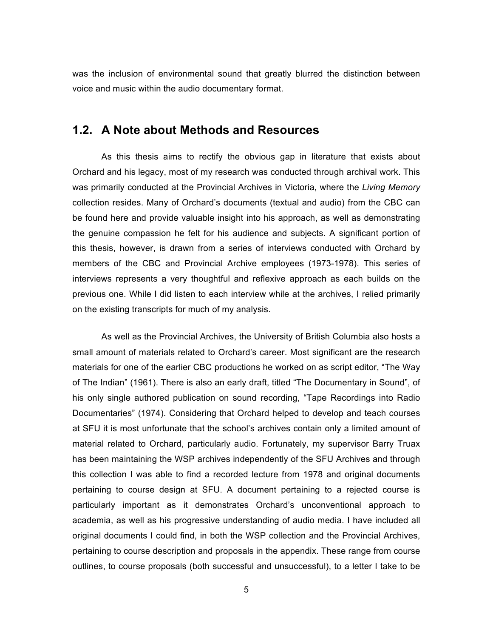was the inclusion of environmental sound that greatly blurred the distinction between voice and music within the audio documentary format.

#### **1.2. A Note about Methods and Resources**

As this thesis aims to rectify the obvious gap in literature that exists about Orchard and his legacy, most of my research was conducted through archival work. This was primarily conducted at the Provincial Archives in Victoria, where the *Living Memory* collection resides. Many of Orchard's documents (textual and audio) from the CBC can be found here and provide valuable insight into his approach, as well as demonstrating the genuine compassion he felt for his audience and subjects. A significant portion of this thesis, however, is drawn from a series of interviews conducted with Orchard by members of the CBC and Provincial Archive employees (1973-1978). This series of interviews represents a very thoughtful and reflexive approach as each builds on the previous one. While I did listen to each interview while at the archives, I relied primarily on the existing transcripts for much of my analysis.

As well as the Provincial Archives, the University of British Columbia also hosts a small amount of materials related to Orchard's career. Most significant are the research materials for one of the earlier CBC productions he worked on as script editor, "The Way of The Indian" (1961). There is also an early draft, titled "The Documentary in Sound", of his only single authored publication on sound recording, "Tape Recordings into Radio Documentaries" (1974). Considering that Orchard helped to develop and teach courses at SFU it is most unfortunate that the school's archives contain only a limited amount of material related to Orchard, particularly audio. Fortunately, my supervisor Barry Truax has been maintaining the WSP archives independently of the SFU Archives and through this collection I was able to find a recorded lecture from 1978 and original documents pertaining to course design at SFU. A document pertaining to a rejected course is particularly important as it demonstrates Orchard's unconventional approach to academia, as well as his progressive understanding of audio media. I have included all original documents I could find, in both the WSP collection and the Provincial Archives, pertaining to course description and proposals in the appendix. These range from course outlines, to course proposals (both successful and unsuccessful), to a letter I take to be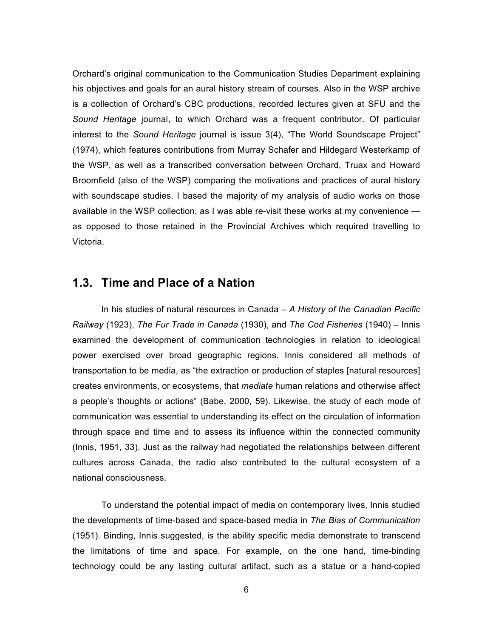Orchard's original communication to the Communication Studies Department explaining his objectives and goals for an aural history stream of courses. Also in the WSP archive is a collection of Orchard's CBC productions, recorded lectures given at SFU and the *Sound Heritage* journal, to which Orchard was a frequent contributor. Of particular interest to the *Sound Heritage* journal is issue 3(4), "The World Soundscape Project" (1974), which features contributions from Murray Schafer and Hildegard Westerkamp of the WSP, as well as a transcribed conversation between Orchard, Truax and Howard Broomfield (also of the WSP) comparing the motivations and practices of aural history with soundscape studies. I based the majority of my analysis of audio works on those available in the WSP collection, as I was able re-visit these works at my convenience as opposed to those retained in the Provincial Archives which required travelling to Victoria.

#### **1.3. Time and Place of a Nation**

In his studies of natural resources in Canada – *A History of the Canadian Pacific Railway* (1923), *The Fur Trade in Canada* (1930), and *The Cod Fisheries* (1940) – Innis examined the development of communication technologies in relation to ideological power exercised over broad geographic regions. Innis considered all methods of transportation to be media, as "the extraction or production of staples [natural resources] creates environments, or ecosystems, that *mediate* human relations and otherwise affect a people's thoughts or actions" (Babe, 2000, 59). Likewise, the study of each mode of communication was essential to understanding its effect on the circulation of information through space and time and to assess its influence within the connected community (Innis, 1951, 33). Just as the railway had negotiated the relationships between different cultures across Canada, the radio also contributed to the cultural ecosystem of a national consciousness.

To understand the potential impact of media on contemporary lives, Innis studied the developments of time-based and space-based media in *The Bias of Communication* (1951). Binding, Innis suggested, is the ability specific media demonstrate to transcend the limitations of time and space. For example, on the one hand, time-binding technology could be any lasting cultural artifact, such as a statue or a hand-copied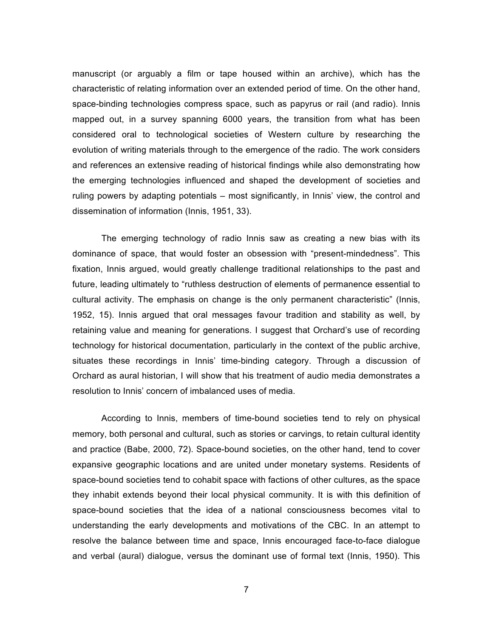manuscript (or arguably a film or tape housed within an archive), which has the characteristic of relating information over an extended period of time. On the other hand, space-binding technologies compress space, such as papyrus or rail (and radio). Innis mapped out, in a survey spanning 6000 years, the transition from what has been considered oral to technological societies of Western culture by researching the evolution of writing materials through to the emergence of the radio. The work considers and references an extensive reading of historical findings while also demonstrating how the emerging technologies influenced and shaped the development of societies and ruling powers by adapting potentials – most significantly, in Innis' view, the control and dissemination of information (Innis, 1951, 33).

The emerging technology of radio Innis saw as creating a new bias with its dominance of space, that would foster an obsession with "present-mindedness". This fixation, Innis argued, would greatly challenge traditional relationships to the past and future, leading ultimately to "ruthless destruction of elements of permanence essential to cultural activity. The emphasis on change is the only permanent characteristic" (Innis, 1952, 15). Innis argued that oral messages favour tradition and stability as well, by retaining value and meaning for generations. I suggest that Orchard's use of recording technology for historical documentation, particularly in the context of the public archive, situates these recordings in Innis' time-binding category. Through a discussion of Orchard as aural historian, I will show that his treatment of audio media demonstrates a resolution to Innis' concern of imbalanced uses of media.

According to Innis, members of time-bound societies tend to rely on physical memory, both personal and cultural, such as stories or carvings, to retain cultural identity and practice (Babe, 2000, 72). Space-bound societies, on the other hand, tend to cover expansive geographic locations and are united under monetary systems. Residents of space-bound societies tend to cohabit space with factions of other cultures, as the space they inhabit extends beyond their local physical community. It is with this definition of space-bound societies that the idea of a national consciousness becomes vital to understanding the early developments and motivations of the CBC. In an attempt to resolve the balance between time and space, Innis encouraged face-to-face dialogue and verbal (aural) dialogue, versus the dominant use of formal text (Innis, 1950). This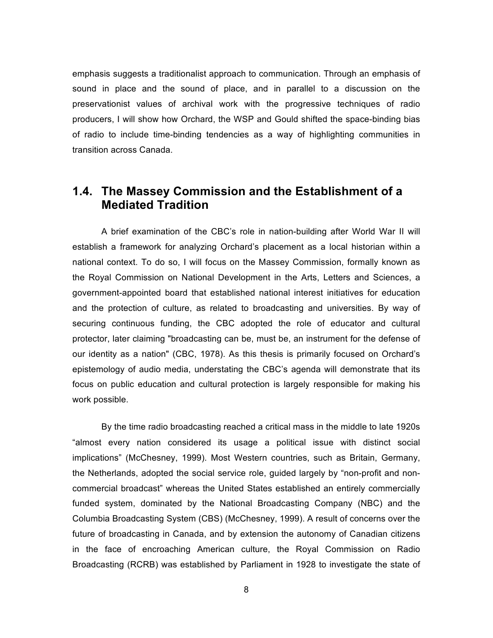emphasis suggests a traditionalist approach to communication. Through an emphasis of sound in place and the sound of place, and in parallel to a discussion on the preservationist values of archival work with the progressive techniques of radio producers, I will show how Orchard, the WSP and Gould shifted the space-binding bias of radio to include time-binding tendencies as a way of highlighting communities in transition across Canada.

## **1.4. The Massey Commission and the Establishment of a Mediated Tradition**

A brief examination of the CBC's role in nation-building after World War II will establish a framework for analyzing Orchard's placement as a local historian within a national context. To do so, I will focus on the Massey Commission, formally known as the Royal Commission on National Development in the Arts, Letters and Sciences, a government-appointed board that established national interest initiatives for education and the protection of culture, as related to broadcasting and universities. By way of securing continuous funding, the CBC adopted the role of educator and cultural protector, later claiming "broadcasting can be, must be, an instrument for the defense of our identity as a nation" (CBC, 1978). As this thesis is primarily focused on Orchard's epistemology of audio media, understating the CBC's agenda will demonstrate that its focus on public education and cultural protection is largely responsible for making his work possible.

By the time radio broadcasting reached a critical mass in the middle to late 1920s "almost every nation considered its usage a political issue with distinct social implications" (McChesney, 1999). Most Western countries, such as Britain, Germany, the Netherlands, adopted the social service role, guided largely by "non-profit and noncommercial broadcast" whereas the United States established an entirely commercially funded system, dominated by the National Broadcasting Company (NBC) and the Columbia Broadcasting System (CBS) (McChesney, 1999). A result of concerns over the future of broadcasting in Canada, and by extension the autonomy of Canadian citizens in the face of encroaching American culture, the Royal Commission on Radio Broadcasting (RCRB) was established by Parliament in 1928 to investigate the state of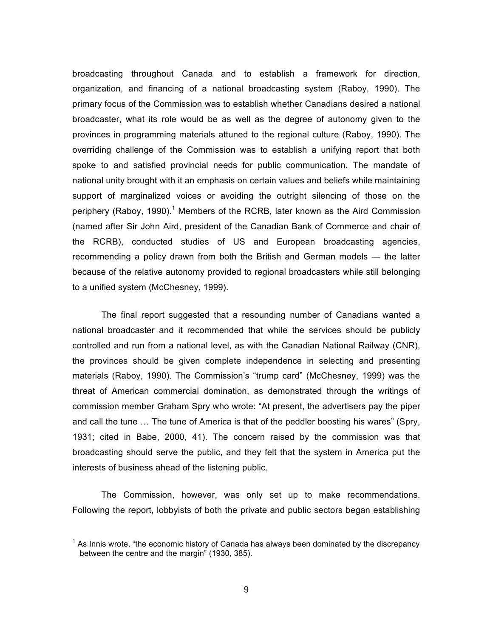broadcasting throughout Canada and to establish a framework for direction, organization, and financing of a national broadcasting system (Raboy, 1990). The primary focus of the Commission was to establish whether Canadians desired a national broadcaster, what its role would be as well as the degree of autonomy given to the provinces in programming materials attuned to the regional culture (Raboy, 1990). The overriding challenge of the Commission was to establish a unifying report that both spoke to and satisfied provincial needs for public communication. The mandate of national unity brought with it an emphasis on certain values and beliefs while maintaining support of marginalized voices or avoiding the outright silencing of those on the periphery (Raboy, 1990).<sup>1</sup> Members of the RCRB, later known as the Aird Commission (named after Sir John Aird, president of the Canadian Bank of Commerce and chair of the RCRB), conducted studies of US and European broadcasting agencies, recommending a policy drawn from both the British and German models — the latter because of the relative autonomy provided to regional broadcasters while still belonging to a unified system (McChesney, 1999).

The final report suggested that a resounding number of Canadians wanted a national broadcaster and it recommended that while the services should be publicly controlled and run from a national level, as with the Canadian National Railway (CNR), the provinces should be given complete independence in selecting and presenting materials (Raboy, 1990). The Commission's "trump card" (McChesney, 1999) was the threat of American commercial domination, as demonstrated through the writings of commission member Graham Spry who wrote: "At present, the advertisers pay the piper and call the tune  $\ldots$  The tune of America is that of the peddler boosting his wares" (Spry, 1931; cited in Babe, 2000, 41). The concern raised by the commission was that broadcasting should serve the public, and they felt that the system in America put the interests of business ahead of the listening public.

The Commission, however, was only set up to make recommendations. Following the report, lobbyists of both the private and public sectors began establishing

 $<sup>1</sup>$  As Innis wrote, "the economic history of Canada has always been dominated by the discrepancy</sup> between the centre and the margin" (1930, 385).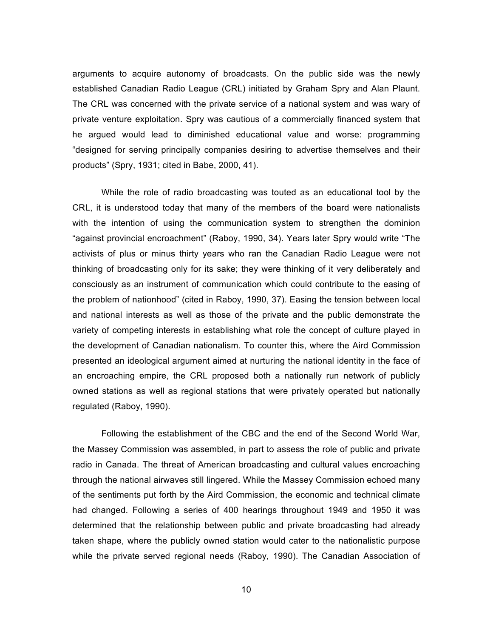arguments to acquire autonomy of broadcasts. On the public side was the newly established Canadian Radio League (CRL) initiated by Graham Spry and Alan Plaunt. The CRL was concerned with the private service of a national system and was wary of private venture exploitation. Spry was cautious of a commercially financed system that he argued would lead to diminished educational value and worse: programming "designed for serving principally companies desiring to advertise themselves and their products" (Spry, 1931; cited in Babe, 2000, 41).

While the role of radio broadcasting was touted as an educational tool by the CRL, it is understood today that many of the members of the board were nationalists with the intention of using the communication system to strengthen the dominion "against provincial encroachment" (Raboy, 1990, 34). Years later Spry would write "The activists of plus or minus thirty years who ran the Canadian Radio League were not thinking of broadcasting only for its sake; they were thinking of it very deliberately and consciously as an instrument of communication which could contribute to the easing of the problem of nationhood" (cited in Raboy, 1990, 37). Easing the tension between local and national interests as well as those of the private and the public demonstrate the variety of competing interests in establishing what role the concept of culture played in the development of Canadian nationalism. To counter this, where the Aird Commission presented an ideological argument aimed at nurturing the national identity in the face of an encroaching empire, the CRL proposed both a nationally run network of publicly owned stations as well as regional stations that were privately operated but nationally regulated (Raboy, 1990).

Following the establishment of the CBC and the end of the Second World War, the Massey Commission was assembled, in part to assess the role of public and private radio in Canada. The threat of American broadcasting and cultural values encroaching through the national airwaves still lingered. While the Massey Commission echoed many of the sentiments put forth by the Aird Commission, the economic and technical climate had changed. Following a series of 400 hearings throughout 1949 and 1950 it was determined that the relationship between public and private broadcasting had already taken shape, where the publicly owned station would cater to the nationalistic purpose while the private served regional needs (Raboy, 1990). The Canadian Association of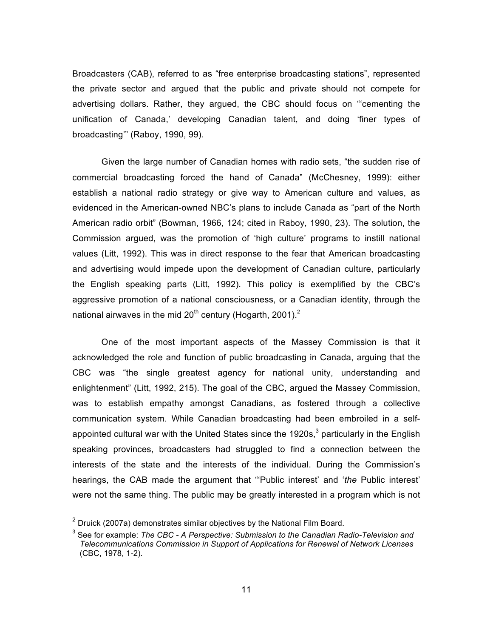Broadcasters (CAB), referred to as "free enterprise broadcasting stations", represented the private sector and argued that the public and private should not compete for advertising dollars. Rather, they argued, the CBC should focus on "'cementing the unification of Canada,' developing Canadian talent, and doing 'finer types of broadcasting'" (Raboy, 1990, 99).

Given the large number of Canadian homes with radio sets, "the sudden rise of commercial broadcasting forced the hand of Canada" (McChesney, 1999): either establish a national radio strategy or give way to American culture and values, as evidenced in the American-owned NBC's plans to include Canada as "part of the North American radio orbit" (Bowman, 1966, 124; cited in Raboy, 1990, 23). The solution, the Commission argued, was the promotion of 'high culture' programs to instill national values (Litt, 1992). This was in direct response to the fear that American broadcasting and advertising would impede upon the development of Canadian culture, particularly the English speaking parts (Litt, 1992). This policy is exemplified by the CBC's aggressive promotion of a national consciousness, or a Canadian identity, through the national airwaves in the mid  $20<sup>th</sup>$  century (Hogarth, 2001).<sup>2</sup>

One of the most important aspects of the Massey Commission is that it acknowledged the role and function of public broadcasting in Canada, arguing that the CBC was "the single greatest agency for national unity, understanding and enlightenment" (Litt, 1992, 215). The goal of the CBC, argued the Massey Commission, was to establish empathy amongst Canadians, as fostered through a collective communication system. While Canadian broadcasting had been embroiled in a selfappointed cultural war with the United States since the 1920s, $3$  particularly in the English speaking provinces, broadcasters had struggled to find a connection between the interests of the state and the interests of the individual. During the Commission's hearings, the CAB made the argument that "'Public interest' and '*the* Public interest' were not the same thing. The public may be greatly interested in a program which is not

 $2$  Druick (2007a) demonstrates similar objectives by the National Film Board.

<sup>3</sup> See for example: *The CBC - A Perspective: Submission to the Canadian Radio-Television and Telecommunications Commission in Support of Applications for Renewal of Network Licenses* (CBC, 1978, 1-2).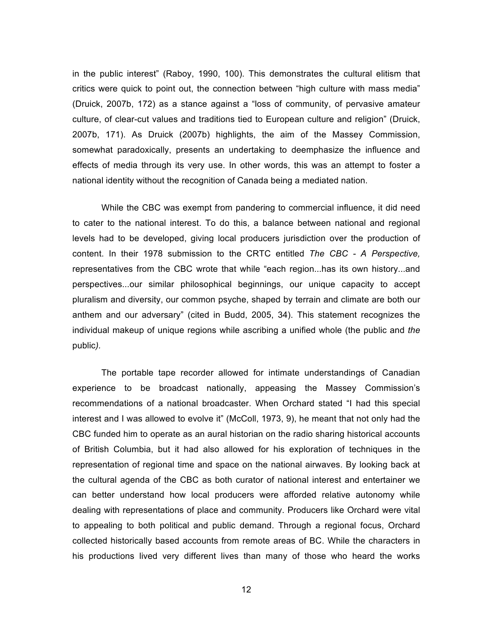in the public interest" (Raboy, 1990, 100). This demonstrates the cultural elitism that critics were quick to point out, the connection between "high culture with mass media" (Druick, 2007b, 172) as a stance against a "loss of community, of pervasive amateur culture, of clear-cut values and traditions tied to European culture and religion" (Druick, 2007b, 171). As Druick (2007b) highlights, the aim of the Massey Commission, somewhat paradoxically, presents an undertaking to deemphasize the influence and effects of media through its very use. In other words, this was an attempt to foster a national identity without the recognition of Canada being a mediated nation.

While the CBC was exempt from pandering to commercial influence, it did need to cater to the national interest. To do this, a balance between national and regional levels had to be developed, giving local producers jurisdiction over the production of content. In their 1978 submission to the CRTC entitled *The CBC - A Perspective,* representatives from the CBC wrote that while "each region...has its own history...and perspectives...our similar philosophical beginnings, our unique capacity to accept pluralism and diversity, our common psyche, shaped by terrain and climate are both our anthem and our adversary" (cited in Budd, 2005, 34). This statement recognizes the individual makeup of unique regions while ascribing a unified whole (the public and *the* public*).* 

The portable tape recorder allowed for intimate understandings of Canadian experience to be broadcast nationally, appeasing the Massey Commission's recommendations of a national broadcaster. When Orchard stated "I had this special interest and I was allowed to evolve it" (McColl, 1973, 9), he meant that not only had the CBC funded him to operate as an aural historian on the radio sharing historical accounts of British Columbia, but it had also allowed for his exploration of techniques in the representation of regional time and space on the national airwaves. By looking back at the cultural agenda of the CBC as both curator of national interest and entertainer we can better understand how local producers were afforded relative autonomy while dealing with representations of place and community. Producers like Orchard were vital to appealing to both political and public demand. Through a regional focus, Orchard collected historically based accounts from remote areas of BC. While the characters in his productions lived very different lives than many of those who heard the works

12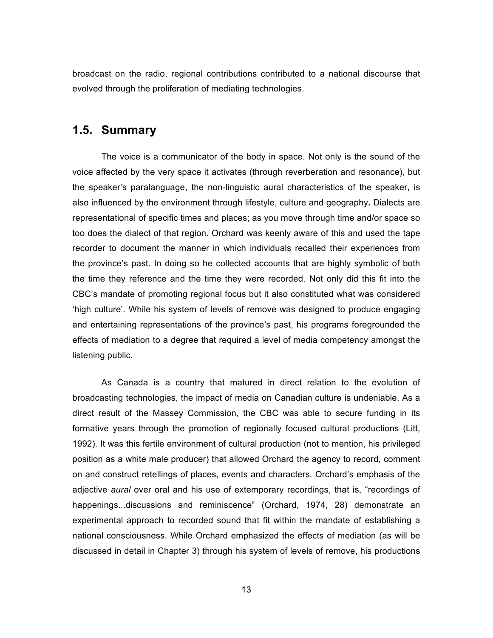broadcast on the radio, regional contributions contributed to a national discourse that evolved through the proliferation of mediating technologies.

#### **1.5. Summary**

The voice is a communicator of the body in space. Not only is the sound of the voice affected by the very space it activates (through reverberation and resonance), but the speaker's paralanguage, the non-linguistic aural characteristics of the speaker, is also influenced by the environment through lifestyle, culture and geography**.** Dialects are representational of specific times and places; as you move through time and/or space so too does the dialect of that region. Orchard was keenly aware of this and used the tape recorder to document the manner in which individuals recalled their experiences from the province's past. In doing so he collected accounts that are highly symbolic of both the time they reference and the time they were recorded. Not only did this fit into the CBC's mandate of promoting regional focus but it also constituted what was considered 'high culture'. While his system of levels of remove was designed to produce engaging and entertaining representations of the province's past, his programs foregrounded the effects of mediation to a degree that required a level of media competency amongst the listening public.

As Canada is a country that matured in direct relation to the evolution of broadcasting technologies, the impact of media on Canadian culture is undeniable. As a direct result of the Massey Commission, the CBC was able to secure funding in its formative years through the promotion of regionally focused cultural productions (Litt, 1992). It was this fertile environment of cultural production (not to mention, his privileged position as a white male producer) that allowed Orchard the agency to record, comment on and construct retellings of places, events and characters. Orchard's emphasis of the adjective *aural* over oral and his use of extemporary recordings, that is, "recordings of happenings...discussions and reminiscence" (Orchard, 1974, 28) demonstrate an experimental approach to recorded sound that fit within the mandate of establishing a national consciousness. While Orchard emphasized the effects of mediation (as will be discussed in detail in Chapter 3) through his system of levels of remove, his productions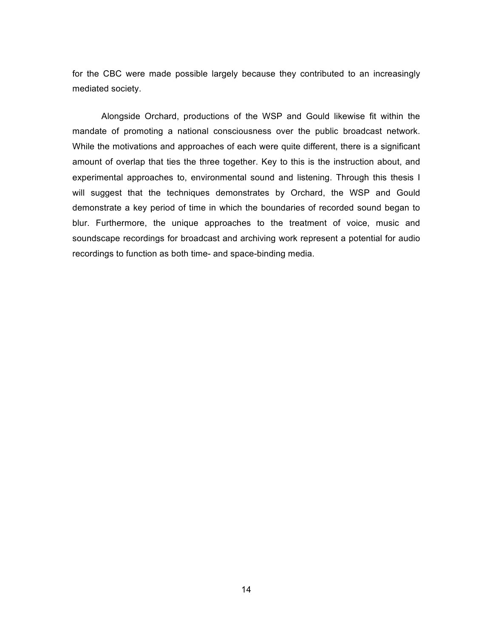for the CBC were made possible largely because they contributed to an increasingly mediated society.

Alongside Orchard, productions of the WSP and Gould likewise fit within the mandate of promoting a national consciousness over the public broadcast network. While the motivations and approaches of each were quite different, there is a significant amount of overlap that ties the three together. Key to this is the instruction about, and experimental approaches to, environmental sound and listening. Through this thesis I will suggest that the techniques demonstrates by Orchard, the WSP and Gould demonstrate a key period of time in which the boundaries of recorded sound began to blur. Furthermore, the unique approaches to the treatment of voice, music and soundscape recordings for broadcast and archiving work represent a potential for audio recordings to function as both time- and space-binding media.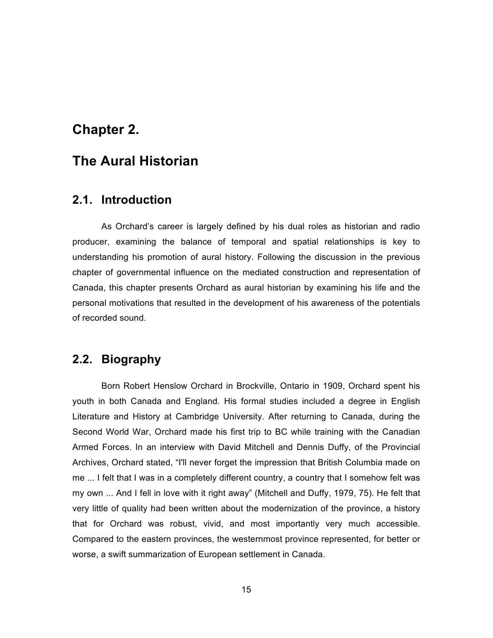## **Chapter 2.**

# **The Aural Historian**

#### **2.1. Introduction**

As Orchard's career is largely defined by his dual roles as historian and radio producer, examining the balance of temporal and spatial relationships is key to understanding his promotion of aural history. Following the discussion in the previous chapter of governmental influence on the mediated construction and representation of Canada, this chapter presents Orchard as aural historian by examining his life and the personal motivations that resulted in the development of his awareness of the potentials of recorded sound.

## **2.2. Biography**

Born Robert Henslow Orchard in Brockville, Ontario in 1909, Orchard spent his youth in both Canada and England. His formal studies included a degree in English Literature and History at Cambridge University. After returning to Canada, during the Second World War, Orchard made his first trip to BC while training with the Canadian Armed Forces. In an interview with David Mitchell and Dennis Duffy, of the Provincial Archives, Orchard stated, "I'll never forget the impression that British Columbia made on me ... I felt that I was in a completely different country, a country that I somehow felt was my own ... And I fell in love with it right away" (Mitchell and Duffy, 1979, 75). He felt that very little of quality had been written about the modernization of the province, a history that for Orchard was robust, vivid, and most importantly very much accessible. Compared to the eastern provinces, the westernmost province represented, for better or worse, a swift summarization of European settlement in Canada.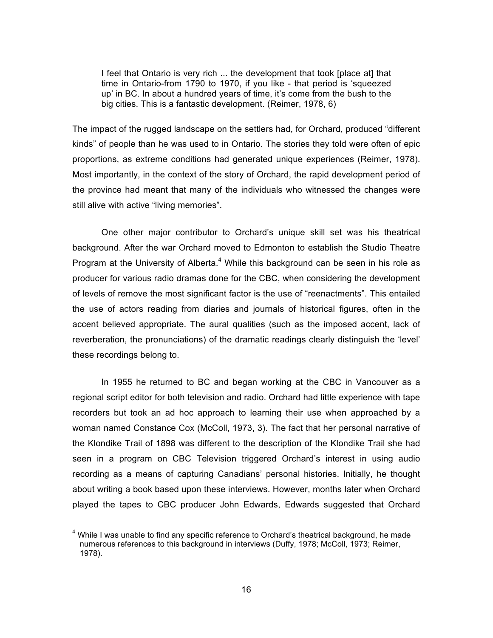I feel that Ontario is very rich ... the development that took [place at] that time in Ontario-from 1790 to 1970, if you like - that period is 'squeezed up' in BC. In about a hundred years of time, it's come from the bush to the big cities. This is a fantastic development. (Reimer, 1978, 6)

The impact of the rugged landscape on the settlers had, for Orchard, produced "different kinds" of people than he was used to in Ontario. The stories they told were often of epic proportions, as extreme conditions had generated unique experiences (Reimer, 1978). Most importantly, in the context of the story of Orchard, the rapid development period of the province had meant that many of the individuals who witnessed the changes were still alive with active "living memories".

One other major contributor to Orchard's unique skill set was his theatrical background. After the war Orchard moved to Edmonton to establish the Studio Theatre Program at the University of Alberta. $4$  While this background can be seen in his role as producer for various radio dramas done for the CBC, when considering the development of levels of remove the most significant factor is the use of "reenactments". This entailed the use of actors reading from diaries and journals of historical figures, often in the accent believed appropriate. The aural qualities (such as the imposed accent, lack of reverberation, the pronunciations) of the dramatic readings clearly distinguish the 'level' these recordings belong to.

In 1955 he returned to BC and began working at the CBC in Vancouver as a regional script editor for both television and radio. Orchard had little experience with tape recorders but took an ad hoc approach to learning their use when approached by a woman named Constance Cox (McColl, 1973, 3). The fact that her personal narrative of the Klondike Trail of 1898 was different to the description of the Klondike Trail she had seen in a program on CBC Television triggered Orchard's interest in using audio recording as a means of capturing Canadians' personal histories. Initially, he thought about writing a book based upon these interviews. However, months later when Orchard played the tapes to CBC producer John Edwards, Edwards suggested that Orchard

 $<sup>4</sup>$  While I was unable to find any specific reference to Orchard's theatrical background, he made</sup> numerous references to this background in interviews (Duffy, 1978; McColl, 1973; Reimer, 1978).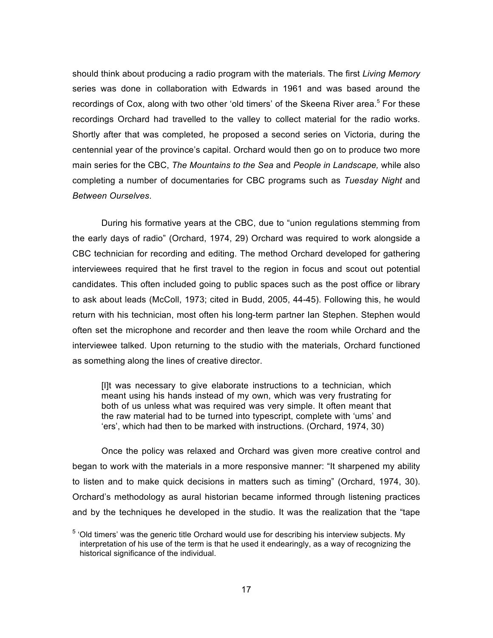should think about producing a radio program with the materials. The first *Living Memory* series was done in collaboration with Edwards in 1961 and was based around the recordings of Cox, along with two other 'old timers' of the Skeena River area. $5$  For these recordings Orchard had travelled to the valley to collect material for the radio works. Shortly after that was completed, he proposed a second series on Victoria, during the centennial year of the province's capital. Orchard would then go on to produce two more main series for the CBC, *The Mountains to the Sea* and *People in Landscape,* while also completing a number of documentaries for CBC programs such as *Tuesday Night* and *Between Ourselves*.

During his formative years at the CBC, due to "union regulations stemming from the early days of radio" (Orchard, 1974, 29) Orchard was required to work alongside a CBC technician for recording and editing. The method Orchard developed for gathering interviewees required that he first travel to the region in focus and scout out potential candidates. This often included going to public spaces such as the post office or library to ask about leads (McColl, 1973; cited in Budd, 2005, 44-45). Following this, he would return with his technician, most often his long-term partner Ian Stephen. Stephen would often set the microphone and recorder and then leave the room while Orchard and the interviewee talked. Upon returning to the studio with the materials, Orchard functioned as something along the lines of creative director.

[I]t was necessary to give elaborate instructions to a technician, which meant using his hands instead of my own, which was very frustrating for both of us unless what was required was very simple. It often meant that the raw material had to be turned into typescript, complete with 'ums' and 'ers', which had then to be marked with instructions. (Orchard, 1974, 30)

Once the policy was relaxed and Orchard was given more creative control and began to work with the materials in a more responsive manner: "It sharpened my ability to listen and to make quick decisions in matters such as timing" (Orchard, 1974, 30). Orchard's methodology as aural historian became informed through listening practices and by the techniques he developed in the studio. It was the realization that the "tape

 $5$  'Old timers' was the generic title Orchard would use for describing his interview subjects. My interpretation of his use of the term is that he used it endearingly, as a way of recognizing the historical significance of the individual.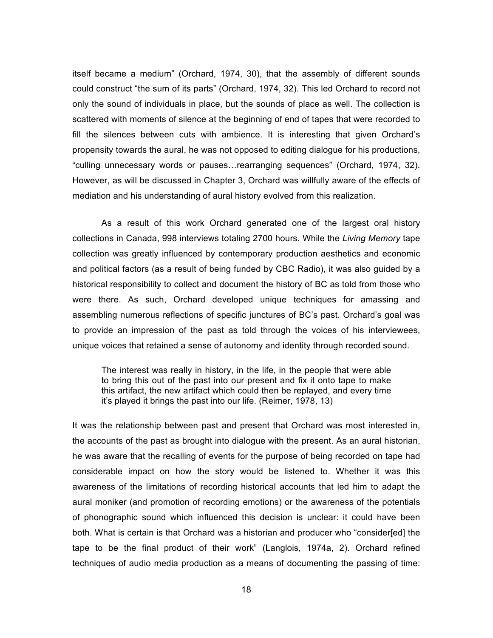itself became a medium" (Orchard, 1974, 30), that the assembly of different sounds could construct "the sum of its parts" (Orchard, 1974, 32). This led Orchard to record not only the sound of individuals in place, but the sounds of place as well. The collection is scattered with moments of silence at the beginning of end of tapes that were recorded to fill the silences between cuts with ambience. It is interesting that given Orchard's propensity towards the aural, he was not opposed to editing dialogue for his productions, "culling unnecessary words or pauses...rearranging sequences" (Orchard, 1974, 32). However, as will be discussed in Chapter 3, Orchard was willfully aware of the effects of mediation and his understanding of aural history evolved from this realization.

As a result of this work Orchard generated one of the largest oral history collections in Canada, 998 interviews totaling 2700 hours. While the *Living Memory* tape collection was greatly influenced by contemporary production aesthetics and economic and political factors (as a result of being funded by CBC Radio), it was also guided by a historical responsibility to collect and document the history of BC as told from those who were there. As such, Orchard developed unique techniques for amassing and assembling numerous reflections of specific junctures of BC's past. Orchard's goal was to provide an impression of the past as told through the voices of his interviewees, unique voices that retained a sense of autonomy and identity through recorded sound.

The interest was really in history, in the life, in the people that were able to bring this out of the past into our present and fix it onto tape to make this artifact, the new artifact which could then be replayed, and every time it's played it brings the past into our life. (Reimer, 1978, 13)

It was the relationship between past and present that Orchard was most interested in, the accounts of the past as brought into dialogue with the present. As an aural historian, he was aware that the recalling of events for the purpose of being recorded on tape had considerable impact on how the story would be listened to. Whether it was this awareness of the limitations of recording historical accounts that led him to adapt the aural moniker (and promotion of recording emotions) or the awareness of the potentials of phonographic sound which influenced this decision is unclear: it could have been both. What is certain is that Orchard was a historian and producer who "consider[ed] the tape to be the final product of their work" (Langlois, 1974a, 2). Orchard refined techniques of audio media production as a means of documenting the passing of time: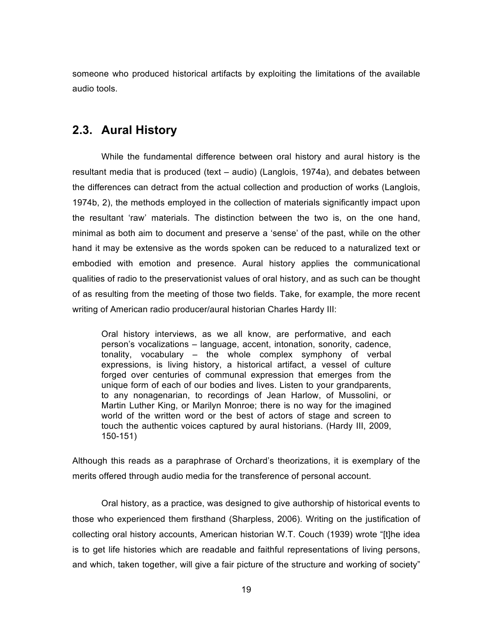someone who produced historical artifacts by exploiting the limitations of the available audio tools.

#### **2.3. Aural History**

While the fundamental difference between oral history and aural history is the resultant media that is produced (text – audio) (Langlois, 1974a), and debates between the differences can detract from the actual collection and production of works (Langlois, 1974b, 2), the methods employed in the collection of materials significantly impact upon the resultant 'raw' materials. The distinction between the two is, on the one hand, minimal as both aim to document and preserve a 'sense' of the past, while on the other hand it may be extensive as the words spoken can be reduced to a naturalized text or embodied with emotion and presence. Aural history applies the communicational qualities of radio to the preservationist values of oral history, and as such can be thought of as resulting from the meeting of those two fields. Take, for example, the more recent writing of American radio producer/aural historian Charles Hardy III:

Oral history interviews, as we all know, are performative, and each person's vocalizations – language, accent, intonation, sonority, cadence, tonality, vocabulary – the whole complex symphony of verbal expressions, is living history, a historical artifact, a vessel of culture forged over centuries of communal expression that emerges from the unique form of each of our bodies and lives. Listen to your grandparents, to any nonagenarian, to recordings of Jean Harlow, of Mussolini, or Martin Luther King, or Marilyn Monroe; there is no way for the imagined world of the written word or the best of actors of stage and screen to touch the authentic voices captured by aural historians. (Hardy III, 2009, 150-151)

Although this reads as a paraphrase of Orchard's theorizations, it is exemplary of the merits offered through audio media for the transference of personal account.

Oral history, as a practice, was designed to give authorship of historical events to those who experienced them firsthand (Sharpless, 2006). Writing on the justification of collecting oral history accounts, American historian W.T. Couch (1939) wrote "[t]he idea is to get life histories which are readable and faithful representations of living persons, and which, taken together, will give a fair picture of the structure and working of society"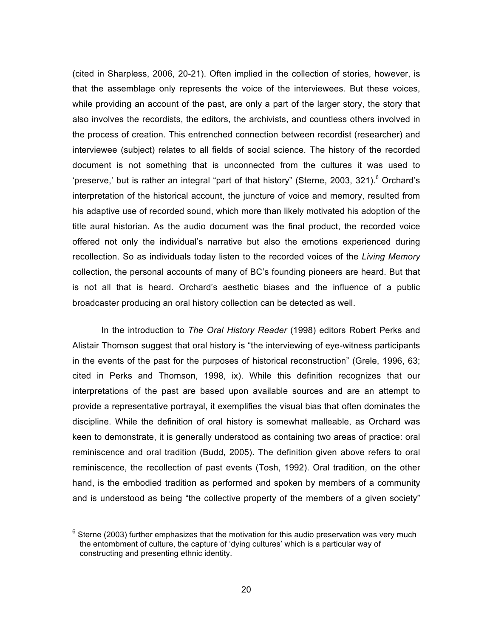(cited in Sharpless, 2006, 20-21). Often implied in the collection of stories, however, is that the assemblage only represents the voice of the interviewees. But these voices, while providing an account of the past, are only a part of the larger story, the story that also involves the recordists, the editors, the archivists, and countless others involved in the process of creation. This entrenched connection between recordist (researcher) and interviewee (subject) relates to all fields of social science. The history of the recorded document is not something that is unconnected from the cultures it was used to 'preserve,' but is rather an integral "part of that history" (Sterne, 2003, 321).<sup>6</sup> Orchard's interpretation of the historical account, the juncture of voice and memory, resulted from his adaptive use of recorded sound, which more than likely motivated his adoption of the title aural historian. As the audio document was the final product, the recorded voice offered not only the individual's narrative but also the emotions experienced during recollection. So as individuals today listen to the recorded voices of the *Living Memory* collection, the personal accounts of many of BC's founding pioneers are heard. But that is not all that is heard. Orchard's aesthetic biases and the influence of a public broadcaster producing an oral history collection can be detected as well.

In the introduction to *The Oral History Reader* (1998) editors Robert Perks and Alistair Thomson suggest that oral history is "the interviewing of eye-witness participants in the events of the past for the purposes of historical reconstruction" (Grele, 1996, 63; cited in Perks and Thomson, 1998, ix). While this definition recognizes that our interpretations of the past are based upon available sources and are an attempt to provide a representative portrayal, it exemplifies the visual bias that often dominates the discipline. While the definition of oral history is somewhat malleable, as Orchard was keen to demonstrate, it is generally understood as containing two areas of practice: oral reminiscence and oral tradition (Budd, 2005). The definition given above refers to oral reminiscence, the recollection of past events (Tosh, 1992). Oral tradition, on the other hand, is the embodied tradition as performed and spoken by members of a community and is understood as being "the collective property of the members of a given society"

 $<sup>6</sup>$  Sterne (2003) further emphasizes that the motivation for this audio preservation was very much</sup> the entombment of culture, the capture of 'dying cultures' which is a particular way of constructing and presenting ethnic identity.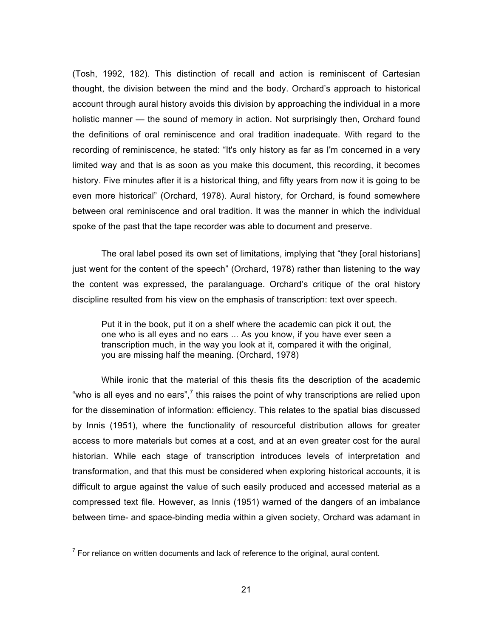(Tosh, 1992, 182). This distinction of recall and action is reminiscent of Cartesian thought, the division between the mind and the body. Orchard's approach to historical account through aural history avoids this division by approaching the individual in a more holistic manner — the sound of memory in action. Not surprisingly then, Orchard found the definitions of oral reminiscence and oral tradition inadequate. With regard to the recording of reminiscence, he stated: "It's only history as far as I'm concerned in a very limited way and that is as soon as you make this document, this recording, it becomes history. Five minutes after it is a historical thing, and fifty years from now it is going to be even more historical" (Orchard, 1978). Aural history, for Orchard, is found somewhere between oral reminiscence and oral tradition. It was the manner in which the individual spoke of the past that the tape recorder was able to document and preserve.

The oral label posed its own set of limitations, implying that "they [oral historians] just went for the content of the speech" (Orchard, 1978) rather than listening to the way the content was expressed, the paralanguage. Orchard's critique of the oral history discipline resulted from his view on the emphasis of transcription: text over speech.

Put it in the book, put it on a shelf where the academic can pick it out, the one who is all eyes and no ears ... As you know, if you have ever seen a transcription much, in the way you look at it, compared it with the original, you are missing half the meaning. (Orchard, 1978)

While ironic that the material of this thesis fits the description of the academic "who is all eyes and no ears", $7$  this raises the point of why transcriptions are relied upon for the dissemination of information: efficiency. This relates to the spatial bias discussed by Innis (1951), where the functionality of resourceful distribution allows for greater access to more materials but comes at a cost, and at an even greater cost for the aural historian. While each stage of transcription introduces levels of interpretation and transformation, and that this must be considered when exploring historical accounts, it is difficult to argue against the value of such easily produced and accessed material as a compressed text file. However, as Innis (1951) warned of the dangers of an imbalance between time- and space-binding media within a given society, Orchard was adamant in

 $<sup>7</sup>$  For reliance on written documents and lack of reference to the original, aural content.</sup>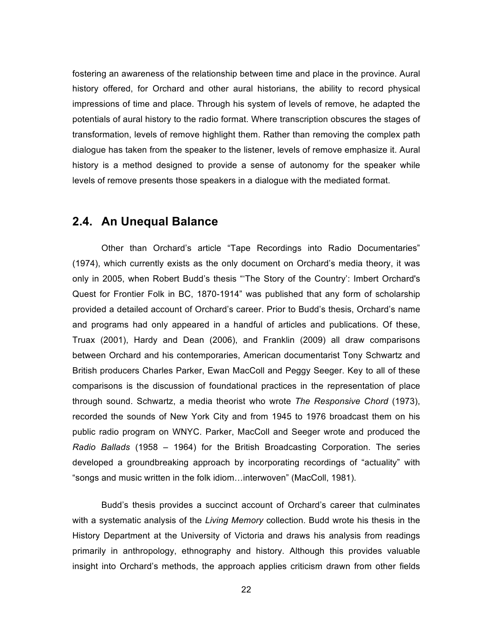fostering an awareness of the relationship between time and place in the province. Aural history offered, for Orchard and other aural historians, the ability to record physical impressions of time and place. Through his system of levels of remove, he adapted the potentials of aural history to the radio format. Where transcription obscures the stages of transformation, levels of remove highlight them. Rather than removing the complex path dialogue has taken from the speaker to the listener, levels of remove emphasize it. Aural history is a method designed to provide a sense of autonomy for the speaker while levels of remove presents those speakers in a dialogue with the mediated format.

# **2.4. An Unequal Balance**

Other than Orchard's article "Tape Recordings into Radio Documentaries" (1974), which currently exists as the only document on Orchard's media theory, it was only in 2005, when Robert Budd's thesis "'The Story of the Country': Imbert Orchard's Quest for Frontier Folk in BC, 1870-1914" was published that any form of scholarship provided a detailed account of Orchard's career. Prior to Budd's thesis, Orchard's name and programs had only appeared in a handful of articles and publications. Of these, Truax (2001), Hardy and Dean (2006), and Franklin (2009) all draw comparisons between Orchard and his contemporaries, American documentarist Tony Schwartz and British producers Charles Parker, Ewan MacColl and Peggy Seeger. Key to all of these comparisons is the discussion of foundational practices in the representation of place through sound. Schwartz, a media theorist who wrote *The Responsive Chord* (1973), recorded the sounds of New York City and from 1945 to 1976 broadcast them on his public radio program on WNYC. Parker, MacColl and Seeger wrote and produced the *Radio Ballads* (1958 – 1964) for the British Broadcasting Corporation. The series developed a groundbreaking approach by incorporating recordings of "actuality" with "songs and music written in the folk idiom...interwoven" (MacColl, 1981).

Budd's thesis provides a succinct account of Orchard's career that culminates with a systematic analysis of the *Living Memory* collection. Budd wrote his thesis in the History Department at the University of Victoria and draws his analysis from readings primarily in anthropology, ethnography and history. Although this provides valuable insight into Orchard's methods, the approach applies criticism drawn from other fields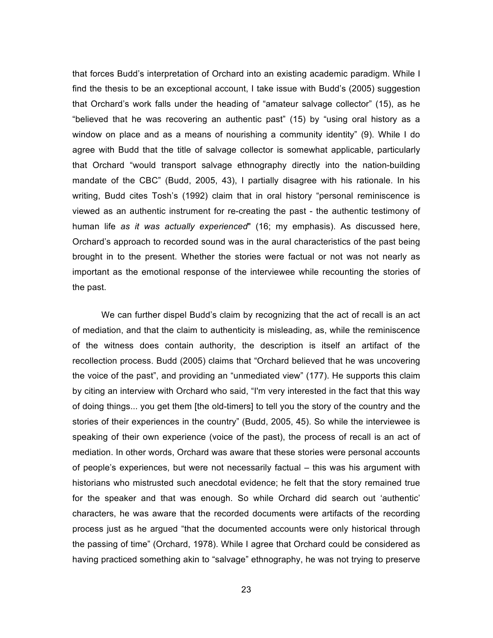that forces Budd's interpretation of Orchard into an existing academic paradigm. While I find the thesis to be an exceptional account, I take issue with Budd's (2005) suggestion that Orchard's work falls under the heading of "amateur salvage collector" (15), as he "believed that he was recovering an authentic past" (15) by "using oral history as a window on place and as a means of nourishing a community identity" (9). While I do agree with Budd that the title of salvage collector is somewhat applicable, particularly that Orchard "would transport salvage ethnography directly into the nation-building mandate of the CBC" (Budd, 2005, 43), I partially disagree with his rationale. In his writing, Budd cites Tosh's (1992) claim that in oral history "personal reminiscence is viewed as an authentic instrument for re-creating the past - the authentic testimony of human life *as it was actually experienced*" (16; my emphasis). As discussed here, Orchard's approach to recorded sound was in the aural characteristics of the past being brought in to the present. Whether the stories were factual or not was not nearly as important as the emotional response of the interviewee while recounting the stories of the past.

We can further dispel Budd's claim by recognizing that the act of recall is an act of mediation, and that the claim to authenticity is misleading, as, while the reminiscence of the witness does contain authority, the description is itself an artifact of the recollection process. Budd (2005) claims that "Orchard believed that he was uncovering the voice of the past", and providing an "unmediated view" (177). He supports this claim by citing an interview with Orchard who said, "I'm very interested in the fact that this way of doing things... you get them [the old-timers] to tell you the story of the country and the stories of their experiences in the country" (Budd, 2005, 45). So while the interviewee is speaking of their own experience (voice of the past), the process of recall is an act of mediation. In other words, Orchard was aware that these stories were personal accounts of people's experiences, but were not necessarily factual – this was his argument with historians who mistrusted such anecdotal evidence; he felt that the story remained true for the speaker and that was enough. So while Orchard did search out 'authentic' characters, he was aware that the recorded documents were artifacts of the recording process just as he argued "that the documented accounts were only historical through the passing of time" (Orchard, 1978). While I agree that Orchard could be considered as having practiced something akin to "salvage" ethnography, he was not trying to preserve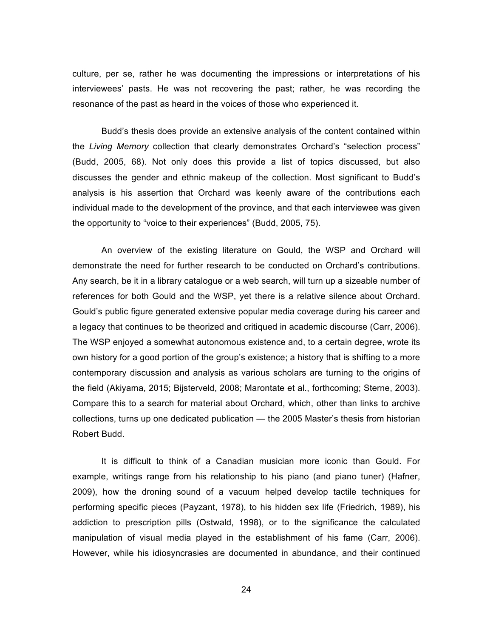culture, per se, rather he was documenting the impressions or interpretations of his interviewees' pasts. He was not recovering the past; rather, he was recording the resonance of the past as heard in the voices of those who experienced it.

Budd's thesis does provide an extensive analysis of the content contained within the *Living Memory* collection that clearly demonstrates Orchard's "selection process" (Budd, 2005, 68). Not only does this provide a list of topics discussed, but also discusses the gender and ethnic makeup of the collection. Most significant to Budd's analysis is his assertion that Orchard was keenly aware of the contributions each individual made to the development of the province, and that each interviewee was given the opportunity to "voice to their experiences" (Budd, 2005, 75).

An overview of the existing literature on Gould, the WSP and Orchard will demonstrate the need for further research to be conducted on Orchard's contributions. Any search, be it in a library catalogue or a web search, will turn up a sizeable number of references for both Gould and the WSP, yet there is a relative silence about Orchard. Gould's public figure generated extensive popular media coverage during his career and a legacy that continues to be theorized and critiqued in academic discourse (Carr, 2006). The WSP enjoyed a somewhat autonomous existence and, to a certain degree, wrote its own history for a good portion of the group's existence; a history that is shifting to a more contemporary discussion and analysis as various scholars are turning to the origins of the field (Akiyama, 2015; Bijsterveld, 2008; Marontate et al., forthcoming; Sterne, 2003). Compare this to a search for material about Orchard, which, other than links to archive collections, turns up one dedicated publication — the 2005 Master's thesis from historian Robert Budd.

It is difficult to think of a Canadian musician more iconic than Gould. For example, writings range from his relationship to his piano (and piano tuner) (Hafner, 2009), how the droning sound of a vacuum helped develop tactile techniques for performing specific pieces (Payzant, 1978), to his hidden sex life (Friedrich, 1989), his addiction to prescription pills (Ostwald, 1998), or to the significance the calculated manipulation of visual media played in the establishment of his fame (Carr, 2006). However, while his idiosyncrasies are documented in abundance, and their continued

24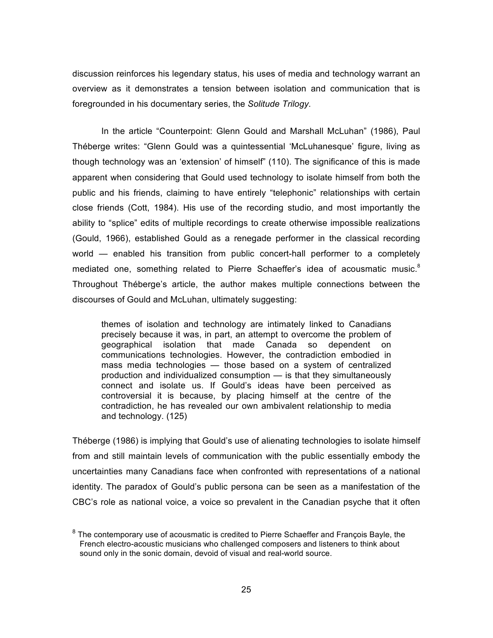discussion reinforces his legendary status, his uses of media and technology warrant an overview as it demonstrates a tension between isolation and communication that is foregrounded in his documentary series, the *Solitude Trilogy.* 

In the article "Counterpoint: Glenn Gould and Marshall McLuhan" (1986), Paul Théberge writes: "Glenn Gould was a quintessential 'McLuhanesque' figure, living as though technology was an 'extension' of himself" (110). The significance of this is made apparent when considering that Gould used technology to isolate himself from both the public and his friends, claiming to have entirely "telephonic" relationships with certain close friends (Cott, 1984). His use of the recording studio, and most importantly the ability to "splice" edits of multiple recordings to create otherwise impossible realizations (Gould, 1966), established Gould as a renegade performer in the classical recording world — enabled his transition from public concert-hall performer to a completely mediated one, something related to Pierre Schaeffer's idea of acousmatic music.<sup>8</sup> Throughout Théberge's article, the author makes multiple connections between the discourses of Gould and McLuhan, ultimately suggesting:

themes of isolation and technology are intimately linked to Canadians precisely because it was, in part, an attempt to overcome the problem of geographical isolation that made Canada so dependent on communications technologies. However, the contradiction embodied in mass media technologies — those based on a system of centralized production and individualized consumption — is that they simultaneously connect and isolate us. If Gould's ideas have been perceived as controversial it is because, by placing himself at the centre of the contradiction, he has revealed our own ambivalent relationship to media and technology. (125)

Théberge (1986) is implying that Gould's use of alienating technologies to isolate himself from and still maintain levels of communication with the public essentially embody the uncertainties many Canadians face when confronted with representations of a national identity. The paradox of Gould's public persona can be seen as a manifestation of the CBC's role as national voice, a voice so prevalent in the Canadian psyche that it often

<sup>&</sup>lt;sup>8</sup> The contemporary use of acousmatic is credited to Pierre Schaeffer and François Bayle, the French electro-acoustic musicians who challenged composers and listeners to think about sound only in the sonic domain, devoid of visual and real-world source.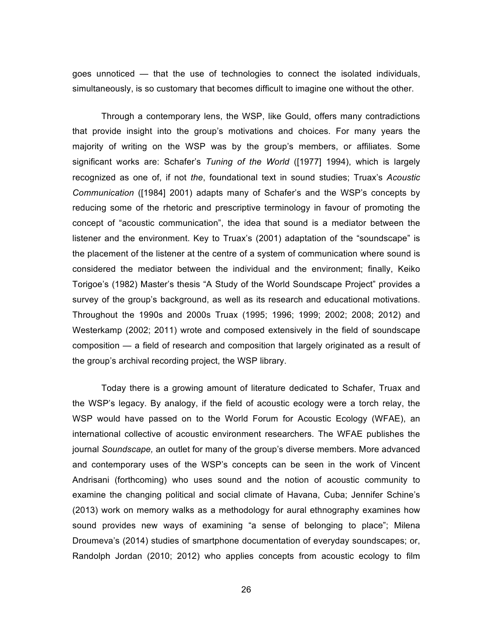goes unnoticed — that the use of technologies to connect the isolated individuals, simultaneously, is so customary that becomes difficult to imagine one without the other.

Through a contemporary lens, the WSP, like Gould, offers many contradictions that provide insight into the group's motivations and choices. For many years the majority of writing on the WSP was by the group's members, or affiliates. Some significant works are: Schafer's *Tuning of the World* ([1977] 1994), which is largely recognized as one of, if not *the*, foundational text in sound studies; Truax's *Acoustic Communication* ([1984] 2001) adapts many of Schafer's and the WSP's concepts by reducing some of the rhetoric and prescriptive terminology in favour of promoting the concept of "acoustic communication", the idea that sound is a mediator between the listener and the environment. Key to Truax's (2001) adaptation of the "soundscape" is the placement of the listener at the centre of a system of communication where sound is considered the mediator between the individual and the environment; finally, Keiko Torigoe's (1982) Master's thesis "A Study of the World Soundscape Project" provides a survey of the group's background, as well as its research and educational motivations. Throughout the 1990s and 2000s Truax (1995; 1996; 1999; 2002; 2008; 2012) and Westerkamp (2002; 2011) wrote and composed extensively in the field of soundscape composition — a field of research and composition that largely originated as a result of the group's archival recording project, the WSP library.

Today there is a growing amount of literature dedicated to Schafer, Truax and the WSP's legacy. By analogy, if the field of acoustic ecology were a torch relay, the WSP would have passed on to the World Forum for Acoustic Ecology (WFAE), an international collective of acoustic environment researchers. The WFAE publishes the journal *Soundscape,* an outlet for many of the group's diverse members. More advanced and contemporary uses of the WSP's concepts can be seen in the work of Vincent Andrisani (forthcoming) who uses sound and the notion of acoustic community to examine the changing political and social climate of Havana, Cuba; Jennifer Schine's (2013) work on memory walks as a methodology for aural ethnography examines how sound provides new ways of examining "a sense of belonging to place"; Milena Droumeva's (2014) studies of smartphone documentation of everyday soundscapes; or, Randolph Jordan (2010; 2012) who applies concepts from acoustic ecology to film

26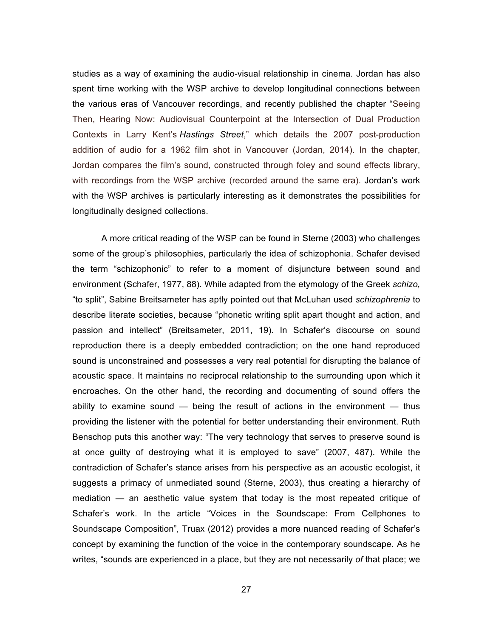studies as a way of examining the audio-visual relationship in cinema. Jordan has also spent time working with the WSP archive to develop longitudinal connections between the various eras of Vancouver recordings, and recently published the chapter "Seeing Then, Hearing Now: Audiovisual Counterpoint at the Intersection of Dual Production Contexts in Larry Kent's *Hastings Street*," which details the 2007 post-production addition of audio for a 1962 film shot in Vancouver (Jordan, 2014). In the chapter, Jordan compares the film's sound, constructed through foley and sound effects library, with recordings from the WSP archive (recorded around the same era). Jordan's work with the WSP archives is particularly interesting as it demonstrates the possibilities for longitudinally designed collections.

A more critical reading of the WSP can be found in Sterne (2003) who challenges some of the group's philosophies, particularly the idea of schizophonia. Schafer devised the term "schizophonic" to refer to a moment of disjuncture between sound and environment (Schafer, 1977, 88). While adapted from the etymology of the Greek *schizo,* "to split", Sabine Breitsameter has aptly pointed out that McLuhan used *schizophrenia* to describe literate societies, because "phonetic writing split apart thought and action, and passion and intellect" (Breitsameter, 2011, 19). In Schafer's discourse on sound reproduction there is a deeply embedded contradiction; on the one hand reproduced sound is unconstrained and possesses a very real potential for disrupting the balance of acoustic space. It maintains no reciprocal relationship to the surrounding upon which it encroaches. On the other hand, the recording and documenting of sound offers the ability to examine sound — being the result of actions in the environment — thus providing the listener with the potential for better understanding their environment. Ruth Benschop puts this another way: "The very technology that serves to preserve sound is at once guilty of destroying what it is employed to save" (2007, 487). While the contradiction of Schafer's stance arises from his perspective as an acoustic ecologist, it suggests a primacy of unmediated sound (Sterne, 2003), thus creating a hierarchy of mediation — an aesthetic value system that today is the most repeated critique of Schafer's work. In the article "Voices in the Soundscape: From Cellphones to Soundscape Composition"*,* Truax (2012) provides a more nuanced reading of Schafer's concept by examining the function of the voice in the contemporary soundscape. As he writes, "sounds are experienced in a place, but they are not necessarily *of* that place; we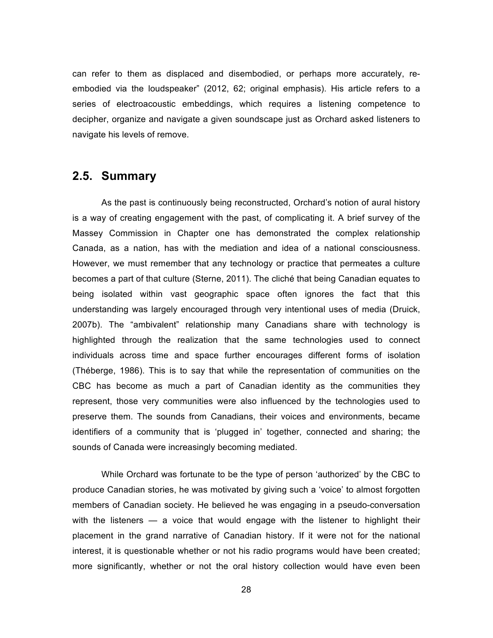can refer to them as displaced and disembodied, or perhaps more accurately, reembodied via the loudspeaker" (2012, 62; original emphasis). His article refers to a series of electroacoustic embeddings, which requires a listening competence to decipher, organize and navigate a given soundscape just as Orchard asked listeners to navigate his levels of remove.

# **2.5. Summary**

As the past is continuously being reconstructed, Orchard's notion of aural history is a way of creating engagement with the past, of complicating it. A brief survey of the Massey Commission in Chapter one has demonstrated the complex relationship Canada, as a nation, has with the mediation and idea of a national consciousness. However, we must remember that any technology or practice that permeates a culture becomes a part of that culture (Sterne, 2011). The cliché that being Canadian equates to being isolated within vast geographic space often ignores the fact that this understanding was largely encouraged through very intentional uses of media (Druick, 2007b). The "ambivalent" relationship many Canadians share with technology is highlighted through the realization that the same technologies used to connect individuals across time and space further encourages different forms of isolation (Théberge, 1986). This is to say that while the representation of communities on the CBC has become as much a part of Canadian identity as the communities they represent, those very communities were also influenced by the technologies used to preserve them. The sounds from Canadians, their voices and environments, became identifiers of a community that is 'plugged in' together, connected and sharing; the sounds of Canada were increasingly becoming mediated.

While Orchard was fortunate to be the type of person 'authorized' by the CBC to produce Canadian stories, he was motivated by giving such a 'voice' to almost forgotten members of Canadian society. He believed he was engaging in a pseudo-conversation with the listeners — a voice that would engage with the listener to highlight their placement in the grand narrative of Canadian history. If it were not for the national interest, it is questionable whether or not his radio programs would have been created; more significantly, whether or not the oral history collection would have even been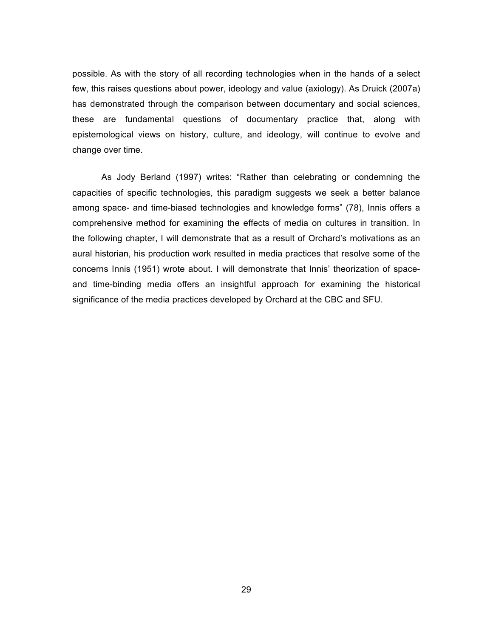possible. As with the story of all recording technologies when in the hands of a select few, this raises questions about power, ideology and value (axiology). As Druick (2007a) has demonstrated through the comparison between documentary and social sciences, these are fundamental questions of documentary practice that, along with epistemological views on history, culture, and ideology, will continue to evolve and change over time.

As Jody Berland (1997) writes: "Rather than celebrating or condemning the capacities of specific technologies, this paradigm suggests we seek a better balance among space- and time-biased technologies and knowledge forms" (78), Innis offers a comprehensive method for examining the effects of media on cultures in transition. In the following chapter, I will demonstrate that as a result of Orchard's motivations as an aural historian, his production work resulted in media practices that resolve some of the concerns Innis (1951) wrote about. I will demonstrate that Innis' theorization of spaceand time-binding media offers an insightful approach for examining the historical significance of the media practices developed by Orchard at the CBC and SFU.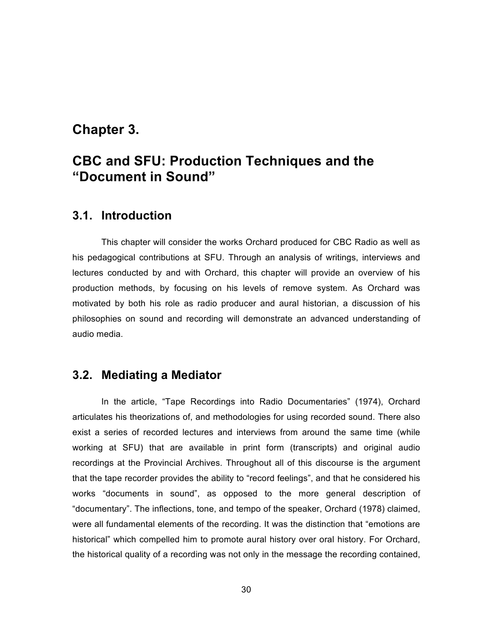# **Chapter 3.**

# **CBC and SFU: Production Techniques and the "Document in Sound"**

## **3.1. Introduction**

This chapter will consider the works Orchard produced for CBC Radio as well as his pedagogical contributions at SFU. Through an analysis of writings, interviews and lectures conducted by and with Orchard, this chapter will provide an overview of his production methods, by focusing on his levels of remove system. As Orchard was motivated by both his role as radio producer and aural historian, a discussion of his philosophies on sound and recording will demonstrate an advanced understanding of audio media.

# **3.2. Mediating a Mediator**

In the article, "Tape Recordings into Radio Documentaries" (1974), Orchard articulates his theorizations of, and methodologies for using recorded sound. There also exist a series of recorded lectures and interviews from around the same time (while working at SFU) that are available in print form (transcripts) and original audio recordings at the Provincial Archives. Throughout all of this discourse is the argument that the tape recorder provides the ability to "record feelings", and that he considered his works "documents in sound", as opposed to the more general description of "documentary". The inflections, tone, and tempo of the speaker, Orchard (1978) claimed, were all fundamental elements of the recording. It was the distinction that "emotions are historical" which compelled him to promote aural history over oral history. For Orchard, the historical quality of a recording was not only in the message the recording contained,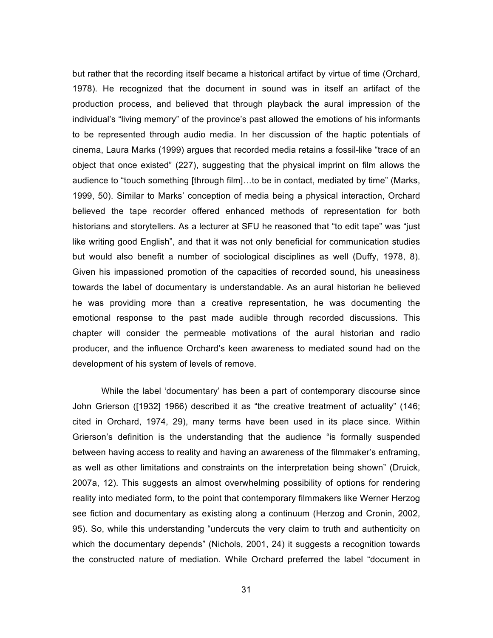but rather that the recording itself became a historical artifact by virtue of time (Orchard, 1978). He recognized that the document in sound was in itself an artifact of the production process, and believed that through playback the aural impression of the individual's "living memory" of the province's past allowed the emotions of his informants to be represented through audio media. In her discussion of the haptic potentials of cinema, Laura Marks (1999) argues that recorded media retains a fossil-like "trace of an object that once existed" (227), suggesting that the physical imprint on film allows the audience to "touch something [through film]...to be in contact, mediated by time" (Marks, 1999, 50). Similar to Marks' conception of media being a physical interaction, Orchard believed the tape recorder offered enhanced methods of representation for both historians and storytellers. As a lecturer at SFU he reasoned that "to edit tape" was "just like writing good English", and that it was not only beneficial for communication studies but would also benefit a number of sociological disciplines as well (Duffy, 1978, 8). Given his impassioned promotion of the capacities of recorded sound, his uneasiness towards the label of documentary is understandable. As an aural historian he believed he was providing more than a creative representation, he was documenting the emotional response to the past made audible through recorded discussions. This chapter will consider the permeable motivations of the aural historian and radio producer, and the influence Orchard's keen awareness to mediated sound had on the development of his system of levels of remove.

While the label 'documentary' has been a part of contemporary discourse since John Grierson ([1932] 1966) described it as "the creative treatment of actuality" (146; cited in Orchard, 1974, 29), many terms have been used in its place since. Within Grierson's definition is the understanding that the audience "is formally suspended between having access to reality and having an awareness of the filmmaker's enframing, as well as other limitations and constraints on the interpretation being shown" (Druick, 2007a, 12). This suggests an almost overwhelming possibility of options for rendering reality into mediated form, to the point that contemporary filmmakers like Werner Herzog see fiction and documentary as existing along a continuum (Herzog and Cronin, 2002, 95). So, while this understanding "undercuts the very claim to truth and authenticity on which the documentary depends" (Nichols, 2001, 24) it suggests a recognition towards the constructed nature of mediation. While Orchard preferred the label "document in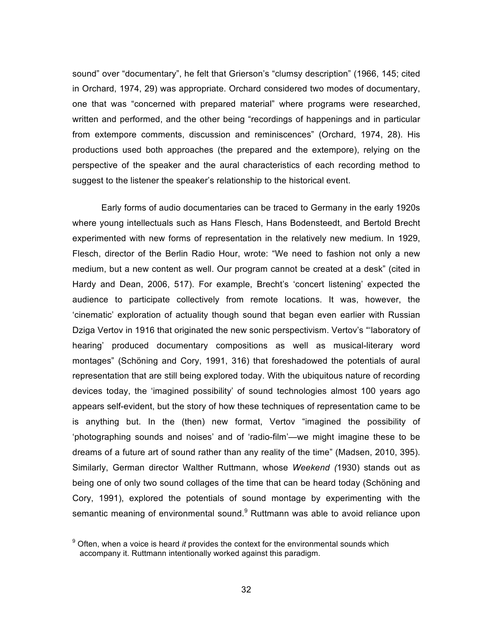sound" over "documentary", he felt that Grierson's "clumsy description" (1966, 145; cited in Orchard, 1974, 29) was appropriate. Orchard considered two modes of documentary, one that was "concerned with prepared material" where programs were researched, written and performed, and the other being "recordings of happenings and in particular from extempore comments, discussion and reminiscences" (Orchard, 1974, 28). His productions used both approaches (the prepared and the extempore), relying on the perspective of the speaker and the aural characteristics of each recording method to suggest to the listener the speaker's relationship to the historical event.

Early forms of audio documentaries can be traced to Germany in the early 1920s where young intellectuals such as Hans Flesch, Hans Bodensteedt, and Bertold Brecht experimented with new forms of representation in the relatively new medium. In 1929, Flesch, director of the Berlin Radio Hour, wrote: "We need to fashion not only a new medium, but a new content as well. Our program cannot be created at a desk" (cited in Hardy and Dean, 2006, 517). For example, Brecht's 'concert listening' expected the audience to participate collectively from remote locations. It was, however, the 'cinematic' exploration of actuality though sound that began even earlier with Russian Dziga Vertov in 1916 that originated the new sonic perspectivism. Vertov's "'laboratory of hearing' produced documentary compositions as well as musical-literary word montages" (Schöning and Cory, 1991, 316) that foreshadowed the potentials of aural representation that are still being explored today. With the ubiquitous nature of recording devices today, the 'imagined possibility' of sound technologies almost 100 years ago appears self-evident, but the story of how these techniques of representation came to be is anything but. In the (then) new format, Vertov "imagined the possibility of 'photographing sounds and noises' and of 'radio-film'—we might imagine these to be dreams of a future art of sound rather than any reality of the time" (Madsen, 2010, 395). Similarly, German director Walther Ruttmann, whose *Weekend (*1930) stands out as being one of only two sound collages of the time that can be heard today (Schöning and Cory, 1991), explored the potentials of sound montage by experimenting with the semantic meaning of environmental sound.<sup>9</sup> Ruttmann was able to avoid reliance upon

<sup>9</sup> Often, when a voice is heard *it* provides the context for the environmental sounds which accompany it. Ruttmann intentionally worked against this paradigm.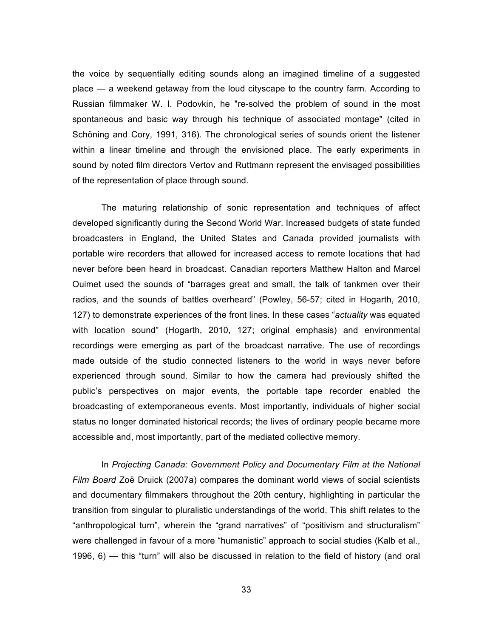the voice by sequentially editing sounds along an imagined timeline of a suggested place — a weekend getaway from the loud cityscape to the country farm. According to Russian filmmaker W. I. Podovkin, he "re-solved the problem of sound in the most spontaneous and basic way through his technique of associated montage" (cited in Schöning and Cory, 1991, 316). The chronological series of sounds orient the listener within a linear timeline and through the envisioned place. The early experiments in sound by noted film directors Vertov and Ruttmann represent the envisaged possibilities of the representation of place through sound.

The maturing relationship of sonic representation and techniques of affect developed significantly during the Second World War. Increased budgets of state funded broadcasters in England, the United States and Canada provided journalists with portable wire recorders that allowed for increased access to remote locations that had never before been heard in broadcast. Canadian reporters Matthew Halton and Marcel Ouimet used the sounds of "barrages great and small, the talk of tankmen over their radios, and the sounds of battles overheard" (Powley, 56-57; cited in Hogarth, 2010, 127) to demonstrate experiences of the front lines. In these cases "*actuality* was equated with location sound" (Hogarth, 2010, 127; original emphasis) and environmental recordings were emerging as part of the broadcast narrative. The use of recordings made outside of the studio connected listeners to the world in ways never before experienced through sound. Similar to how the camera had previously shifted the public's perspectives on major events, the portable tape recorder enabled the broadcasting of extemporaneous events. Most importantly, individuals of higher social status no longer dominated historical records; the lives of ordinary people became more accessible and, most importantly, part of the mediated collective memory.

In *Projecting Canada: Government Policy and Documentary Film at the National Film Board* Zoë Druick (2007a) compares the dominant world views of social scientists and documentary filmmakers throughout the 20th century, highlighting in particular the transition from singular to pluralistic understandings of the world. This shift relates to the "anthropological turn", wherein the "grand narratives" of "positivism and structuralism" were challenged in favour of a more "humanistic" approach to social studies (Kalb et al., 1996, 6) — this "turn" will also be discussed in relation to the field of history (and oral

33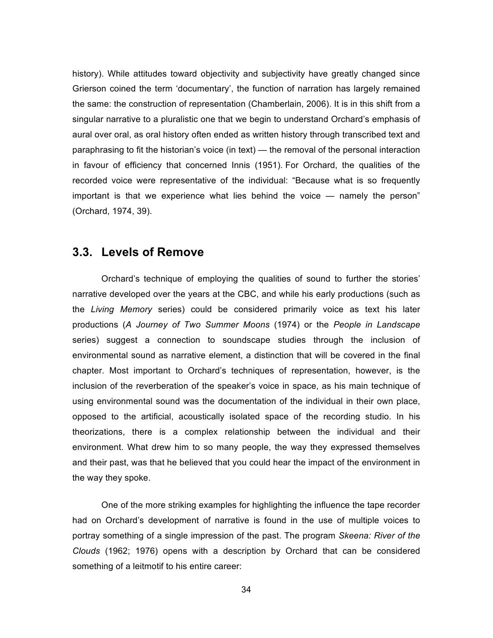history). While attitudes toward objectivity and subjectivity have greatly changed since Grierson coined the term 'documentary', the function of narration has largely remained the same: the construction of representation (Chamberlain, 2006). It is in this shift from a singular narrative to a pluralistic one that we begin to understand Orchard's emphasis of aural over oral, as oral history often ended as written history through transcribed text and paraphrasing to fit the historian's voice (in text) — the removal of the personal interaction in favour of efficiency that concerned Innis (1951). For Orchard, the qualities of the recorded voice were representative of the individual: "Because what is so frequently important is that we experience what lies behind the voice — namely the person" (Orchard, 1974, 39).

### **3.3. Levels of Remove**

Orchard's technique of employing the qualities of sound to further the stories' narrative developed over the years at the CBC, and while his early productions (such as the *Living Memory* series) could be considered primarily voice as text his later productions (*A Journey of Two Summer Moons* (1974) or the *People in Landscape* series) suggest a connection to soundscape studies through the inclusion of environmental sound as narrative element, a distinction that will be covered in the final chapter. Most important to Orchard's techniques of representation, however, is the inclusion of the reverberation of the speaker's voice in space, as his main technique of using environmental sound was the documentation of the individual in their own place, opposed to the artificial, acoustically isolated space of the recording studio. In his theorizations, there is a complex relationship between the individual and their environment. What drew him to so many people, the way they expressed themselves and their past, was that he believed that you could hear the impact of the environment in the way they spoke.

One of the more striking examples for highlighting the influence the tape recorder had on Orchard's development of narrative is found in the use of multiple voices to portray something of a single impression of the past. The program *Skeena: River of the Clouds* (1962; 1976) opens with a description by Orchard that can be considered something of a leitmotif to his entire career: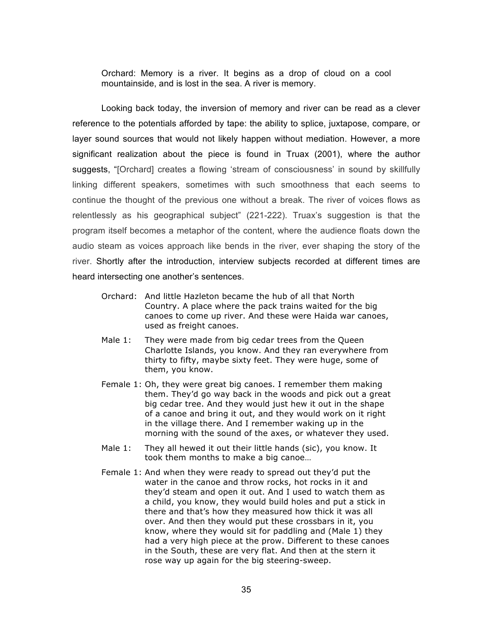Orchard: Memory is a river. It begins as a drop of cloud on a cool mountainside, and is lost in the sea. A river is memory.

Looking back today, the inversion of memory and river can be read as a clever reference to the potentials afforded by tape: the ability to splice, juxtapose, compare, or layer sound sources that would not likely happen without mediation. However, a more significant realization about the piece is found in Truax (2001), where the author suggests, "[Orchard] creates a flowing 'stream of consciousness' in sound by skillfully linking different speakers, sometimes with such smoothness that each seems to continue the thought of the previous one without a break. The river of voices flows as relentlessly as his geographical subject" (221-222). Truax's suggestion is that the program itself becomes a metaphor of the content, where the audience floats down the audio steam as voices approach like bends in the river, ever shaping the story of the river. Shortly after the introduction, interview subjects recorded at different times are heard intersecting one another's sentences.

- Orchard: And little Hazleton became the hub of all that North Country. A place where the pack trains waited for the big canoes to come up river. And these were Haida war canoes, used as freight canoes.
- Male 1: They were made from big cedar trees from the Queen Charlotte Islands, you know. And they ran everywhere from thirty to fifty, maybe sixty feet. They were huge, some of them, you know.
- Female 1: Oh, they were great big canoes. I remember them making them. They'd go way back in the woods and pick out a great big cedar tree. And they would just hew it out in the shape of a canoe and bring it out, and they would work on it right in the village there. And I remember waking up in the morning with the sound of the axes, or whatever they used.
- Male 1: They all hewed it out their little hands (sic), you know. It took them months to make a big canoe…
- Female 1: And when they were ready to spread out they'd put the water in the canoe and throw rocks, hot rocks in it and they'd steam and open it out. And I used to watch them as a child, you know, they would build holes and put a stick in there and that's how they measured how thick it was all over. And then they would put these crossbars in it, you know, where they would sit for paddling and (Male 1) they had a very high piece at the prow. Different to these canoes in the South, these are very flat. And then at the stern it rose way up again for the big steering-sweep.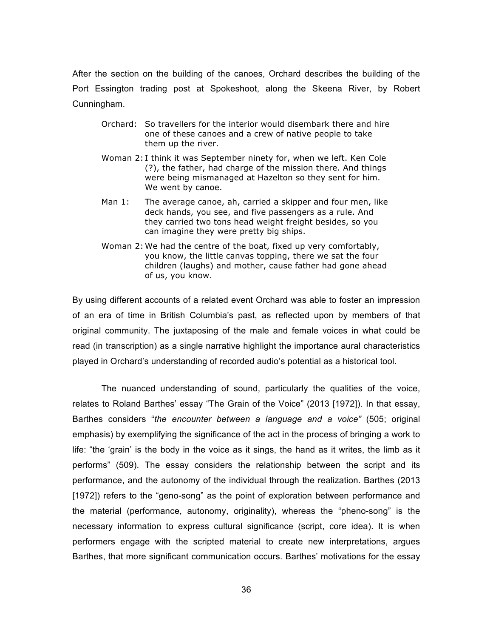After the section on the building of the canoes, Orchard describes the building of the Port Essington trading post at Spokeshoot, along the Skeena River, by Robert Cunningham.

- Orchard: So travellers for the interior would disembark there and hire one of these canoes and a crew of native people to take them up the river.
- Woman 2: I think it was September ninety for, when we left. Ken Cole (?), the father, had charge of the mission there. And things were being mismanaged at Hazelton so they sent for him. We went by canoe.
- Man 1: The average canoe, ah, carried a skipper and four men, like deck hands, you see, and five passengers as a rule. And they carried two tons head weight freight besides, so you can imagine they were pretty big ships.
- Woman 2: We had the centre of the boat, fixed up very comfortably, you know, the little canvas topping, there we sat the four children (laughs) and mother, cause father had gone ahead of us, you know.

By using different accounts of a related event Orchard was able to foster an impression of an era of time in British Columbia's past, as reflected upon by members of that original community. The juxtaposing of the male and female voices in what could be read (in transcription) as a single narrative highlight the importance aural characteristics played in Orchard's understanding of recorded audio's potential as a historical tool.

The nuanced understanding of sound, particularly the qualities of the voice, relates to Roland Barthes' essay "The Grain of the Voice" (2013 [1972]). In that essay, Barthes considers "*the encounter between a language and a voice"* (505; original emphasis) by exemplifying the significance of the act in the process of bringing a work to life: "the 'grain' is the body in the voice as it sings, the hand as it writes, the limb as it performs" (509). The essay considers the relationship between the script and its performance, and the autonomy of the individual through the realization. Barthes (2013 [1972]) refers to the "geno-song" as the point of exploration between performance and the material (performance, autonomy, originality), whereas the "pheno-song" is the necessary information to express cultural significance (script, core idea). It is when performers engage with the scripted material to create new interpretations, argues Barthes, that more significant communication occurs. Barthes' motivations for the essay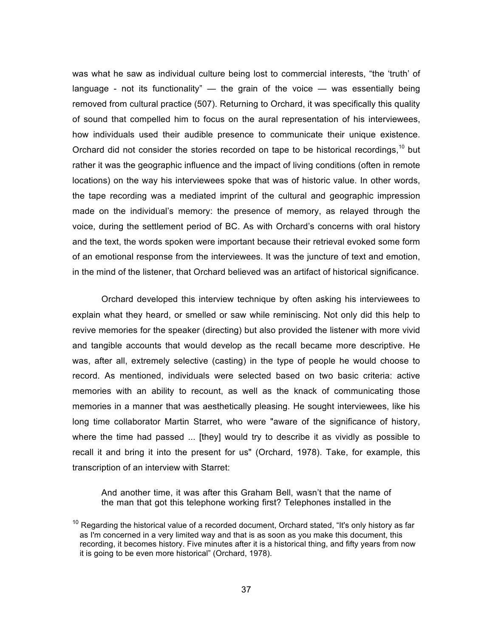was what he saw as individual culture being lost to commercial interests, "the 'truth' of language - not its functionality"  $-$  the grain of the voice  $-$  was essentially being removed from cultural practice (507). Returning to Orchard, it was specifically this quality of sound that compelled him to focus on the aural representation of his interviewees, how individuals used their audible presence to communicate their unique existence. Orchard did not consider the stories recorded on tape to be historical recordings,  $10$  but rather it was the geographic influence and the impact of living conditions (often in remote locations) on the way his interviewees spoke that was of historic value. In other words, the tape recording was a mediated imprint of the cultural and geographic impression made on the individual's memory: the presence of memory, as relayed through the voice, during the settlement period of BC. As with Orchard's concerns with oral history and the text, the words spoken were important because their retrieval evoked some form of an emotional response from the interviewees. It was the juncture of text and emotion, in the mind of the listener, that Orchard believed was an artifact of historical significance.

Orchard developed this interview technique by often asking his interviewees to explain what they heard, or smelled or saw while reminiscing. Not only did this help to revive memories for the speaker (directing) but also provided the listener with more vivid and tangible accounts that would develop as the recall became more descriptive. He was, after all, extremely selective (casting) in the type of people he would choose to record. As mentioned, individuals were selected based on two basic criteria: active memories with an ability to recount, as well as the knack of communicating those memories in a manner that was aesthetically pleasing. He sought interviewees, like his long time collaborator Martin Starret, who were "aware of the significance of history, where the time had passed ... [they] would try to describe it as vividly as possible to recall it and bring it into the present for us" (Orchard, 1978). Take, for example, this transcription of an interview with Starret:

And another time, it was after this Graham Bell, wasn't that the name of the man that got this telephone working first? Telephones installed in the

 $10$  Regarding the historical value of a recorded document, Orchard stated, "It's only history as far as I'm concerned in a very limited way and that is as soon as you make this document, this recording, it becomes history. Five minutes after it is a historical thing, and fifty years from now it is going to be even more historical" (Orchard, 1978).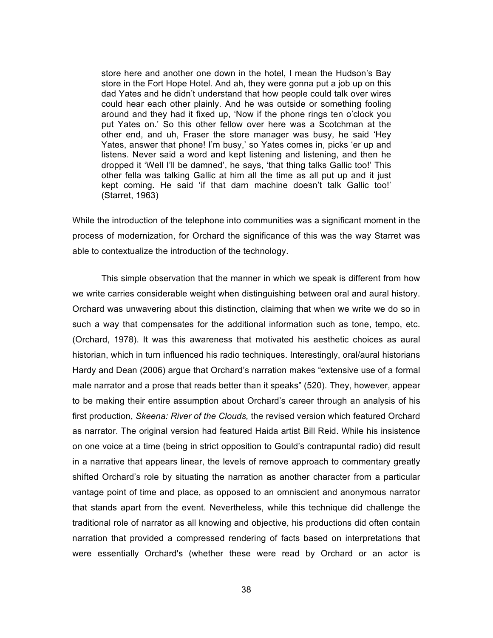store here and another one down in the hotel, I mean the Hudson's Bay store in the Fort Hope Hotel. And ah, they were gonna put a job up on this dad Yates and he didn't understand that how people could talk over wires could hear each other plainly. And he was outside or something fooling around and they had it fixed up, 'Now if the phone rings ten o'clock you put Yates on.' So this other fellow over here was a Scotchman at the other end, and uh, Fraser the store manager was busy, he said 'Hey Yates, answer that phone! I'm busy,' so Yates comes in, picks 'er up and listens. Never said a word and kept listening and listening, and then he dropped it 'Well I'll be damned', he says, 'that thing talks Gallic too!' This other fella was talking Gallic at him all the time as all put up and it just kept coming. He said 'if that darn machine doesn't talk Gallic too!' (Starret, 1963)

While the introduction of the telephone into communities was a significant moment in the process of modernization, for Orchard the significance of this was the way Starret was able to contextualize the introduction of the technology.

This simple observation that the manner in which we speak is different from how we write carries considerable weight when distinguishing between oral and aural history. Orchard was unwavering about this distinction, claiming that when we write we do so in such a way that compensates for the additional information such as tone, tempo, etc. (Orchard, 1978). It was this awareness that motivated his aesthetic choices as aural historian, which in turn influenced his radio techniques. Interestingly, oral/aural historians Hardy and Dean (2006) argue that Orchard's narration makes "extensive use of a formal male narrator and a prose that reads better than it speaks" (520). They, however, appear to be making their entire assumption about Orchard's career through an analysis of his first production, *Skeena: River of the Clouds,* the revised version which featured Orchard as narrator. The original version had featured Haida artist Bill Reid. While his insistence on one voice at a time (being in strict opposition to Gould's contrapuntal radio) did result in a narrative that appears linear, the levels of remove approach to commentary greatly shifted Orchard's role by situating the narration as another character from a particular vantage point of time and place, as opposed to an omniscient and anonymous narrator that stands apart from the event. Nevertheless, while this technique did challenge the traditional role of narrator as all knowing and objective, his productions did often contain narration that provided a compressed rendering of facts based on interpretations that were essentially Orchard's (whether these were read by Orchard or an actor is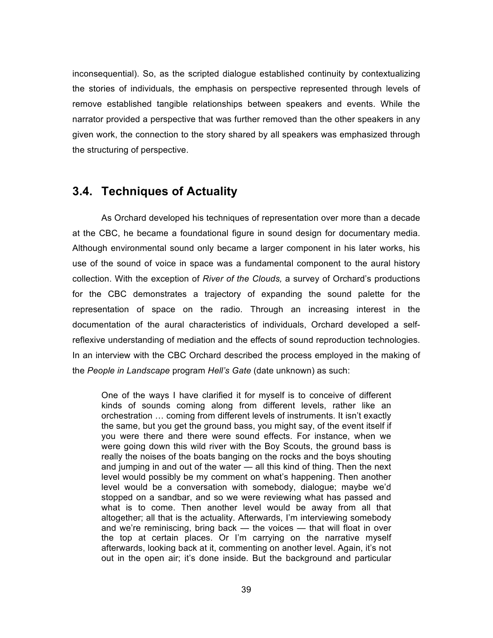inconsequential). So, as the scripted dialogue established continuity by contextualizing the stories of individuals, the emphasis on perspective represented through levels of remove established tangible relationships between speakers and events. While the narrator provided a perspective that was further removed than the other speakers in any given work, the connection to the story shared by all speakers was emphasized through the structuring of perspective.

## **3.4. Techniques of Actuality**

As Orchard developed his techniques of representation over more than a decade at the CBC, he became a foundational figure in sound design for documentary media. Although environmental sound only became a larger component in his later works, his use of the sound of voice in space was a fundamental component to the aural history collection. With the exception of *River of the Clouds,* a survey of Orchard's productions for the CBC demonstrates a trajectory of expanding the sound palette for the representation of space on the radio. Through an increasing interest in the documentation of the aural characteristics of individuals, Orchard developed a selfreflexive understanding of mediation and the effects of sound reproduction technologies. In an interview with the CBC Orchard described the process employed in the making of the *People in Landscape* program *Hell's Gate* (date unknown) as such:

One of the ways I have clarified it for myself is to conceive of different kinds of sounds coming along from different levels, rather like an orchestration ... coming from different levels of instruments. It isn't exactly the same, but you get the ground bass, you might say, of the event itself if you were there and there were sound effects. For instance, when we were going down this wild river with the Boy Scouts, the ground bass is really the noises of the boats banging on the rocks and the boys shouting and jumping in and out of the water — all this kind of thing. Then the next level would possibly be my comment on what's happening. Then another level would be a conversation with somebody, dialogue; maybe we'd stopped on a sandbar, and so we were reviewing what has passed and what is to come. Then another level would be away from all that altogether; all that is the actuality. Afterwards, I'm interviewing somebody and we're reminiscing, bring back — the voices — that will float in over the top at certain places. Or I'm carrying on the narrative myself afterwards, looking back at it, commenting on another level. Again, it's not out in the open air; it's done inside. But the background and particular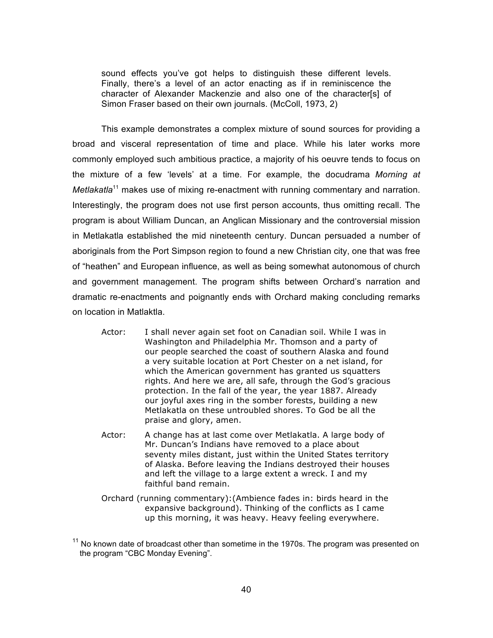sound effects you've got helps to distinguish these different levels. Finally, there's a level of an actor enacting as if in reminiscence the character of Alexander Mackenzie and also one of the character[s] of Simon Fraser based on their own journals. (McColl, 1973, 2)

This example demonstrates a complex mixture of sound sources for providing a broad and visceral representation of time and place. While his later works more commonly employed such ambitious practice, a majority of his oeuvre tends to focus on the mixture of a few 'levels' at a time. For example, the docudrama *Morning at Metlakatla*<sup>11</sup> makes use of mixing re-enactment with running commentary and narration. Interestingly, the program does not use first person accounts, thus omitting recall. The program is about William Duncan, an Anglican Missionary and the controversial mission in Metlakatla established the mid nineteenth century. Duncan persuaded a number of aboriginals from the Port Simpson region to found a new Christian city, one that was free of "heathen" and European influence, as well as being somewhat autonomous of church and government management. The program shifts between Orchard's narration and dramatic re-enactments and poignantly ends with Orchard making concluding remarks on location in Matlaktla.

- Actor: I shall never again set foot on Canadian soil. While I was in Washington and Philadelphia Mr. Thomson and a party of our people searched the coast of southern Alaska and found a very suitable location at Port Chester on a net island, for which the American government has granted us squatters rights. And here we are, all safe, through the God's gracious protection. In the fall of the year, the year 1887. Already our joyful axes ring in the somber forests, building a new Metlakatla on these untroubled shores. To God be all the praise and glory, amen.
- Actor: A change has at last come over Metlakatla. A large body of Mr. Duncan's Indians have removed to a place about seventy miles distant, just within the United States territory of Alaska. Before leaving the Indians destroyed their houses and left the village to a large extent a wreck. I and my faithful band remain.
- Orchard (running commentary):(Ambience fades in: birds heard in the expansive background). Thinking of the conflicts as I came up this morning, it was heavy. Heavy feeling everywhere.

 $11$  No known date of broadcast other than sometime in the 1970s. The program was presented on the program "CBC Monday Evening".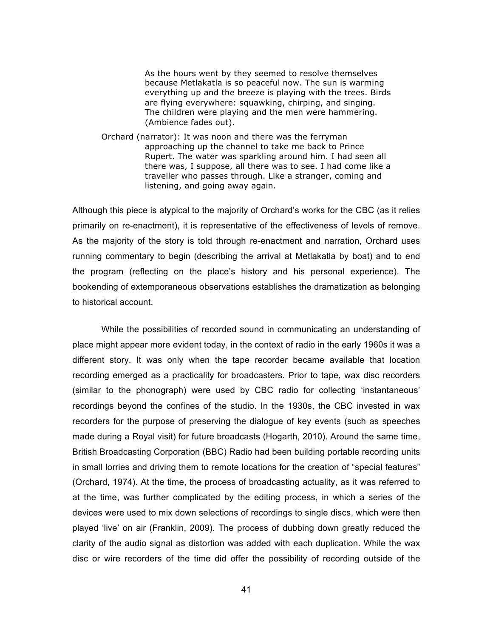As the hours went by they seemed to resolve themselves because Metlakatla is so peaceful now. The sun is warming everything up and the breeze is playing with the trees. Birds are flying everywhere: squawking, chirping, and singing. The children were playing and the men were hammering. (Ambience fades out).

Orchard (narrator): It was noon and there was the ferryman approaching up the channel to take me back to Prince Rupert. The water was sparkling around him. I had seen all there was, I suppose, all there was to see. I had come like a traveller who passes through. Like a stranger, coming and listening, and going away again.

Although this piece is atypical to the majority of Orchard's works for the CBC (as it relies primarily on re-enactment), it is representative of the effectiveness of levels of remove. As the majority of the story is told through re-enactment and narration, Orchard uses running commentary to begin (describing the arrival at Metlakatla by boat) and to end the program (reflecting on the place's history and his personal experience). The bookending of extemporaneous observations establishes the dramatization as belonging to historical account.

While the possibilities of recorded sound in communicating an understanding of place might appear more evident today, in the context of radio in the early 1960s it was a different story. It was only when the tape recorder became available that location recording emerged as a practicality for broadcasters. Prior to tape, wax disc recorders (similar to the phonograph) were used by CBC radio for collecting 'instantaneous' recordings beyond the confines of the studio. In the 1930s, the CBC invested in wax recorders for the purpose of preserving the dialogue of key events (such as speeches made during a Royal visit) for future broadcasts (Hogarth, 2010). Around the same time, British Broadcasting Corporation (BBC) Radio had been building portable recording units in small lorries and driving them to remote locations for the creation of "special features" (Orchard, 1974). At the time, the process of broadcasting actuality, as it was referred to at the time, was further complicated by the editing process, in which a series of the devices were used to mix down selections of recordings to single discs, which were then played 'live' on air (Franklin, 2009). The process of dubbing down greatly reduced the clarity of the audio signal as distortion was added with each duplication. While the wax disc or wire recorders of the time did offer the possibility of recording outside of the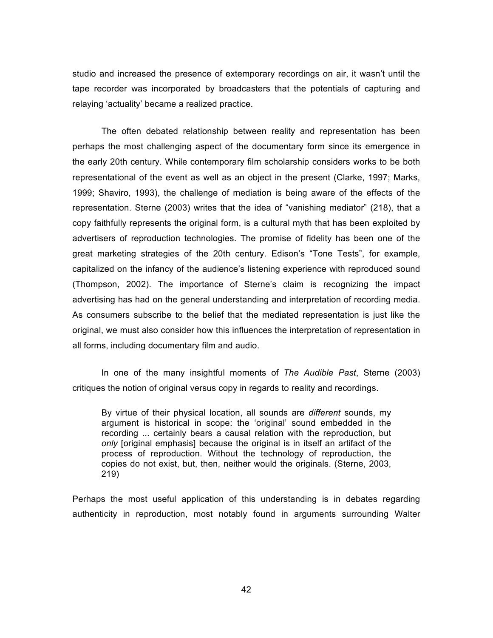studio and increased the presence of extemporary recordings on air, it wasn't until the tape recorder was incorporated by broadcasters that the potentials of capturing and relaying 'actuality' became a realized practice.

The often debated relationship between reality and representation has been perhaps the most challenging aspect of the documentary form since its emergence in the early 20th century. While contemporary film scholarship considers works to be both representational of the event as well as an object in the present (Clarke, 1997; Marks, 1999; Shaviro, 1993), the challenge of mediation is being aware of the effects of the representation. Sterne (2003) writes that the idea of "vanishing mediator" (218), that a copy faithfully represents the original form, is a cultural myth that has been exploited by advertisers of reproduction technologies. The promise of fidelity has been one of the great marketing strategies of the 20th century. Edison's "Tone Tests", for example, capitalized on the infancy of the audience's listening experience with reproduced sound (Thompson, 2002). The importance of Sterne's claim is recognizing the impact advertising has had on the general understanding and interpretation of recording media. As consumers subscribe to the belief that the mediated representation is just like the original, we must also consider how this influences the interpretation of representation in all forms, including documentary film and audio.

In one of the many insightful moments of *The Audible Past*, Sterne (2003) critiques the notion of original versus copy in regards to reality and recordings.

By virtue of their physical location, all sounds are *different* sounds, my argument is historical in scope: the 'original' sound embedded in the recording ... certainly bears a causal relation with the reproduction, but *only* [original emphasis] because the original is in itself an artifact of the process of reproduction. Without the technology of reproduction, the copies do not exist, but, then, neither would the originals. (Sterne, 2003, 219)

Perhaps the most useful application of this understanding is in debates regarding authenticity in reproduction, most notably found in arguments surrounding Walter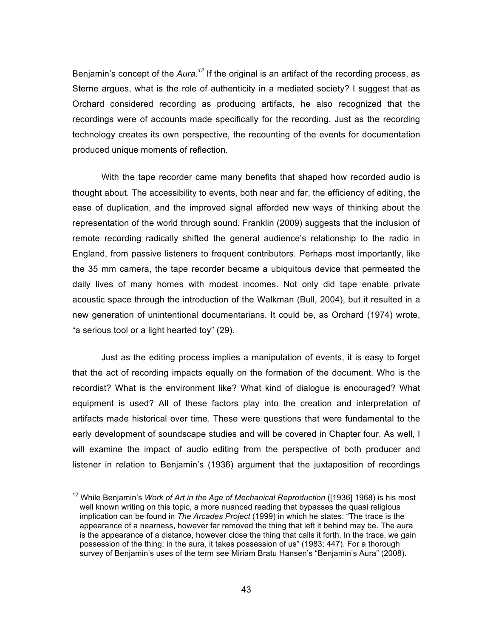Benjamin's concept of the *Aura.*<sup>12</sup> If the original is an artifact of the recording process, as Sterne argues, what is the role of authenticity in a mediated society? I suggest that as Orchard considered recording as producing artifacts, he also recognized that the recordings were of accounts made specifically for the recording. Just as the recording technology creates its own perspective, the recounting of the events for documentation produced unique moments of reflection.

With the tape recorder came many benefits that shaped how recorded audio is thought about. The accessibility to events, both near and far, the efficiency of editing, the ease of duplication, and the improved signal afforded new ways of thinking about the representation of the world through sound. Franklin (2009) suggests that the inclusion of remote recording radically shifted the general audience's relationship to the radio in England, from passive listeners to frequent contributors. Perhaps most importantly, like the 35 mm camera, the tape recorder became a ubiquitous device that permeated the daily lives of many homes with modest incomes. Not only did tape enable private acoustic space through the introduction of the Walkman (Bull, 2004), but it resulted in a new generation of unintentional documentarians. It could be, as Orchard (1974) wrote, "a serious tool or a light hearted toy" (29).

Just as the editing process implies a manipulation of events, it is easy to forget that the act of recording impacts equally on the formation of the document. Who is the recordist? What is the environment like? What kind of dialogue is encouraged? What equipment is used? All of these factors play into the creation and interpretation of artifacts made historical over time. These were questions that were fundamental to the early development of soundscape studies and will be covered in Chapter four. As well, I will examine the impact of audio editing from the perspective of both producer and listener in relation to Benjamin's (1936) argument that the juxtaposition of recordings

<sup>12</sup> While Benjamin's *Work of Art in the Age of Mechanical Reproduction* ([1936] 1968) is his most well known writing on this topic, a more nuanced reading that bypasses the quasi religious implication can be found in *The Arcades Project* (1999) in which he states: "The trace is the appearance of a nearness, however far removed the thing that left it behind may be. The aura is the appearance of a distance, however close the thing that calls it forth. In the trace, we gain possession of the thing; in the aura, it takes possession of us" (1983; 447). For a thorough survey of Benjamin's uses of the term see Miriam Bratu Hansen's "Benjamin's Aura" (2008).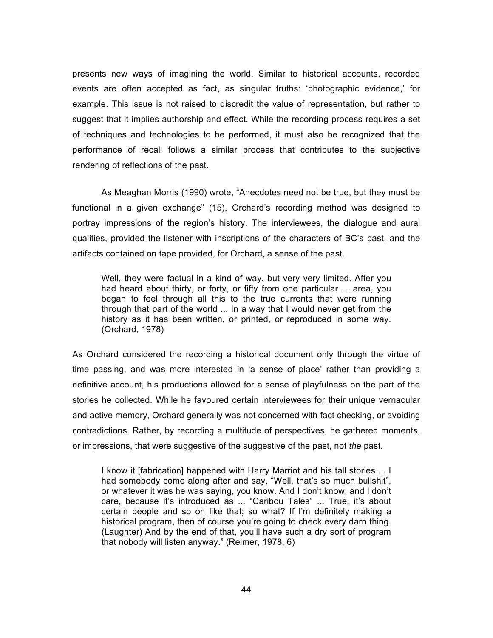presents new ways of imagining the world. Similar to historical accounts, recorded events are often accepted as fact, as singular truths: 'photographic evidence,' for example. This issue is not raised to discredit the value of representation, but rather to suggest that it implies authorship and effect. While the recording process requires a set of techniques and technologies to be performed, it must also be recognized that the performance of recall follows a similar process that contributes to the subjective rendering of reflections of the past.

As Meaghan Morris (1990) wrote, "Anecdotes need not be true, but they must be functional in a given exchange" (15), Orchard's recording method was designed to portray impressions of the region's history. The interviewees, the dialogue and aural qualities, provided the listener with inscriptions of the characters of BC's past, and the artifacts contained on tape provided, for Orchard, a sense of the past.

Well, they were factual in a kind of way, but very very limited. After you had heard about thirty, or forty, or fifty from one particular ... area, you began to feel through all this to the true currents that were running through that part of the world ... In a way that I would never get from the history as it has been written, or printed, or reproduced in some way. (Orchard, 1978)

As Orchard considered the recording a historical document only through the virtue of time passing, and was more interested in 'a sense of place' rather than providing a definitive account, his productions allowed for a sense of playfulness on the part of the stories he collected. While he favoured certain interviewees for their unique vernacular and active memory, Orchard generally was not concerned with fact checking, or avoiding contradictions. Rather, by recording a multitude of perspectives, he gathered moments, or impressions, that were suggestive of the suggestive of the past, not *the* past.

I know it [fabrication] happened with Harry Marriot and his tall stories ... I had somebody come along after and say, "Well, that's so much bullshit", or whatever it was he was saying, you know. And I don't know, and I don't care, because it's introduced as ... "Caribou Tales" ... True, it's about certain people and so on like that; so what? If I'm definitely making a historical program, then of course you're going to check every darn thing. (Laughter) And by the end of that, you'll have such a dry sort of program that nobody will listen anyway." (Reimer, 1978, 6)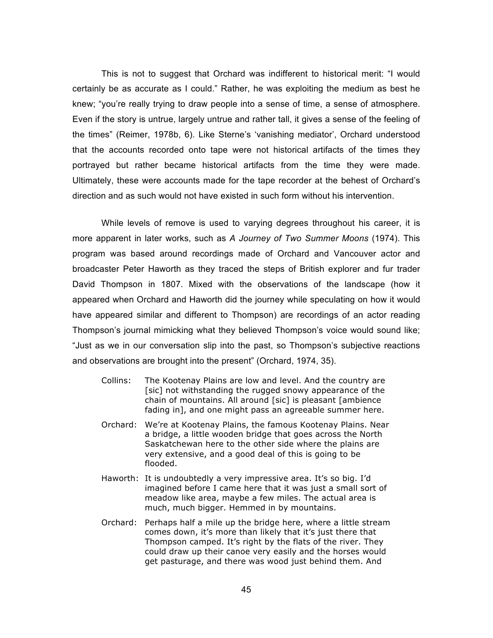This is not to suggest that Orchard was indifferent to historical merit: "I would certainly be as accurate as I could." Rather, he was exploiting the medium as best he knew; "you're really trying to draw people into a sense of time, a sense of atmosphere. Even if the story is untrue, largely untrue and rather tall, it gives a sense of the feeling of the times" (Reimer, 1978b, 6). Like Sterne's 'vanishing mediator', Orchard understood that the accounts recorded onto tape were not historical artifacts of the times they portrayed but rather became historical artifacts from the time they were made. Ultimately, these were accounts made for the tape recorder at the behest of Orchard's direction and as such would not have existed in such form without his intervention.

While levels of remove is used to varying degrees throughout his career, it is more apparent in later works, such as *A Journey of Two Summer Moons* (1974). This program was based around recordings made of Orchard and Vancouver actor and broadcaster Peter Haworth as they traced the steps of British explorer and fur trader David Thompson in 1807. Mixed with the observations of the landscape (how it appeared when Orchard and Haworth did the journey while speculating on how it would have appeared similar and different to Thompson) are recordings of an actor reading Thompson's journal mimicking what they believed Thompson's voice would sound like; "Just as we in our conversation slip into the past, so Thompson's subjective reactions and observations are brought into the present" (Orchard, 1974, 35).

- Collins: The Kootenay Plains are low and level. And the country are [sic] not withstanding the rugged snowy appearance of the chain of mountains. All around [sic] is pleasant [ambience fading in], and one might pass an agreeable summer here.
- Orchard: We're at Kootenay Plains, the famous Kootenay Plains. Near a bridge, a little wooden bridge that goes across the North Saskatchewan here to the other side where the plains are very extensive, and a good deal of this is going to be flooded.
- Haworth: It is undoubtedly a very impressive area. It's so big. I'd imagined before I came here that it was just a small sort of meadow like area, maybe a few miles. The actual area is much, much bigger. Hemmed in by mountains.
- Orchard: Perhaps half a mile up the bridge here, where a little stream comes down, it's more than likely that it's just there that Thompson camped. It's right by the flats of the river. They could draw up their canoe very easily and the horses would get pasturage, and there was wood just behind them. And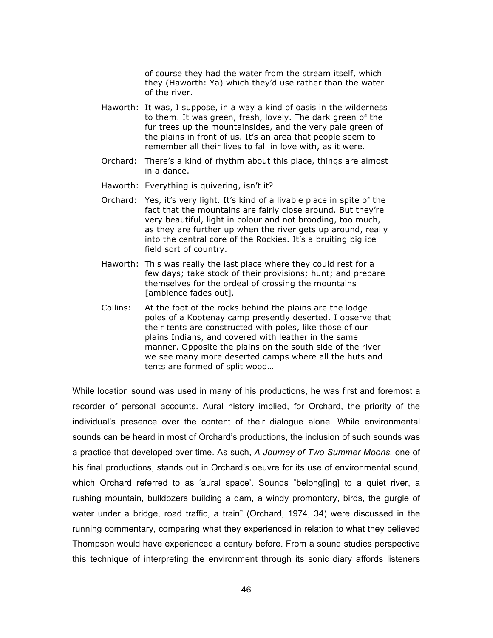of course they had the water from the stream itself, which they (Haworth: Ya) which they'd use rather than the water of the river.

- Haworth: It was, I suppose, in a way a kind of oasis in the wilderness to them. It was green, fresh, lovely. The dark green of the fur trees up the mountainsides, and the very pale green of the plains in front of us. It's an area that people seem to remember all their lives to fall in love with, as it were.
- Orchard: There's a kind of rhythm about this place, things are almost in a dance.
- Haworth: Everything is quivering, isn't it?
- Orchard: Yes, it's very light. It's kind of a livable place in spite of the fact that the mountains are fairly close around. But they're very beautiful, light in colour and not brooding, too much, as they are further up when the river gets up around, really into the central core of the Rockies. It's a bruiting big ice field sort of country.
- Haworth: This was really the last place where they could rest for a few days; take stock of their provisions; hunt; and prepare themselves for the ordeal of crossing the mountains [ambience fades out].
- Collins: At the foot of the rocks behind the plains are the lodge poles of a Kootenay camp presently deserted. I observe that their tents are constructed with poles, like those of our plains Indians, and covered with leather in the same manner. Opposite the plains on the south side of the river we see many more deserted camps where all the huts and tents are formed of split wood…

While location sound was used in many of his productions, he was first and foremost a recorder of personal accounts. Aural history implied, for Orchard, the priority of the individual's presence over the content of their dialogue alone. While environmental sounds can be heard in most of Orchard's productions, the inclusion of such sounds was a practice that developed over time. As such, *A Journey of Two Summer Moons,* one of his final productions, stands out in Orchard's oeuvre for its use of environmental sound, which Orchard referred to as 'aural space'. Sounds "belong[ing] to a quiet river, a rushing mountain, bulldozers building a dam, a windy promontory, birds, the gurgle of water under a bridge, road traffic, a train" (Orchard, 1974, 34) were discussed in the running commentary, comparing what they experienced in relation to what they believed Thompson would have experienced a century before. From a sound studies perspective this technique of interpreting the environment through its sonic diary affords listeners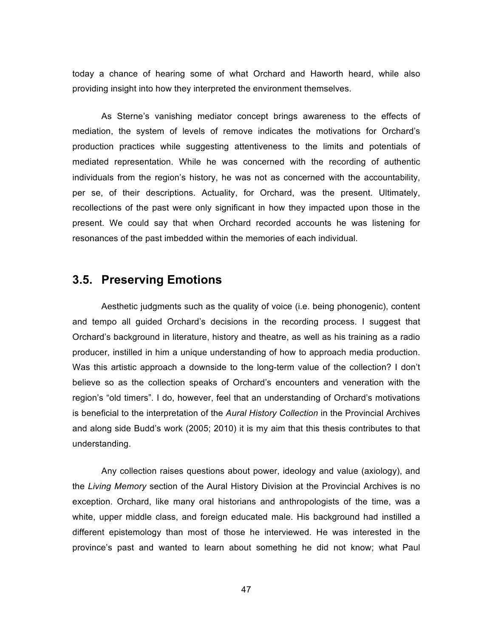today a chance of hearing some of what Orchard and Haworth heard, while also providing insight into how they interpreted the environment themselves.

As Sterne's vanishing mediator concept brings awareness to the effects of mediation, the system of levels of remove indicates the motivations for Orchard's production practices while suggesting attentiveness to the limits and potentials of mediated representation. While he was concerned with the recording of authentic individuals from the region's history, he was not as concerned with the accountability, per se, of their descriptions. Actuality, for Orchard, was the present. Ultimately, recollections of the past were only significant in how they impacted upon those in the present. We could say that when Orchard recorded accounts he was listening for resonances of the past imbedded within the memories of each individual.

# **3.5. Preserving Emotions**

Aesthetic judgments such as the quality of voice (i.e. being phonogenic), content and tempo all guided Orchard's decisions in the recording process. I suggest that Orchard's background in literature, history and theatre, as well as his training as a radio producer, instilled in him a unique understanding of how to approach media production. Was this artistic approach a downside to the long-term value of the collection? I don't believe so as the collection speaks of Orchard's encounters and veneration with the region's "old timers". I do, however, feel that an understanding of Orchard's motivations is beneficial to the interpretation of the *Aural History Collection* in the Provincial Archives and along side Budd's work (2005; 2010) it is my aim that this thesis contributes to that understanding.

Any collection raises questions about power, ideology and value (axiology), and the *Living Memory* section of the Aural History Division at the Provincial Archives is no exception. Orchard, like many oral historians and anthropologists of the time, was a white, upper middle class, and foreign educated male. His background had instilled a different epistemology than most of those he interviewed. He was interested in the province's past and wanted to learn about something he did not know; what Paul

47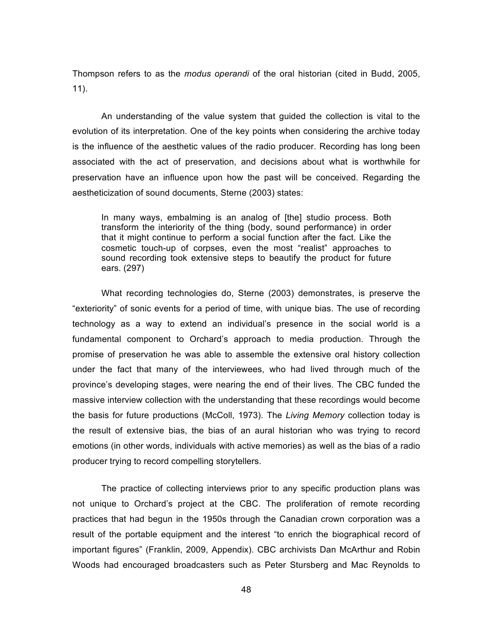Thompson refers to as the *modus operandi* of the oral historian (cited in Budd, 2005, 11).

An understanding of the value system that guided the collection is vital to the evolution of its interpretation. One of the key points when considering the archive today is the influence of the aesthetic values of the radio producer. Recording has long been associated with the act of preservation, and decisions about what is worthwhile for preservation have an influence upon how the past will be conceived. Regarding the aestheticization of sound documents, Sterne (2003) states:

In many ways, embalming is an analog of [the] studio process. Both transform the interiority of the thing (body, sound performance) in order that it might continue to perform a social function after the fact. Like the cosmetic touch-up of corpses, even the most "realist" approaches to sound recording took extensive steps to beautify the product for future ears. (297)

What recording technologies do, Sterne (2003) demonstrates, is preserve the "exteriority" of sonic events for a period of time, with unique bias. The use of recording technology as a way to extend an individual's presence in the social world is a fundamental component to Orchard's approach to media production. Through the promise of preservation he was able to assemble the extensive oral history collection under the fact that many of the interviewees, who had lived through much of the province's developing stages, were nearing the end of their lives. The CBC funded the massive interview collection with the understanding that these recordings would become the basis for future productions (McColl, 1973). The *Living Memory* collection today is the result of extensive bias, the bias of an aural historian who was trying to record emotions (in other words, individuals with active memories) as well as the bias of a radio producer trying to record compelling storytellers.

The practice of collecting interviews prior to any specific production plans was not unique to Orchard's project at the CBC. The proliferation of remote recording practices that had begun in the 1950s through the Canadian crown corporation was a result of the portable equipment and the interest "to enrich the biographical record of important figures" (Franklin, 2009, Appendix). CBC archivists Dan McArthur and Robin Woods had encouraged broadcasters such as Peter Stursberg and Mac Reynolds to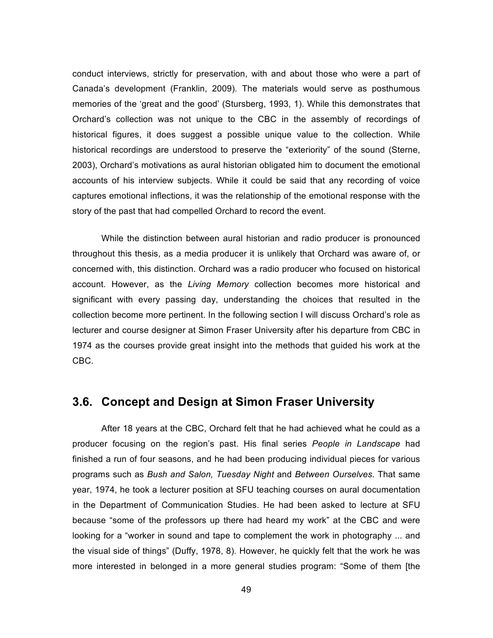conduct interviews, strictly for preservation, with and about those who were a part of Canada's development (Franklin, 2009). The materials would serve as posthumous memories of the 'great and the good' (Stursberg, 1993, 1). While this demonstrates that Orchard's collection was not unique to the CBC in the assembly of recordings of historical figures, it does suggest a possible unique value to the collection. While historical recordings are understood to preserve the "exteriority" of the sound (Sterne, 2003), Orchard's motivations as aural historian obligated him to document the emotional accounts of his interview subjects. While it could be said that any recording of voice captures emotional inflections, it was the relationship of the emotional response with the story of the past that had compelled Orchard to record the event.

While the distinction between aural historian and radio producer is pronounced throughout this thesis, as a media producer it is unlikely that Orchard was aware of, or concerned with, this distinction. Orchard was a radio producer who focused on historical account. However, as the *Living Memory* collection becomes more historical and significant with every passing day, understanding the choices that resulted in the collection become more pertinent. In the following section I will discuss Orchard's role as lecturer and course designer at Simon Fraser University after his departure from CBC in 1974 as the courses provide great insight into the methods that guided his work at the CBC.

# **3.6. Concept and Design at Simon Fraser University**

After 18 years at the CBC, Orchard felt that he had achieved what he could as a producer focusing on the region's past. His final series *People in Landscape* had finished a run of four seasons, and he had been producing individual pieces for various programs such as *Bush and Salon, Tuesday Night* and *Between Ourselves.* That same year, 1974, he took a lecturer position at SFU teaching courses on aural documentation in the Department of Communication Studies. He had been asked to lecture at SFU because "some of the professors up there had heard my work" at the CBC and were looking for a "worker in sound and tape to complement the work in photography ... and the visual side of things" (Duffy, 1978, 8). However, he quickly felt that the work he was more interested in belonged in a more general studies program: "Some of them [the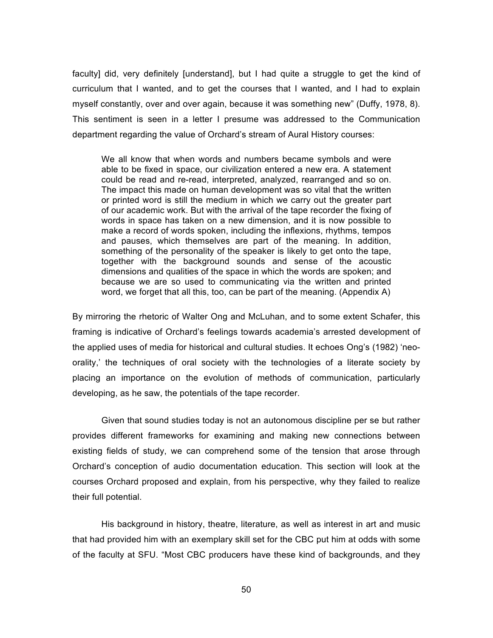faculty] did, very definitely [understand], but I had quite a struggle to get the kind of curriculum that I wanted, and to get the courses that I wanted, and I had to explain myself constantly, over and over again, because it was something new" (Duffy, 1978, 8). This sentiment is seen in a letter I presume was addressed to the Communication department regarding the value of Orchard's stream of Aural History courses:

We all know that when words and numbers became symbols and were able to be fixed in space, our civilization entered a new era. A statement could be read and re-read, interpreted, analyzed, rearranged and so on. The impact this made on human development was so vital that the written or printed word is still the medium in which we carry out the greater part of our academic work. But with the arrival of the tape recorder the fixing of words in space has taken on a new dimension, and it is now possible to make a record of words spoken, including the inflexions, rhythms, tempos and pauses, which themselves are part of the meaning. In addition, something of the personality of the speaker is likely to get onto the tape, together with the background sounds and sense of the acoustic dimensions and qualities of the space in which the words are spoken; and because we are so used to communicating via the written and printed word, we forget that all this, too, can be part of the meaning. (Appendix A)

By mirroring the rhetoric of Walter Ong and McLuhan, and to some extent Schafer, this framing is indicative of Orchard's feelings towards academia's arrested development of the applied uses of media for historical and cultural studies. It echoes Ong's (1982) 'neoorality,' the techniques of oral society with the technologies of a literate society by placing an importance on the evolution of methods of communication, particularly developing, as he saw, the potentials of the tape recorder.

Given that sound studies today is not an autonomous discipline per se but rather provides different frameworks for examining and making new connections between existing fields of study, we can comprehend some of the tension that arose through Orchard's conception of audio documentation education. This section will look at the courses Orchard proposed and explain, from his perspective, why they failed to realize their full potential.

His background in history, theatre, literature, as well as interest in art and music that had provided him with an exemplary skill set for the CBC put him at odds with some of the faculty at SFU. "Most CBC producers have these kind of backgrounds, and they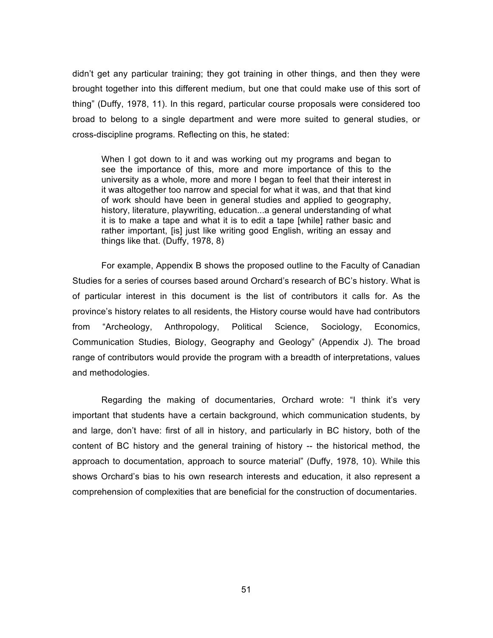didn't get any particular training; they got training in other things, and then they were brought together into this different medium, but one that could make use of this sort of thing" (Duffy, 1978, 11). In this regard, particular course proposals were considered too broad to belong to a single department and were more suited to general studies, or cross-discipline programs. Reflecting on this, he stated:

When I got down to it and was working out my programs and began to see the importance of this, more and more importance of this to the university as a whole, more and more I began to feel that their interest in it was altogether too narrow and special for what it was, and that that kind of work should have been in general studies and applied to geography, history, literature, playwriting, education...a general understanding of what it is to make a tape and what it is to edit a tape [while] rather basic and rather important, [is] just like writing good English, writing an essay and things like that. (Duffy, 1978, 8)

For example, Appendix B shows the proposed outline to the Faculty of Canadian Studies for a series of courses based around Orchard's research of BC's history. What is of particular interest in this document is the list of contributors it calls for. As the province's history relates to all residents, the History course would have had contributors from "Archeology, Anthropology, Political Science, Sociology, Economics, Communication Studies, Biology, Geography and Geology" (Appendix J). The broad range of contributors would provide the program with a breadth of interpretations, values and methodologies.

Regarding the making of documentaries, Orchard wrote: "I think it's very important that students have a certain background, which communication students, by and large, don't have: first of all in history, and particularly in BC history, both of the content of BC history and the general training of history -- the historical method, the approach to documentation, approach to source material" (Duffy, 1978, 10). While this shows Orchard's bias to his own research interests and education, it also represent a comprehension of complexities that are beneficial for the construction of documentaries.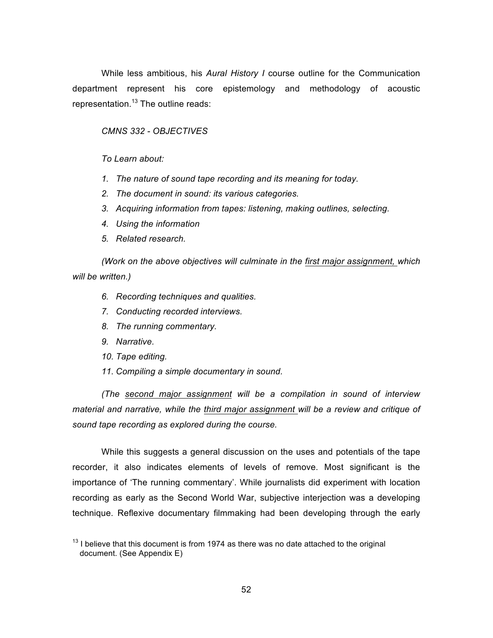While less ambitious, his *Aural History I* course outline for the Communication department represent his core epistemology and methodology of acoustic representation.<sup>13</sup> The outline reads:

#### *CMNS 332 - OBJECTIVES*

*To Learn about:*

- *1. The nature of sound tape recording and its meaning for today.*
- *2. The document in sound: its various categories.*
- *3. Acquiring information from tapes: listening, making outlines, selecting.*
- *4. Using the information*
- *5. Related research.*

*(Work on the above objectives will culminate in the first major assignment, which will be written.)*

- *6. Recording techniques and qualities.*
- *7. Conducting recorded interviews.*
- *8. The running commentary.*
- *9. Narrative.*
- *10. Tape editing.*
- *11. Compiling a simple documentary in sound.*

*(The second major assignment will be a compilation in sound of interview material and narrative, while the third major assignment will be a review and critique of sound tape recording as explored during the course.*

While this suggests a general discussion on the uses and potentials of the tape recorder, it also indicates elements of levels of remove. Most significant is the importance of 'The running commentary'. While journalists did experiment with location recording as early as the Second World War, subjective interjection was a developing technique. Reflexive documentary filmmaking had been developing through the early

 $13$  I believe that this document is from 1974 as there was no date attached to the original document. (See Appendix E)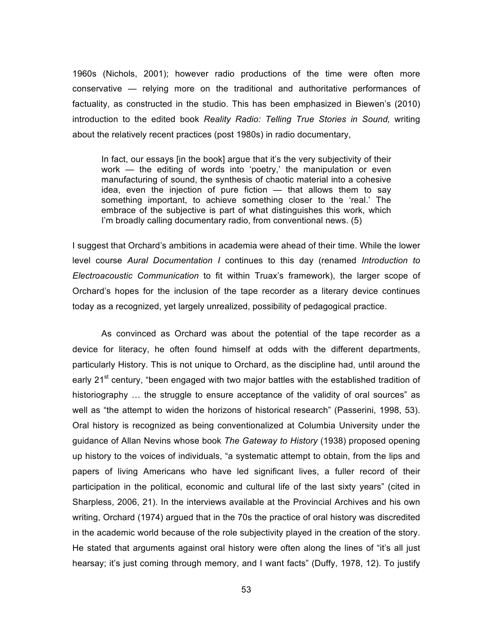1960s (Nichols, 2001); however radio productions of the time were often more conservative — relying more on the traditional and authoritative performances of factuality, as constructed in the studio. This has been emphasized in Biewen's (2010) introduction to the edited book *Reality Radio: Telling True Stories in Sound,* writing about the relatively recent practices (post 1980s) in radio documentary,

In fact, our essays [in the book] argue that it's the very subjectivity of their work — the editing of words into 'poetry,' the manipulation or even manufacturing of sound, the synthesis of chaotic material into a cohesive idea, even the injection of pure fiction — that allows them to say something important, to achieve something closer to the 'real.' The embrace of the subjective is part of what distinguishes this work, which I'm broadly calling documentary radio, from conventional news. (5)

I suggest that Orchard's ambitions in academia were ahead of their time. While the lower level course *Aural Documentation I* continues to this day (renamed *Introduction to Electroacoustic Communication* to fit within Truax's framework), the larger scope of Orchard's hopes for the inclusion of the tape recorder as a literary device continues today as a recognized, yet largely unrealized, possibility of pedagogical practice.

As convinced as Orchard was about the potential of the tape recorder as a device for literacy, he often found himself at odds with the different departments, particularly History. This is not unique to Orchard, as the discipline had, until around the early 21<sup>st</sup> century, "been engaged with two major battles with the established tradition of historiography  $\ldots$  the struggle to ensure acceptance of the validity of oral sources" as well as "the attempt to widen the horizons of historical research" (Passerini, 1998, 53). Oral history is recognized as being conventionalized at Columbia University under the guidance of Allan Nevins whose book *The Gateway to History* (1938) proposed opening up history to the voices of individuals, "a systematic attempt to obtain, from the lips and papers of living Americans who have led significant lives, a fuller record of their participation in the political, economic and cultural life of the last sixty years" (cited in Sharpless, 2006, 21). In the interviews available at the Provincial Archives and his own writing, Orchard (1974) argued that in the 70s the practice of oral history was discredited in the academic world because of the role subjectivity played in the creation of the story. He stated that arguments against oral history were often along the lines of "it's all just hearsay; it's just coming through memory, and I want facts" (Duffy, 1978, 12). To justify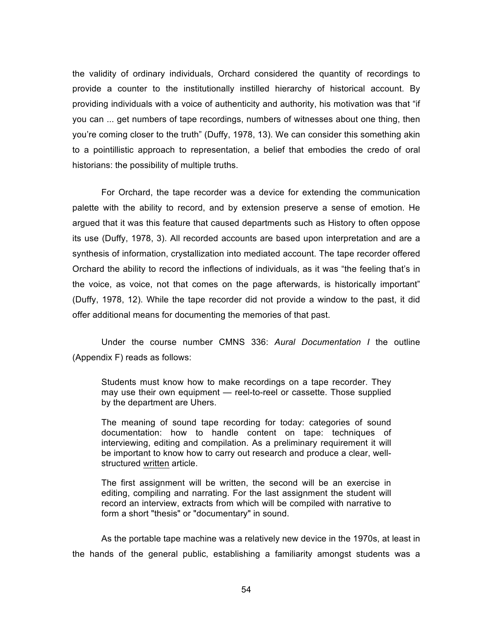the validity of ordinary individuals, Orchard considered the quantity of recordings to provide a counter to the institutionally instilled hierarchy of historical account. By providing individuals with a voice of authenticity and authority, his motivation was that "if you can ... get numbers of tape recordings, numbers of witnesses about one thing, then you're coming closer to the truth" (Duffy, 1978, 13). We can consider this something akin to a pointillistic approach to representation, a belief that embodies the credo of oral historians: the possibility of multiple truths.

For Orchard, the tape recorder was a device for extending the communication palette with the ability to record, and by extension preserve a sense of emotion. He argued that it was this feature that caused departments such as History to often oppose its use (Duffy, 1978, 3). All recorded accounts are based upon interpretation and are a synthesis of information, crystallization into mediated account. The tape recorder offered Orchard the ability to record the inflections of individuals, as it was "the feeling that's in the voice, as voice, not that comes on the page afterwards, is historically important" (Duffy, 1978, 12). While the tape recorder did not provide a window to the past, it did offer additional means for documenting the memories of that past.

Under the course number CMNS 336: *Aural Documentation I* the outline (Appendix F) reads as follows:

Students must know how to make recordings on a tape recorder. They may use their own equipment — reel-to-reel or cassette. Those supplied by the department are Uhers.

The meaning of sound tape recording for today: categories of sound documentation: how to handle content on tape: techniques of interviewing, editing and compilation. As a preliminary requirement it will be important to know how to carry out research and produce a clear, wellstructured written article.

The first assignment will be written, the second will be an exercise in editing, compiling and narrating. For the last assignment the student will record an interview, extracts from which will be compiled with narrative to form a short "thesis" or "documentary" in sound.

As the portable tape machine was a relatively new device in the 1970s, at least in the hands of the general public, establishing a familiarity amongst students was a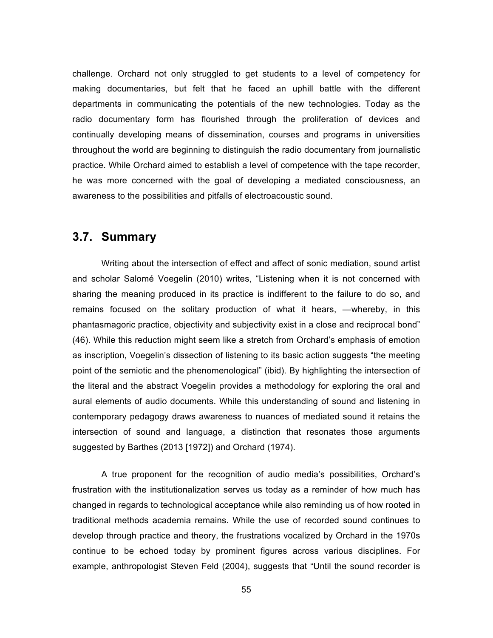challenge. Orchard not only struggled to get students to a level of competency for making documentaries, but felt that he faced an uphill battle with the different departments in communicating the potentials of the new technologies. Today as the radio documentary form has flourished through the proliferation of devices and continually developing means of dissemination, courses and programs in universities throughout the world are beginning to distinguish the radio documentary from journalistic practice. While Orchard aimed to establish a level of competence with the tape recorder, he was more concerned with the goal of developing a mediated consciousness, an awareness to the possibilities and pitfalls of electroacoustic sound.

# **3.7. Summary**

Writing about the intersection of effect and affect of sonic mediation, sound artist and scholar Salomé Voegelin (2010) writes, "Listening when it is not concerned with sharing the meaning produced in its practice is indifferent to the failure to do so, and remains focused on the solitary production of what it hears, —whereby, in this phantasmagoric practice, objectivity and subjectivity exist in a close and reciprocal bond" (46). While this reduction might seem like a stretch from Orchard's emphasis of emotion as inscription, Voegelin's dissection of listening to its basic action suggests "the meeting point of the semiotic and the phenomenological" (ibid). By highlighting the intersection of the literal and the abstract Voegelin provides a methodology for exploring the oral and aural elements of audio documents. While this understanding of sound and listening in contemporary pedagogy draws awareness to nuances of mediated sound it retains the intersection of sound and language, a distinction that resonates those arguments suggested by Barthes (2013 [1972]) and Orchard (1974).

A true proponent for the recognition of audio media's possibilities, Orchard's frustration with the institutionalization serves us today as a reminder of how much has changed in regards to technological acceptance while also reminding us of how rooted in traditional methods academia remains. While the use of recorded sound continues to develop through practice and theory, the frustrations vocalized by Orchard in the 1970s continue to be echoed today by prominent figures across various disciplines. For example, anthropologist Steven Feld (2004), suggests that "Until the sound recorder is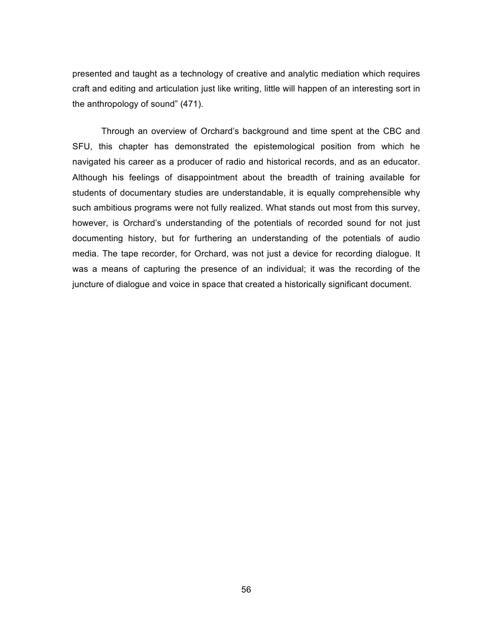presented and taught as a technology of creative and analytic mediation which requires craft and editing and articulation just like writing, little will happen of an interesting sort in the anthropology of sound" (471).

Through an overview of Orchard's background and time spent at the CBC and SFU, this chapter has demonstrated the epistemological position from which he navigated his career as a producer of radio and historical records, and as an educator. Although his feelings of disappointment about the breadth of training available for students of documentary studies are understandable, it is equally comprehensible why such ambitious programs were not fully realized. What stands out most from this survey, however, is Orchard's understanding of the potentials of recorded sound for not just documenting history, but for furthering an understanding of the potentials of audio media. The tape recorder, for Orchard, was not just a device for recording dialogue. It was a means of capturing the presence of an individual; it was the recording of the juncture of dialogue and voice in space that created a historically significant document.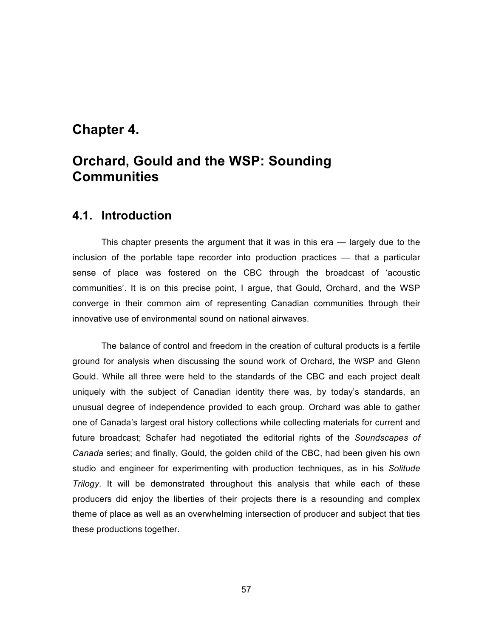# **Chapter 4.**

# **Orchard, Gould and the WSP: Sounding Communities**

### **4.1. Introduction**

This chapter presents the argument that it was in this era — largely due to the inclusion of the portable tape recorder into production practices — that a particular sense of place was fostered on the CBC through the broadcast of 'acoustic communities'. It is on this precise point, I argue, that Gould, Orchard, and the WSP converge in their common aim of representing Canadian communities through their innovative use of environmental sound on national airwaves.

The balance of control and freedom in the creation of cultural products is a fertile ground for analysis when discussing the sound work of Orchard, the WSP and Glenn Gould. While all three were held to the standards of the CBC and each project dealt uniquely with the subject of Canadian identity there was, by today's standards, an unusual degree of independence provided to each group. Orchard was able to gather one of Canada's largest oral history collections while collecting materials for current and future broadcast; Schafer had negotiated the editorial rights of the *Soundscapes of Canada* series; and finally, Gould, the golden child of the CBC, had been given his own studio and engineer for experimenting with production techniques, as in his *Solitude Trilogy*. It will be demonstrated throughout this analysis that while each of these producers did enjoy the liberties of their projects there is a resounding and complex theme of place as well as an overwhelming intersection of producer and subject that ties these productions together.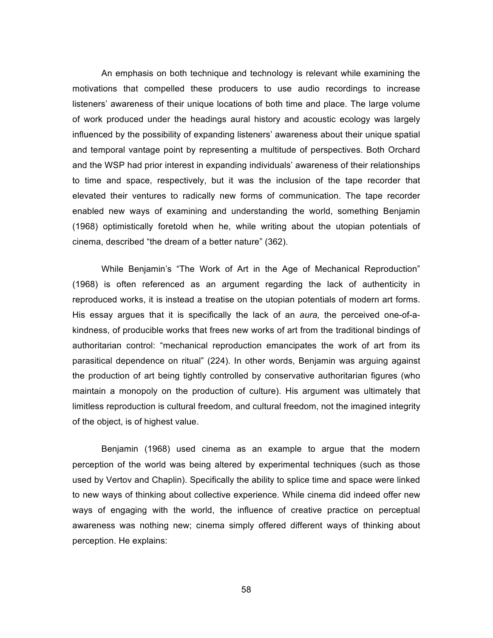An emphasis on both technique and technology is relevant while examining the motivations that compelled these producers to use audio recordings to increase listeners' awareness of their unique locations of both time and place. The large volume of work produced under the headings aural history and acoustic ecology was largely influenced by the possibility of expanding listeners' awareness about their unique spatial and temporal vantage point by representing a multitude of perspectives. Both Orchard and the WSP had prior interest in expanding individuals' awareness of their relationships to time and space, respectively, but it was the inclusion of the tape recorder that elevated their ventures to radically new forms of communication. The tape recorder enabled new ways of examining and understanding the world, something Benjamin (1968) optimistically foretold when he, while writing about the utopian potentials of cinema, described "the dream of a better nature" (362).

While Benjamin's "The Work of Art in the Age of Mechanical Reproduction" (1968) is often referenced as an argument regarding the lack of authenticity in reproduced works, it is instead a treatise on the utopian potentials of modern art forms. His essay argues that it is specifically the lack of an *aura,* the perceived one-of-akindness, of producible works that frees new works of art from the traditional bindings of authoritarian control: "mechanical reproduction emancipates the work of art from its parasitical dependence on ritual" (224). In other words, Benjamin was arguing against the production of art being tightly controlled by conservative authoritarian figures (who maintain a monopoly on the production of culture). His argument was ultimately that limitless reproduction is cultural freedom, and cultural freedom, not the imagined integrity of the object, is of highest value.

Benjamin (1968) used cinema as an example to argue that the modern perception of the world was being altered by experimental techniques (such as those used by Vertov and Chaplin). Specifically the ability to splice time and space were linked to new ways of thinking about collective experience. While cinema did indeed offer new ways of engaging with the world, the influence of creative practice on perceptual awareness was nothing new; cinema simply offered different ways of thinking about perception. He explains:

58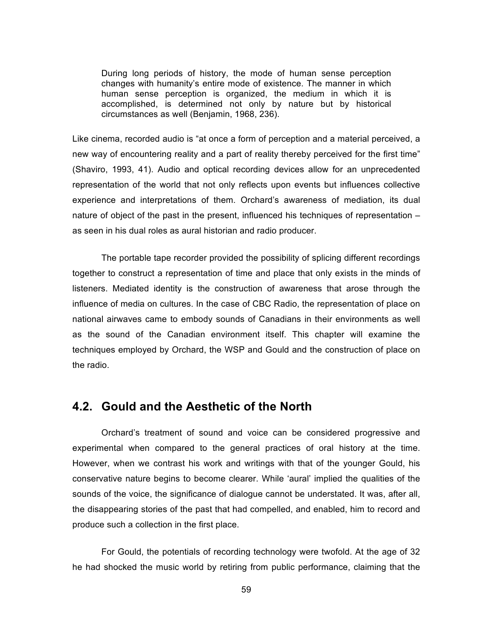During long periods of history, the mode of human sense perception changes with humanity's entire mode of existence. The manner in which human sense perception is organized, the medium in which it is accomplished, is determined not only by nature but by historical circumstances as well (Benjamin, 1968, 236).

Like cinema, recorded audio is "at once a form of perception and a material perceived, a new way of encountering reality and a part of reality thereby perceived for the first time" (Shaviro, 1993, 41). Audio and optical recording devices allow for an unprecedented representation of the world that not only reflects upon events but influences collective experience and interpretations of them. Orchard's awareness of mediation, its dual nature of object of the past in the present, influenced his techniques of representation – as seen in his dual roles as aural historian and radio producer.

The portable tape recorder provided the possibility of splicing different recordings together to construct a representation of time and place that only exists in the minds of listeners. Mediated identity is the construction of awareness that arose through the influence of media on cultures. In the case of CBC Radio, the representation of place on national airwaves came to embody sounds of Canadians in their environments as well as the sound of the Canadian environment itself. This chapter will examine the techniques employed by Orchard, the WSP and Gould and the construction of place on the radio.

### **4.2. Gould and the Aesthetic of the North**

Orchard's treatment of sound and voice can be considered progressive and experimental when compared to the general practices of oral history at the time. However, when we contrast his work and writings with that of the younger Gould, his conservative nature begins to become clearer. While 'aural' implied the qualities of the sounds of the voice, the significance of dialogue cannot be understated. It was, after all, the disappearing stories of the past that had compelled, and enabled, him to record and produce such a collection in the first place.

For Gould, the potentials of recording technology were twofold. At the age of 32 he had shocked the music world by retiring from public performance, claiming that the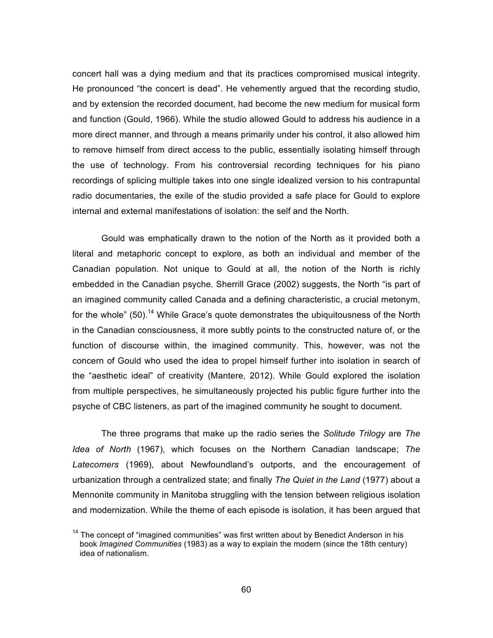concert hall was a dying medium and that its practices compromised musical integrity. He pronounced "the concert is dead". He vehemently argued that the recording studio, and by extension the recorded document, had become the new medium for musical form and function (Gould, 1966). While the studio allowed Gould to address his audience in a more direct manner, and through a means primarily under his control, it also allowed him to remove himself from direct access to the public, essentially isolating himself through the use of technology. From his controversial recording techniques for his piano recordings of splicing multiple takes into one single idealized version to his contrapuntal radio documentaries, the exile of the studio provided a safe place for Gould to explore internal and external manifestations of isolation: the self and the North.

Gould was emphatically drawn to the notion of the North as it provided both a literal and metaphoric concept to explore, as both an individual and member of the Canadian population. Not unique to Gould at all, the notion of the North is richly embedded in the Canadian psyche. Sherrill Grace (2002) suggests, the North "is part of an imagined community called Canada and a defining characteristic, a crucial metonym, for the whole" (50).<sup>14</sup> While Grace's quote demonstrates the ubiquitousness of the North in the Canadian consciousness, it more subtly points to the constructed nature of, or the function of discourse within, the imagined community. This, however, was not the concern of Gould who used the idea to propel himself further into isolation in search of the "aesthetic ideal" of creativity (Mantere, 2012). While Gould explored the isolation from multiple perspectives, he simultaneously projected his public figure further into the psyche of CBC listeners, as part of the imagined community he sought to document.

The three programs that make up the radio series the *Solitude Trilogy* are *The Idea of North* (1967), which focuses on the Northern Canadian landscape; *The Latecomers* (1969), about Newfoundland's outports, and the encouragement of urbanization through a centralized state; and finally *The Quiet in the Land* (1977) about a Mennonite community in Manitoba struggling with the tension between religious isolation and modernization. While the theme of each episode is isolation, it has been argued that

<sup>&</sup>lt;sup>14</sup> The concept of "imagined communities" was first written about by Benedict Anderson in his book *Imagined Communities* (1983) as a way to explain the modern (since the 18th century) idea of nationalism.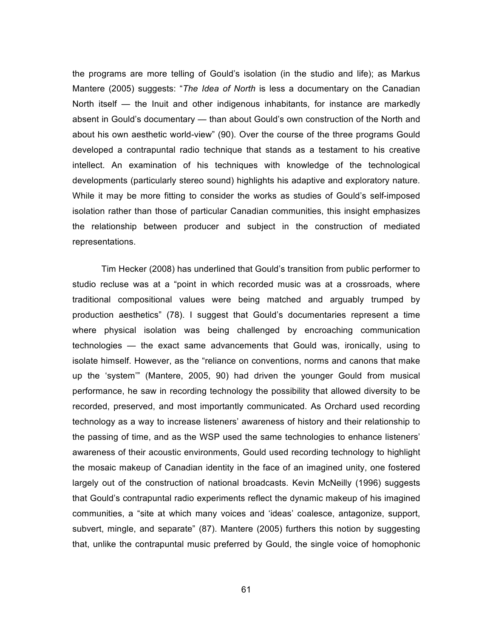the programs are more telling of Gould's isolation (in the studio and life); as Markus Mantere (2005) suggests: "*The Idea of North* is less a documentary on the Canadian North itself — the Inuit and other indigenous inhabitants, for instance are markedly absent in Gould's documentary — than about Gould's own construction of the North and about his own aesthetic world-view" (90). Over the course of the three programs Gould developed a contrapuntal radio technique that stands as a testament to his creative intellect. An examination of his techniques with knowledge of the technological developments (particularly stereo sound) highlights his adaptive and exploratory nature. While it may be more fitting to consider the works as studies of Gould's self-imposed isolation rather than those of particular Canadian communities, this insight emphasizes the relationship between producer and subject in the construction of mediated representations.

Tim Hecker (2008) has underlined that Gould's transition from public performer to studio recluse was at a "point in which recorded music was at a crossroads, where traditional compositional values were being matched and arguably trumped by production aesthetics" (78). I suggest that Gould's documentaries represent a time where physical isolation was being challenged by encroaching communication technologies — the exact same advancements that Gould was, ironically, using to isolate himself. However, as the "reliance on conventions, norms and canons that make up the 'system'" (Mantere, 2005, 90) had driven the younger Gould from musical performance, he saw in recording technology the possibility that allowed diversity to be recorded, preserved, and most importantly communicated. As Orchard used recording technology as a way to increase listeners' awareness of history and their relationship to the passing of time, and as the WSP used the same technologies to enhance listeners' awareness of their acoustic environments, Gould used recording technology to highlight the mosaic makeup of Canadian identity in the face of an imagined unity, one fostered largely out of the construction of national broadcasts. Kevin McNeilly (1996) suggests that Gould's contrapuntal radio experiments reflect the dynamic makeup of his imagined communities, a "site at which many voices and 'ideas' coalesce, antagonize, support, subvert, mingle, and separate" (87). Mantere (2005) furthers this notion by suggesting that, unlike the contrapuntal music preferred by Gould, the single voice of homophonic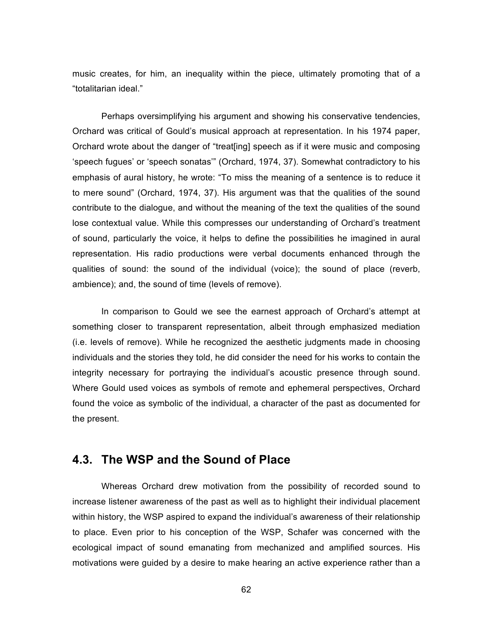music creates, for him, an inequality within the piece, ultimately promoting that of a "totalitarian ideal."

Perhaps oversimplifying his argument and showing his conservative tendencies, Orchard was critical of Gould's musical approach at representation. In his 1974 paper, Orchard wrote about the danger of "treat[ing] speech as if it were music and composing 'speech fugues' or 'speech sonatas'" (Orchard, 1974, 37). Somewhat contradictory to his emphasis of aural history, he wrote: "To miss the meaning of a sentence is to reduce it to mere sound" (Orchard, 1974, 37). His argument was that the qualities of the sound contribute to the dialogue, and without the meaning of the text the qualities of the sound lose contextual value. While this compresses our understanding of Orchard's treatment of sound, particularly the voice, it helps to define the possibilities he imagined in aural representation. His radio productions were verbal documents enhanced through the qualities of sound: the sound of the individual (voice); the sound of place (reverb, ambience); and, the sound of time (levels of remove).

In comparison to Gould we see the earnest approach of Orchard's attempt at something closer to transparent representation, albeit through emphasized mediation (i.e. levels of remove). While he recognized the aesthetic judgments made in choosing individuals and the stories they told, he did consider the need for his works to contain the integrity necessary for portraying the individual's acoustic presence through sound. Where Gould used voices as symbols of remote and ephemeral perspectives, Orchard found the voice as symbolic of the individual, a character of the past as documented for the present.

### **4.3. The WSP and the Sound of Place**

Whereas Orchard drew motivation from the possibility of recorded sound to increase listener awareness of the past as well as to highlight their individual placement within history, the WSP aspired to expand the individual's awareness of their relationship to place. Even prior to his conception of the WSP, Schafer was concerned with the ecological impact of sound emanating from mechanized and amplified sources. His motivations were guided by a desire to make hearing an active experience rather than a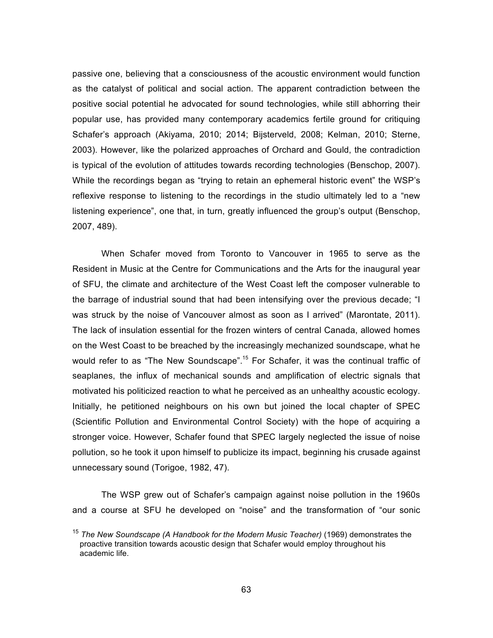passive one, believing that a consciousness of the acoustic environment would function as the catalyst of political and social action. The apparent contradiction between the positive social potential he advocated for sound technologies, while still abhorring their popular use, has provided many contemporary academics fertile ground for critiquing Schafer's approach (Akiyama, 2010; 2014; Bijsterveld, 2008; Kelman, 2010; Sterne, 2003). However, like the polarized approaches of Orchard and Gould, the contradiction is typical of the evolution of attitudes towards recording technologies (Benschop, 2007). While the recordings began as "trying to retain an ephemeral historic event" the WSP's reflexive response to listening to the recordings in the studio ultimately led to a "new listening experience", one that, in turn, greatly influenced the group's output (Benschop, 2007, 489).

When Schafer moved from Toronto to Vancouver in 1965 to serve as the Resident in Music at the Centre for Communications and the Arts for the inaugural year of SFU, the climate and architecture of the West Coast left the composer vulnerable to the barrage of industrial sound that had been intensifying over the previous decade; "I was struck by the noise of Vancouver almost as soon as I arrived" (Marontate, 2011). The lack of insulation essential for the frozen winters of central Canada, allowed homes on the West Coast to be breached by the increasingly mechanized soundscape, what he would refer to as "The New Soundscape".<sup>15</sup> For Schafer, it was the continual traffic of seaplanes, the influx of mechanical sounds and amplification of electric signals that motivated his politicized reaction to what he perceived as an unhealthy acoustic ecology. Initially, he petitioned neighbours on his own but joined the local chapter of SPEC (Scientific Pollution and Environmental Control Society) with the hope of acquiring a stronger voice. However, Schafer found that SPEC largely neglected the issue of noise pollution, so he took it upon himself to publicize its impact, beginning his crusade against unnecessary sound (Torigoe, 1982, 47).

The WSP grew out of Schafer's campaign against noise pollution in the 1960s and a course at SFU he developed on "noise" and the transformation of "our sonic

<sup>15</sup> *The New Soundscape (A Handbook for the Modern Music Teacher)* (1969) demonstrates the proactive transition towards acoustic design that Schafer would employ throughout his academic life.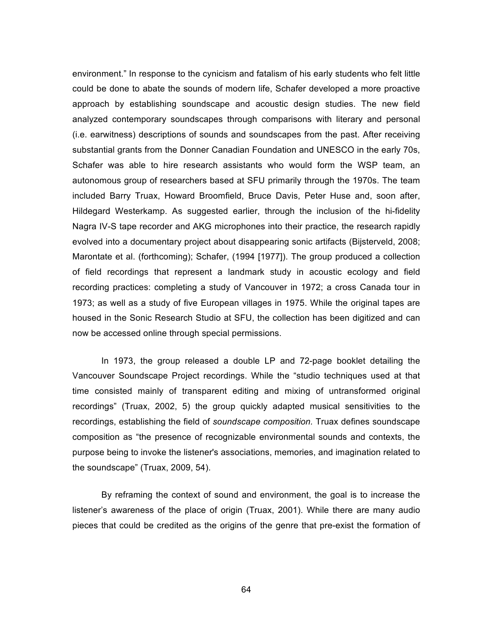environment." In response to the cynicism and fatalism of his early students who felt little could be done to abate the sounds of modern life, Schafer developed a more proactive approach by establishing soundscape and acoustic design studies. The new field analyzed contemporary soundscapes through comparisons with literary and personal (i.e. earwitness) descriptions of sounds and soundscapes from the past. After receiving substantial grants from the Donner Canadian Foundation and UNESCO in the early 70s, Schafer was able to hire research assistants who would form the WSP team, an autonomous group of researchers based at SFU primarily through the 1970s. The team included Barry Truax, Howard Broomfield, Bruce Davis, Peter Huse and, soon after, Hildegard Westerkamp. As suggested earlier, through the inclusion of the hi-fidelity Nagra IV-S tape recorder and AKG microphones into their practice, the research rapidly evolved into a documentary project about disappearing sonic artifacts (Bijsterveld, 2008; Marontate et al. (forthcoming); Schafer, (1994 [1977]). The group produced a collection of field recordings that represent a landmark study in acoustic ecology and field recording practices: completing a study of Vancouver in 1972; a cross Canada tour in 1973; as well as a study of five European villages in 1975. While the original tapes are housed in the Sonic Research Studio at SFU, the collection has been digitized and can now be accessed online through special permissions.

In 1973, the group released a double LP and 72-page booklet detailing the Vancouver Soundscape Project recordings. While the "studio techniques used at that time consisted mainly of transparent editing and mixing of untransformed original recordings" (Truax, 2002, 5) the group quickly adapted musical sensitivities to the recordings, establishing the field of *soundscape composition.* Truax defines soundscape composition as "the presence of recognizable environmental sounds and contexts, the purpose being to invoke the listener's associations, memories, and imagination related to the soundscape" (Truax, 2009, 54).

By reframing the context of sound and environment, the goal is to increase the listener's awareness of the place of origin (Truax, 2001). While there are many audio pieces that could be credited as the origins of the genre that pre-exist the formation of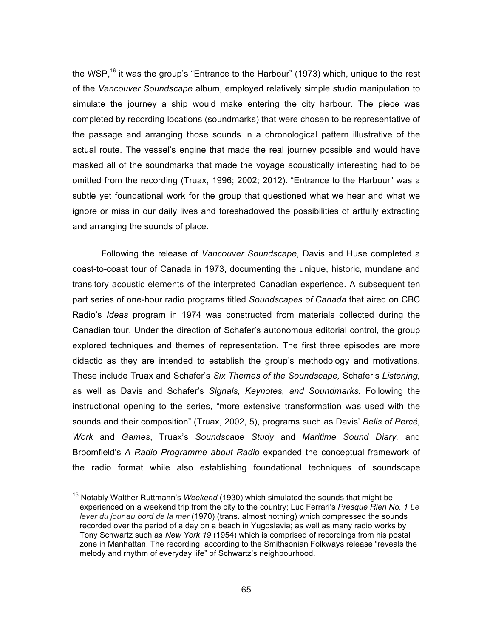the WSP,<sup>16</sup> it was the group's "Entrance to the Harbour" (1973) which, unique to the rest of the *Vancouver Soundscape* album, employed relatively simple studio manipulation to simulate the journey a ship would make entering the city harbour. The piece was completed by recording locations (soundmarks) that were chosen to be representative of the passage and arranging those sounds in a chronological pattern illustrative of the actual route. The vessel's engine that made the real journey possible and would have masked all of the soundmarks that made the voyage acoustically interesting had to be omitted from the recording (Truax, 1996; 2002; 2012). "Entrance to the Harbour" was a subtle yet foundational work for the group that questioned what we hear and what we ignore or miss in our daily lives and foreshadowed the possibilities of artfully extracting and arranging the sounds of place.

Following the release of *Vancouver Soundscape*, Davis and Huse completed a coast-to-coast tour of Canada in 1973, documenting the unique, historic, mundane and transitory acoustic elements of the interpreted Canadian experience. A subsequent ten part series of one-hour radio programs titled *Soundscapes of Canada* that aired on CBC Radio's *Ideas* program in 1974 was constructed from materials collected during the Canadian tour. Under the direction of Schafer's autonomous editorial control, the group explored techniques and themes of representation. The first three episodes are more didactic as they are intended to establish the group's methodology and motivations. These include Truax and Schafer's *Six Themes of the Soundscape,* Schafer's *Listening,*  as well as Davis and Schafer's *Signals, Keynotes, and Soundmarks.* Following the instructional opening to the series, "more extensive transformation was used with the sounds and their composition" (Truax, 2002, 5), programs such as Davis' *Bells of Percé, Work* and *Games*, Truax's *Soundscape Study* and *Maritime Sound Diary,* and Broomfield's *A Radio Programme about Radio* expanded the conceptual framework of the radio format while also establishing foundational techniques of soundscape

<sup>16</sup> Notably Walther Ruttmann's *Weekend* (1930) which simulated the sounds that might be experienced on a weekend trip from the city to the country; Luc Ferrari's *Presque Rien No. 1 Le lever du jour au bord de la mer* (1970) (trans. almost nothing) which compressed the sounds recorded over the period of a day on a beach in Yugoslavia; as well as many radio works by Tony Schwartz such as *New York 19* (1954) which is comprised of recordings from his postal zone in Manhattan. The recording, according to the Smithsonian Folkways release "reveals the melody and rhythm of everyday life" of Schwartz's neighbourhood.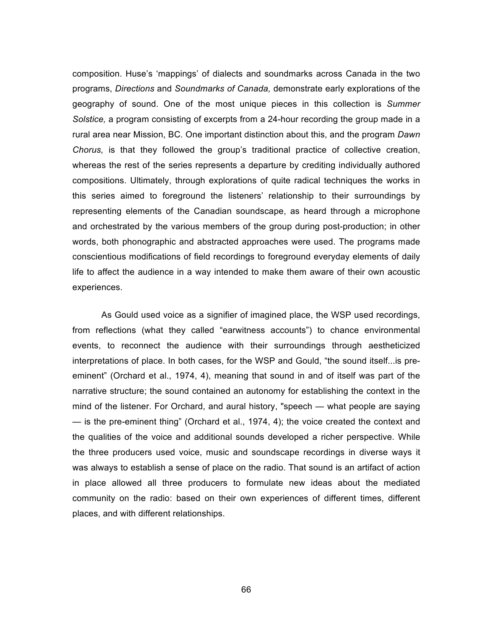composition. Huse's 'mappings' of dialects and soundmarks across Canada in the two programs, *Directions* and *Soundmarks of Canada,* demonstrate early explorations of the geography of sound. One of the most unique pieces in this collection is *Summer Solstice,* a program consisting of excerpts from a 24-hour recording the group made in a rural area near Mission, BC*.* One important distinction about this, and the program *Dawn Chorus,* is that they followed the group's traditional practice of collective creation, whereas the rest of the series represents a departure by crediting individually authored compositions. Ultimately, through explorations of quite radical techniques the works in this series aimed to foreground the listeners' relationship to their surroundings by representing elements of the Canadian soundscape, as heard through a microphone and orchestrated by the various members of the group during post-production; in other words, both phonographic and abstracted approaches were used. The programs made conscientious modifications of field recordings to foreground everyday elements of daily life to affect the audience in a way intended to make them aware of their own acoustic experiences.

As Gould used voice as a signifier of imagined place, the WSP used recordings, from reflections (what they called "earwitness accounts") to chance environmental events, to reconnect the audience with their surroundings through aestheticized interpretations of place. In both cases, for the WSP and Gould, "the sound itself...is preeminent" (Orchard et al., 1974, 4), meaning that sound in and of itself was part of the narrative structure; the sound contained an autonomy for establishing the context in the mind of the listener. For Orchard, and aural history, "speech — what people are saying — is the pre-eminent thing" (Orchard et al., 1974, 4); the voice created the context and the qualities of the voice and additional sounds developed a richer perspective. While the three producers used voice, music and soundscape recordings in diverse ways it was always to establish a sense of place on the radio. That sound is an artifact of action in place allowed all three producers to formulate new ideas about the mediated community on the radio: based on their own experiences of different times, different places, and with different relationships.

66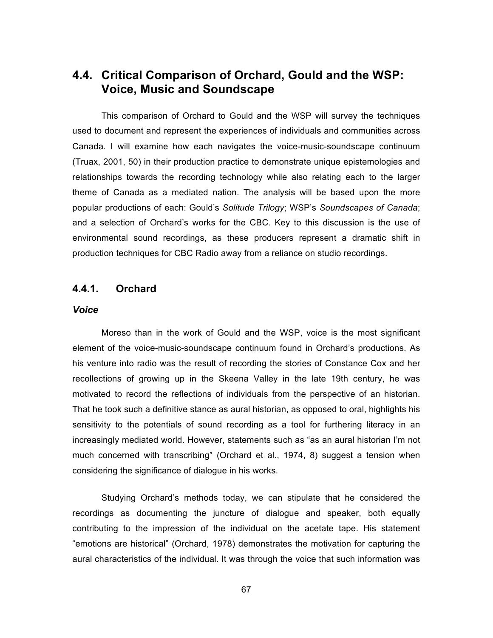# **4.4. Critical Comparison of Orchard, Gould and the WSP: Voice, Music and Soundscape**

This comparison of Orchard to Gould and the WSP will survey the techniques used to document and represent the experiences of individuals and communities across Canada. I will examine how each navigates the voice-music-soundscape continuum (Truax, 2001, 50) in their production practice to demonstrate unique epistemologies and relationships towards the recording technology while also relating each to the larger theme of Canada as a mediated nation. The analysis will be based upon the more popular productions of each: Gould's *Solitude Trilogy*; WSP's *Soundscapes of Canada*; and a selection of Orchard's works for the CBC. Key to this discussion is the use of environmental sound recordings, as these producers represent a dramatic shift in production techniques for CBC Radio away from a reliance on studio recordings.

# **4.4.1. Orchard**

#### *Voice*

Moreso than in the work of Gould and the WSP, voice is the most significant element of the voice-music-soundscape continuum found in Orchard's productions. As his venture into radio was the result of recording the stories of Constance Cox and her recollections of growing up in the Skeena Valley in the late 19th century, he was motivated to record the reflections of individuals from the perspective of an historian. That he took such a definitive stance as aural historian, as opposed to oral, highlights his sensitivity to the potentials of sound recording as a tool for furthering literacy in an increasingly mediated world. However, statements such as "as an aural historian I'm not much concerned with transcribing" (Orchard et al., 1974, 8) suggest a tension when considering the significance of dialogue in his works.

Studying Orchard's methods today, we can stipulate that he considered the recordings as documenting the juncture of dialogue and speaker, both equally contributing to the impression of the individual on the acetate tape. His statement "emotions are historical" (Orchard, 1978) demonstrates the motivation for capturing the aural characteristics of the individual. It was through the voice that such information was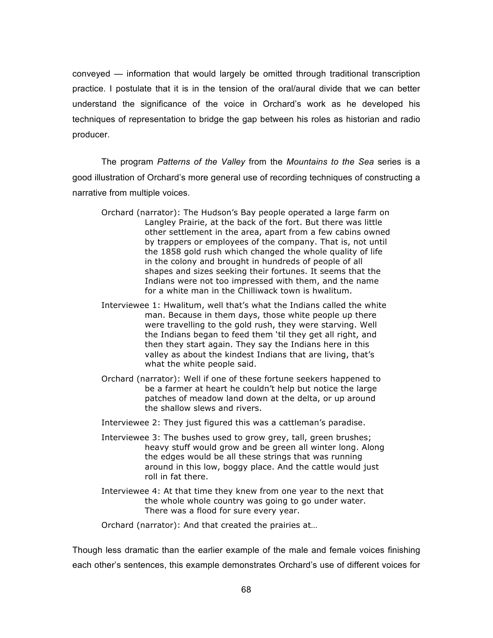conveyed — information that would largely be omitted through traditional transcription practice. I postulate that it is in the tension of the oral/aural divide that we can better understand the significance of the voice in Orchard's work as he developed his techniques of representation to bridge the gap between his roles as historian and radio producer.

The program *Patterns of the Valley* from the *Mountains to the Sea* series is a good illustration of Orchard's more general use of recording techniques of constructing a narrative from multiple voices.

- Orchard (narrator): The Hudson's Bay people operated a large farm on Langley Prairie, at the back of the fort. But there was little other settlement in the area, apart from a few cabins owned by trappers or employees of the company. That is, not until the 1858 gold rush which changed the whole quality of life in the colony and brought in hundreds of people of all shapes and sizes seeking their fortunes. It seems that the Indians were not too impressed with them, and the name for a white man in the Chilliwack town is hwalitum.
- Interviewee 1: Hwalitum, well that's what the Indians called the white man. Because in them days, those white people up there were travelling to the gold rush, they were starving. Well the Indians began to feed them 'til they get all right, and then they start again. They say the Indians here in this valley as about the kindest Indians that are living, that's what the white people said.
- Orchard (narrator): Well if one of these fortune seekers happened to be a farmer at heart he couldn't help but notice the large patches of meadow land down at the delta, or up around the shallow slews and rivers.
- Interviewee 2: They just figured this was a cattleman's paradise.
- Interviewee 3: The bushes used to grow grey, tall, green brushes; heavy stuff would grow and be green all winter long. Along the edges would be all these strings that was running around in this low, boggy place. And the cattle would just roll in fat there.
- Interviewee 4: At that time they knew from one year to the next that the whole whole country was going to go under water. There was a flood for sure every year.

Orchard (narrator): And that created the prairies at…

Though less dramatic than the earlier example of the male and female voices finishing each other's sentences, this example demonstrates Orchard's use of different voices for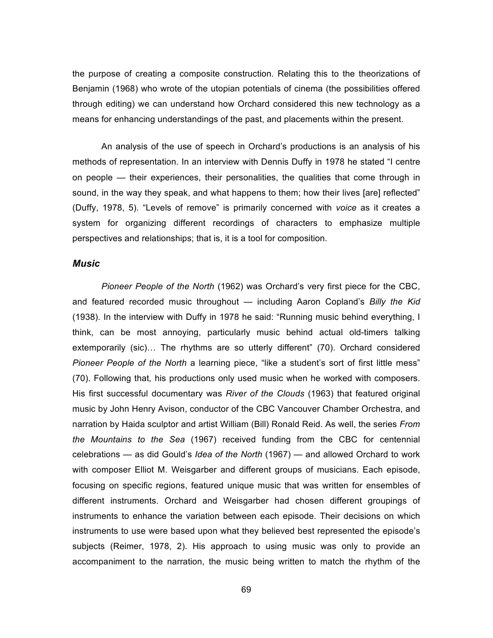the purpose of creating a composite construction. Relating this to the theorizations of Benjamin (1968) who wrote of the utopian potentials of cinema (the possibilities offered through editing) we can understand how Orchard considered this new technology as a means for enhancing understandings of the past, and placements within the present.

An analysis of the use of speech in Orchard's productions is an analysis of his methods of representation. In an interview with Dennis Duffy in 1978 he stated "I centre on people — their experiences, their personalities, the qualities that come through in sound, in the way they speak, and what happens to them; how their lives [are] reflected" (Duffy, 1978, 5). "Levels of remove" is primarily concerned with *voice* as it creates a system for organizing different recordings of characters to emphasize multiple perspectives and relationships; that is, it is a tool for composition.

#### *Music*

*Pioneer People of the North* (1962) was Orchard's very first piece for the CBC, and featured recorded music throughout — including Aaron Copland's *Billy the Kid* (1938). In the interview with Duffy in 1978 he said: "Running music behind everything, I think, can be most annoying, particularly music behind actual old-timers talking extemporarily (sic)... The rhythms are so utterly different" (70). Orchard considered *Pioneer People of the North* a learning piece, "like a student's sort of first little mess" (70). Following that*,* his productions only used music when he worked with composers. His first successful documentary was *River of the Clouds* (1963) that featured original music by John Henry Avison, conductor of the CBC Vancouver Chamber Orchestra, and narration by Haida sculptor and artist William (Bill) Ronald Reid. As well, the series *From the Mountains to the Sea* (1967) received funding from the CBC for centennial celebrations — as did Gould's *Idea of the North* (1967) — and allowed Orchard to work with composer Elliot M. Weisgarber and different groups of musicians. Each episode, focusing on specific regions, featured unique music that was written for ensembles of different instruments. Orchard and Weisgarber had chosen different groupings of instruments to enhance the variation between each episode. Their decisions on which instruments to use were based upon what they believed best represented the episode's subjects (Reimer, 1978, 2). His approach to using music was only to provide an accompaniment to the narration, the music being written to match the rhythm of the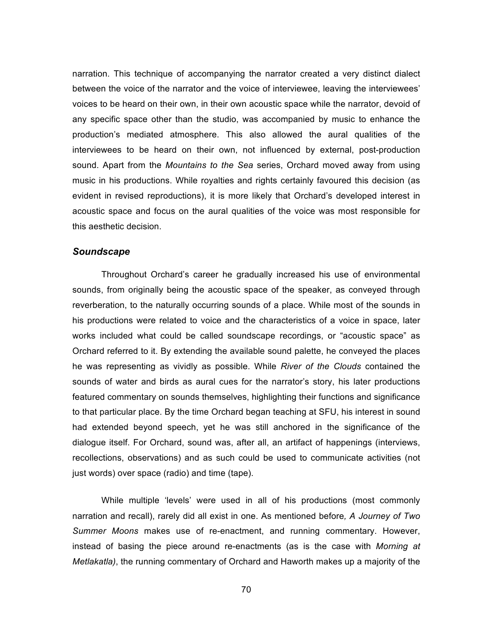narration. This technique of accompanying the narrator created a very distinct dialect between the voice of the narrator and the voice of interviewee, leaving the interviewees' voices to be heard on their own, in their own acoustic space while the narrator, devoid of any specific space other than the studio, was accompanied by music to enhance the production's mediated atmosphere. This also allowed the aural qualities of the interviewees to be heard on their own, not influenced by external, post-production sound. Apart from the *Mountains to the Sea* series, Orchard moved away from using music in his productions. While royalties and rights certainly favoured this decision (as evident in revised reproductions), it is more likely that Orchard's developed interest in acoustic space and focus on the aural qualities of the voice was most responsible for this aesthetic decision.

#### *Soundscape*

Throughout Orchard's career he gradually increased his use of environmental sounds, from originally being the acoustic space of the speaker, as conveyed through reverberation, to the naturally occurring sounds of a place. While most of the sounds in his productions were related to voice and the characteristics of a voice in space, later works included what could be called soundscape recordings, or "acoustic space" as Orchard referred to it. By extending the available sound palette, he conveyed the places he was representing as vividly as possible. While *River of the Clouds* contained the sounds of water and birds as aural cues for the narrator's story, his later productions featured commentary on sounds themselves, highlighting their functions and significance to that particular place. By the time Orchard began teaching at SFU, his interest in sound had extended beyond speech, yet he was still anchored in the significance of the dialogue itself. For Orchard, sound was, after all, an artifact of happenings (interviews, recollections, observations) and as such could be used to communicate activities (not just words) over space (radio) and time (tape).

While multiple 'levels' were used in all of his productions (most commonly narration and recall), rarely did all exist in one. As mentioned before*, A Journey of Two Summer Moons* makes use of re-enactment, and running commentary. However, instead of basing the piece around re-enactments (as is the case with *Morning at Metlakatla)*, the running commentary of Orchard and Haworth makes up a majority of the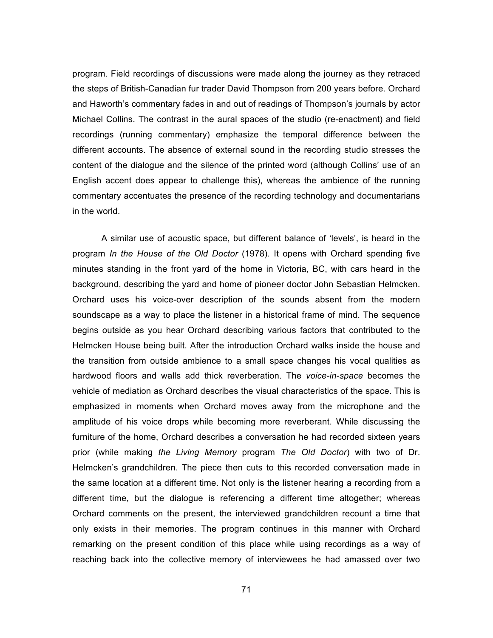program. Field recordings of discussions were made along the journey as they retraced the steps of British-Canadian fur trader David Thompson from 200 years before. Orchard and Haworth's commentary fades in and out of readings of Thompson's journals by actor Michael Collins. The contrast in the aural spaces of the studio (re-enactment) and field recordings (running commentary) emphasize the temporal difference between the different accounts. The absence of external sound in the recording studio stresses the content of the dialogue and the silence of the printed word (although Collins' use of an English accent does appear to challenge this), whereas the ambience of the running commentary accentuates the presence of the recording technology and documentarians in the world.

A similar use of acoustic space, but different balance of 'levels', is heard in the program *In the House of the Old Doctor* (1978). It opens with Orchard spending five minutes standing in the front yard of the home in Victoria, BC, with cars heard in the background, describing the yard and home of pioneer doctor John Sebastian Helmcken. Orchard uses his voice-over description of the sounds absent from the modern soundscape as a way to place the listener in a historical frame of mind. The sequence begins outside as you hear Orchard describing various factors that contributed to the Helmcken House being built. After the introduction Orchard walks inside the house and the transition from outside ambience to a small space changes his vocal qualities as hardwood floors and walls add thick reverberation. The *voice-in-space* becomes the vehicle of mediation as Orchard describes the visual characteristics of the space. This is emphasized in moments when Orchard moves away from the microphone and the amplitude of his voice drops while becoming more reverberant. While discussing the furniture of the home, Orchard describes a conversation he had recorded sixteen years prior (while making *the Living Memory* program *The Old Doctor*) with two of Dr. Helmcken's grandchildren. The piece then cuts to this recorded conversation made in the same location at a different time. Not only is the listener hearing a recording from a different time, but the dialogue is referencing a different time altogether; whereas Orchard comments on the present, the interviewed grandchildren recount a time that only exists in their memories. The program continues in this manner with Orchard remarking on the present condition of this place while using recordings as a way of reaching back into the collective memory of interviewees he had amassed over two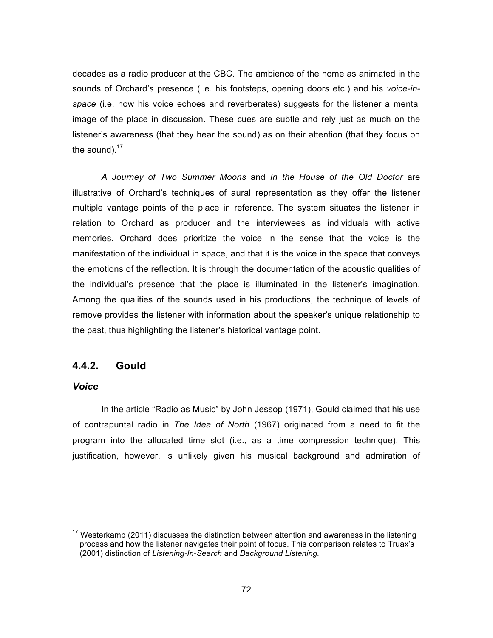decades as a radio producer at the CBC. The ambience of the home as animated in the sounds of Orchard's presence (i.e. his footsteps, opening doors etc.) and his *voice-inspace* (i.e. how his voice echoes and reverberates) suggests for the listener a mental image of the place in discussion. These cues are subtle and rely just as much on the listener's awareness (that they hear the sound) as on their attention (that they focus on the sound). $17$ 

*A Journey of Two Summer Moons* and *In the House of the Old Doctor* are illustrative of Orchard's techniques of aural representation as they offer the listener multiple vantage points of the place in reference. The system situates the listener in relation to Orchard as producer and the interviewees as individuals with active memories. Orchard does prioritize the voice in the sense that the voice is the manifestation of the individual in space, and that it is the voice in the space that conveys the emotions of the reflection. It is through the documentation of the acoustic qualities of the individual's presence that the place is illuminated in the listener's imagination. Among the qualities of the sounds used in his productions, the technique of levels of remove provides the listener with information about the speaker's unique relationship to the past, thus highlighting the listener's historical vantage point.

#### **4.4.2. Gould**

### *Voice*

In the article "Radio as Music" by John Jessop (1971), Gould claimed that his use of contrapuntal radio in *The Idea of North* (1967) originated from a need to fit the program into the allocated time slot (i.e., as a time compression technique). This justification, however, is unlikely given his musical background and admiration of

 $17$  Westerkamp (2011) discusses the distinction between attention and awareness in the listening process and how the listener navigates their point of focus. This comparison relates to Truax's (2001) distinction of *Listening-In-Search* and *Background Listening.*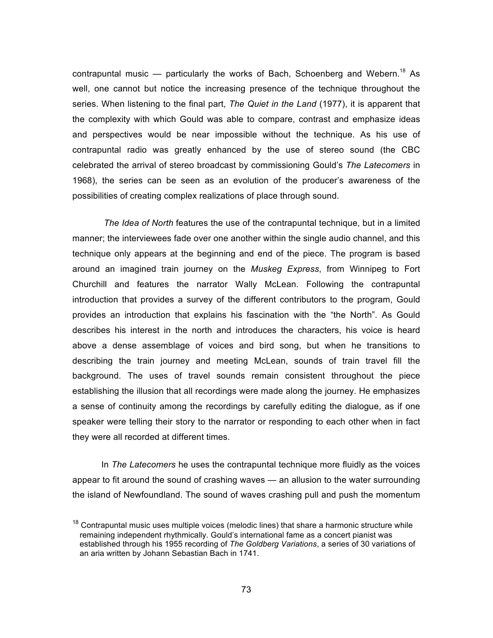contrapuntal music — particularly the works of Bach, Schoenberg and Webern.<sup>18</sup> As well, one cannot but notice the increasing presence of the technique throughout the series. When listening to the final part, *The Quiet in the Land* (1977), it is apparent that the complexity with which Gould was able to compare, contrast and emphasize ideas and perspectives would be near impossible without the technique. As his use of contrapuntal radio was greatly enhanced by the use of stereo sound (the CBC celebrated the arrival of stereo broadcast by commissioning Gould's *The Latecomers* in 1968), the series can be seen as an evolution of the producer's awareness of the possibilities of creating complex realizations of place through sound.

*The Idea of North* features the use of the contrapuntal technique, but in a limited manner; the interviewees fade over one another within the single audio channel, and this technique only appears at the beginning and end of the piece. The program is based around an imagined train journey on the *Muskeg Express*, from Winnipeg to Fort Churchill and features the narrator Wally McLean. Following the contrapuntal introduction that provides a survey of the different contributors to the program, Gould provides an introduction that explains his fascination with the "the North". As Gould describes his interest in the north and introduces the characters, his voice is heard above a dense assemblage of voices and bird song, but when he transitions to describing the train journey and meeting McLean, sounds of train travel fill the background. The uses of travel sounds remain consistent throughout the piece establishing the illusion that all recordings were made along the journey. He emphasizes a sense of continuity among the recordings by carefully editing the dialogue, as if one speaker were telling their story to the narrator or responding to each other when in fact they were all recorded at different times.

In *The Latecomers* he uses the contrapuntal technique more fluidly as the voices appear to fit around the sound of crashing waves — an allusion to the water surrounding the island of Newfoundland. The sound of waves crashing pull and push the momentum

 $18$  Contrapuntal music uses multiple voices (melodic lines) that share a harmonic structure while remaining independent rhythmically. Gould's international fame as a concert pianist was established through his 1955 recording of *The Goldberg Variations*, a series of 30 variations of an aria written by Johann Sebastian Bach in 1741.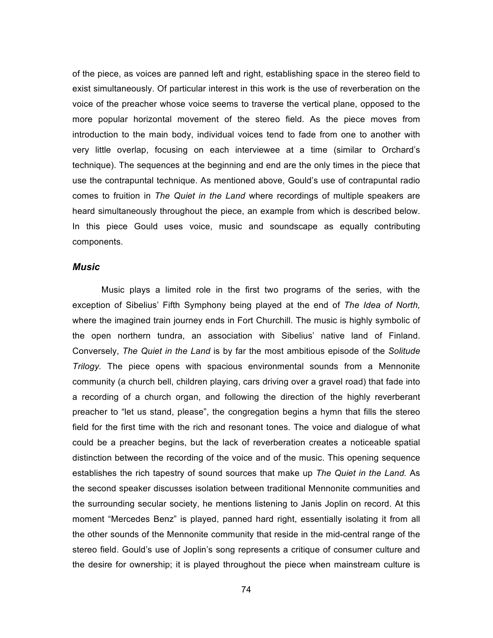of the piece, as voices are panned left and right, establishing space in the stereo field to exist simultaneously. Of particular interest in this work is the use of reverberation on the voice of the preacher whose voice seems to traverse the vertical plane, opposed to the more popular horizontal movement of the stereo field. As the piece moves from introduction to the main body, individual voices tend to fade from one to another with very little overlap, focusing on each interviewee at a time (similar to Orchard's technique). The sequences at the beginning and end are the only times in the piece that use the contrapuntal technique. As mentioned above, Gould's use of contrapuntal radio comes to fruition in *The Quiet in the Land* where recordings of multiple speakers are heard simultaneously throughout the piece, an example from which is described below. In this piece Gould uses voice, music and soundscape as equally contributing components.

#### *Music*

Music plays a limited role in the first two programs of the series, with the exception of Sibelius' Fifth Symphony being played at the end of *The Idea of North,*  where the imagined train journey ends in Fort Churchill. The music is highly symbolic of the open northern tundra, an association with Sibelius' native land of Finland. Conversely, *The Quiet in the Land* is by far the most ambitious episode of the *Solitude Trilogy.* The piece opens with spacious environmental sounds from a Mennonite community (a church bell, children playing, cars driving over a gravel road) that fade into a recording of a church organ, and following the direction of the highly reverberant preacher to "let us stand, please", the congregation begins a hymn that fills the stereo field for the first time with the rich and resonant tones. The voice and dialogue of what could be a preacher begins, but the lack of reverberation creates a noticeable spatial distinction between the recording of the voice and of the music. This opening sequence establishes the rich tapestry of sound sources that make up *The Quiet in the Land.* As the second speaker discusses isolation between traditional Mennonite communities and the surrounding secular society, he mentions listening to Janis Joplin on record. At this moment "Mercedes Benz" is played, panned hard right, essentially isolating it from all the other sounds of the Mennonite community that reside in the mid-central range of the stereo field. Gould's use of Joplin's song represents a critique of consumer culture and the desire for ownership; it is played throughout the piece when mainstream culture is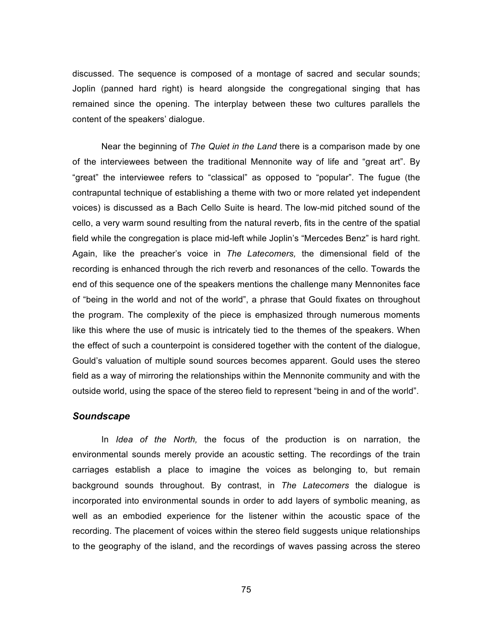discussed. The sequence is composed of a montage of sacred and secular sounds; Joplin (panned hard right) is heard alongside the congregational singing that has remained since the opening. The interplay between these two cultures parallels the content of the speakers' dialogue.

Near the beginning of *The Quiet in the Land* there is a comparison made by one of the interviewees between the traditional Mennonite way of life and "great art". By "great" the interviewee refers to "classical" as opposed to "popular". The fugue (the contrapuntal technique of establishing a theme with two or more related yet independent voices) is discussed as a Bach Cello Suite is heard. The low-mid pitched sound of the cello, a very warm sound resulting from the natural reverb, fits in the centre of the spatial field while the congregation is place mid-left while Joplin's "Mercedes Benz" is hard right. Again, like the preacher's voice in *The Latecomers,* the dimensional field of the recording is enhanced through the rich reverb and resonances of the cello. Towards the end of this sequence one of the speakers mentions the challenge many Mennonites face of "being in the world and not of the world", a phrase that Gould fixates on throughout the program. The complexity of the piece is emphasized through numerous moments like this where the use of music is intricately tied to the themes of the speakers. When the effect of such a counterpoint is considered together with the content of the dialogue, Gould's valuation of multiple sound sources becomes apparent. Gould uses the stereo field as a way of mirroring the relationships within the Mennonite community and with the outside world, using the space of the stereo field to represent "being in and of the world".

#### *Soundscape*

In *Idea of the North,* the focus of the production is on narration, the environmental sounds merely provide an acoustic setting. The recordings of the train carriages establish a place to imagine the voices as belonging to, but remain background sounds throughout. By contrast, in *The Latecomers* the dialogue is incorporated into environmental sounds in order to add layers of symbolic meaning, as well as an embodied experience for the listener within the acoustic space of the recording. The placement of voices within the stereo field suggests unique relationships to the geography of the island, and the recordings of waves passing across the stereo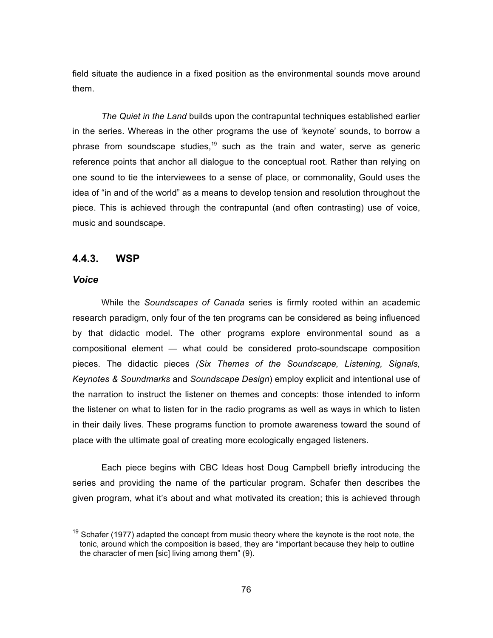field situate the audience in a fixed position as the environmental sounds move around them.

*The Quiet in the Land* builds upon the contrapuntal techniques established earlier in the series. Whereas in the other programs the use of 'keynote' sounds, to borrow a phrase from soundscape studies,<sup>19</sup> such as the train and water, serve as generic reference points that anchor all dialogue to the conceptual root. Rather than relying on one sound to tie the interviewees to a sense of place, or commonality, Gould uses the idea of "in and of the world" as a means to develop tension and resolution throughout the piece. This is achieved through the contrapuntal (and often contrasting) use of voice, music and soundscape.

#### **4.4.3. WSP**

## *Voice*

While the *Soundscapes of Canada* series is firmly rooted within an academic research paradigm, only four of the ten programs can be considered as being influenced by that didactic model. The other programs explore environmental sound as a compositional element — what could be considered proto-soundscape composition pieces. The didactic pieces *(Six Themes of the Soundscape, Listening, Signals, Keynotes & Soundmarks* and *Soundscape Design*) employ explicit and intentional use of the narration to instruct the listener on themes and concepts: those intended to inform the listener on what to listen for in the radio programs as well as ways in which to listen in their daily lives. These programs function to promote awareness toward the sound of place with the ultimate goal of creating more ecologically engaged listeners.

Each piece begins with CBC Ideas host Doug Campbell briefly introducing the series and providing the name of the particular program. Schafer then describes the given program, what it's about and what motivated its creation; this is achieved through

 $19$  Schafer (1977) adapted the concept from music theory where the keynote is the root note, the tonic, around which the composition is based, they are "important because they help to outline the character of men [sic] living among them" (9).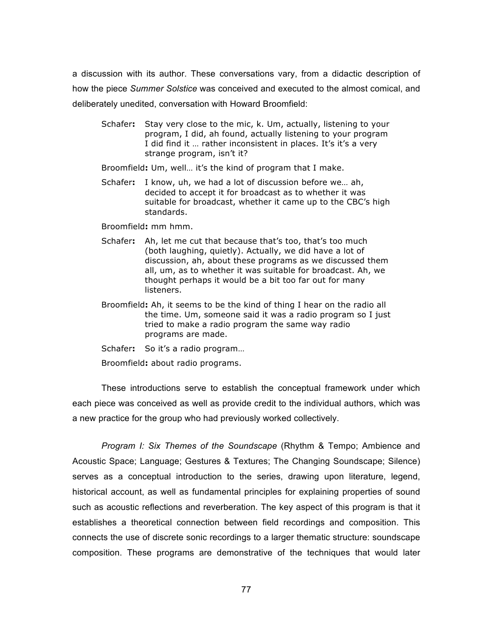a discussion with its author. These conversations vary, from a didactic description of how the piece *Summer Solstice* was conceived and executed to the almost comical, and deliberately unedited, conversation with Howard Broomfield:

Schafer**:** Stay very close to the mic, k. Um, actually, listening to your program, I did, ah found, actually listening to your program I did find it ... rather inconsistent in places. It's it's a very strange program, isn't it?

Broomfield**:** Um, well… it's the kind of program that I make.

Schafer**:** I know, uh, we had a lot of discussion before we… ah, decided to accept it for broadcast as to whether it was suitable for broadcast, whether it came up to the CBC's high standards.

Broomfield**:** mm hmm.

- Schafer**:** Ah, let me cut that because that's too, that's too much (both laughing, quietly). Actually, we did have a lot of discussion, ah, about these programs as we discussed them all, um, as to whether it was suitable for broadcast. Ah, we thought perhaps it would be a bit too far out for many listeners.
- Broomfield**:** Ah, it seems to be the kind of thing I hear on the radio all the time. Um, someone said it was a radio program so I just tried to make a radio program the same way radio programs are made.
- Schafer**:** So it's a radio program…

Broomfield**:** about radio programs.

These introductions serve to establish the conceptual framework under which each piece was conceived as well as provide credit to the individual authors, which was a new practice for the group who had previously worked collectively.

*Program I: Six Themes of the Soundscape* (Rhythm & Tempo; Ambience and Acoustic Space; Language; Gestures & Textures; The Changing Soundscape; Silence) serves as a conceptual introduction to the series, drawing upon literature, legend, historical account, as well as fundamental principles for explaining properties of sound such as acoustic reflections and reverberation. The key aspect of this program is that it establishes a theoretical connection between field recordings and composition. This connects the use of discrete sonic recordings to a larger thematic structure: soundscape composition. These programs are demonstrative of the techniques that would later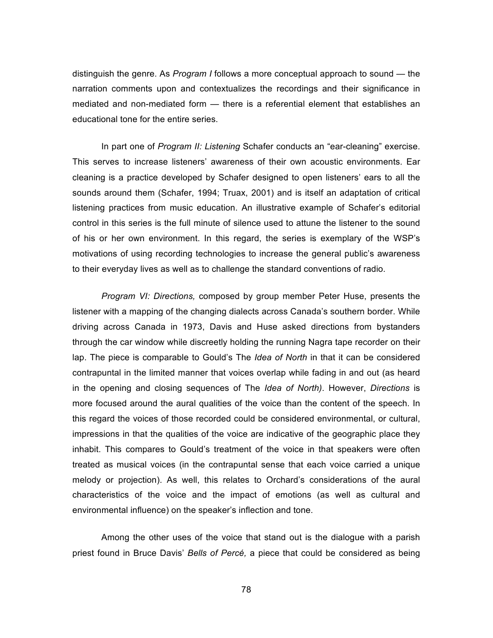distinguish the genre. As *Program I* follows a more conceptual approach to sound — the narration comments upon and contextualizes the recordings and their significance in mediated and non-mediated form — there is a referential element that establishes an educational tone for the entire series.

In part one of *Program II: Listening* Schafer conducts an "ear-cleaning" exercise. This serves to increase listeners' awareness of their own acoustic environments. Ear cleaning is a practice developed by Schafer designed to open listeners' ears to all the sounds around them (Schafer, 1994; Truax, 2001) and is itself an adaptation of critical listening practices from music education. An illustrative example of Schafer's editorial control in this series is the full minute of silence used to attune the listener to the sound of his or her own environment. In this regard, the series is exemplary of the WSP's motivations of using recording technologies to increase the general public's awareness to their everyday lives as well as to challenge the standard conventions of radio.

*Program VI: Directions,* composed by group member Peter Huse, presents the listener with a mapping of the changing dialects across Canada's southern border. While driving across Canada in 1973, Davis and Huse asked directions from bystanders through the car window while discreetly holding the running Nagra tape recorder on their lap. The piece is comparable to Gould's The *Idea of North* in that it can be considered contrapuntal in the limited manner that voices overlap while fading in and out (as heard in the opening and closing sequences of The *Idea of North)*. However, *Directions* is more focused around the aural qualities of the voice than the content of the speech. In this regard the voices of those recorded could be considered environmental, or cultural, impressions in that the qualities of the voice are indicative of the geographic place they inhabit. This compares to Gould's treatment of the voice in that speakers were often treated as musical voices (in the contrapuntal sense that each voice carried a unique melody or projection). As well, this relates to Orchard's considerations of the aural characteristics of the voice and the impact of emotions (as well as cultural and environmental influence) on the speaker's inflection and tone.

Among the other uses of the voice that stand out is the dialogue with a parish priest found in Bruce Davis' *Bells of Percé,* a piece that could be considered as being

78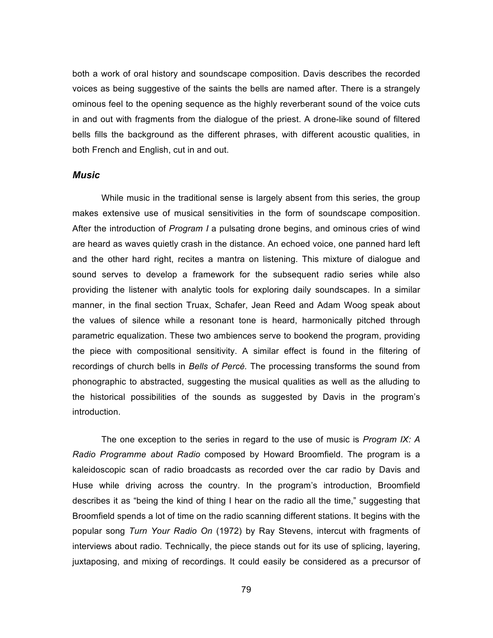both a work of oral history and soundscape composition. Davis describes the recorded voices as being suggestive of the saints the bells are named after. There is a strangely ominous feel to the opening sequence as the highly reverberant sound of the voice cuts in and out with fragments from the dialogue of the priest. A drone-like sound of filtered bells fills the background as the different phrases, with different acoustic qualities, in both French and English, cut in and out.

#### *Music*

While music in the traditional sense is largely absent from this series, the group makes extensive use of musical sensitivities in the form of soundscape composition. After the introduction of *Program I* a pulsating drone begins, and ominous cries of wind are heard as waves quietly crash in the distance. An echoed voice, one panned hard left and the other hard right, recites a mantra on listening. This mixture of dialogue and sound serves to develop a framework for the subsequent radio series while also providing the listener with analytic tools for exploring daily soundscapes. In a similar manner, in the final section Truax, Schafer, Jean Reed and Adam Woog speak about the values of silence while a resonant tone is heard, harmonically pitched through parametric equalization. These two ambiences serve to bookend the program, providing the piece with compositional sensitivity. A similar effect is found in the filtering of recordings of church bells in *Bells of Percé.* The processing transforms the sound from phonographic to abstracted, suggesting the musical qualities as well as the alluding to the historical possibilities of the sounds as suggested by Davis in the program's introduction.

The one exception to the series in regard to the use of music is *Program IX: A Radio Programme about Radio* composed by Howard Broomfield. The program is a kaleidoscopic scan of radio broadcasts as recorded over the car radio by Davis and Huse while driving across the country. In the program's introduction, Broomfield describes it as "being the kind of thing I hear on the radio all the time," suggesting that Broomfield spends a lot of time on the radio scanning different stations. It begins with the popular song *Turn Your Radio On* (1972) by Ray Stevens, intercut with fragments of interviews about radio. Technically, the piece stands out for its use of splicing, layering, juxtaposing, and mixing of recordings. It could easily be considered as a precursor of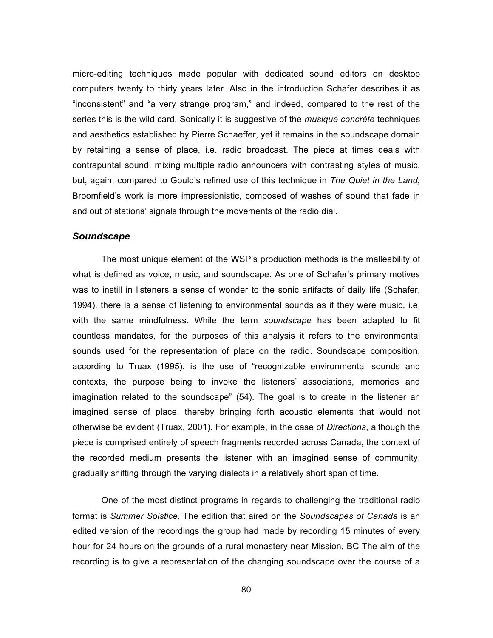micro-editing techniques made popular with dedicated sound editors on desktop computers twenty to thirty years later. Also in the introduction Schafer describes it as "inconsistent" and "a very strange program," and indeed, compared to the rest of the series this is the wild card. Sonically it is suggestive of the *musique concrète* techniques and aesthetics established by Pierre Schaeffer, yet it remains in the soundscape domain by retaining a sense of place, i.e. radio broadcast. The piece at times deals with contrapuntal sound, mixing multiple radio announcers with contrasting styles of music, but, again, compared to Gould's refined use of this technique in *The Quiet in the Land,*  Broomfield's work is more impressionistic, composed of washes of sound that fade in and out of stations' signals through the movements of the radio dial.

#### *Soundscape*

The most unique element of the WSP's production methods is the malleability of what is defined as voice, music, and soundscape. As one of Schafer's primary motives was to instill in listeners a sense of wonder to the sonic artifacts of daily life (Schafer, 1994), there is a sense of listening to environmental sounds as if they were music, i.e. with the same mindfulness. While the term *soundscape* has been adapted to fit countless mandates, for the purposes of this analysis it refers to the environmental sounds used for the representation of place on the radio. Soundscape composition, according to Truax (1995), is the use of "recognizable environmental sounds and contexts, the purpose being to invoke the listeners' associations, memories and imagination related to the soundscape" (54). The goal is to create in the listener an imagined sense of place, thereby bringing forth acoustic elements that would not otherwise be evident (Truax, 2001). For example, in the case of *Directions*, although the piece is comprised entirely of speech fragments recorded across Canada, the context of the recorded medium presents the listener with an imagined sense of community, gradually shifting through the varying dialects in a relatively short span of time.

One of the most distinct programs in regards to challenging the traditional radio format is *Summer Solstice.* The edition that aired on the *Soundscapes of Canada* is an edited version of the recordings the group had made by recording 15 minutes of every hour for 24 hours on the grounds of a rural monastery near Mission, BC The aim of the recording is to give a representation of the changing soundscape over the course of a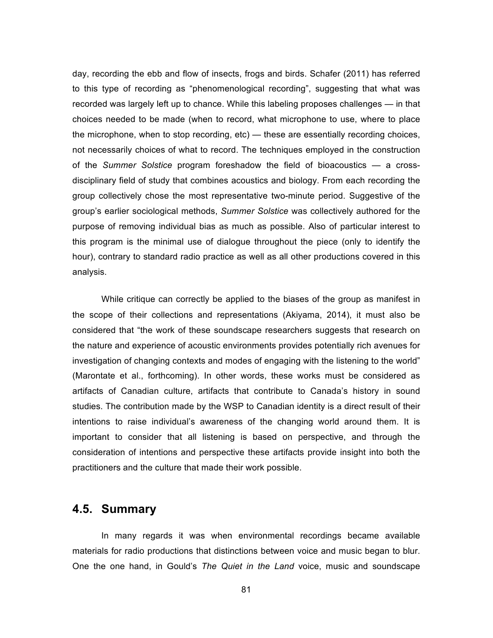day, recording the ebb and flow of insects, frogs and birds. Schafer (2011) has referred to this type of recording as "phenomenological recording", suggesting that what was recorded was largely left up to chance. While this labeling proposes challenges — in that choices needed to be made (when to record, what microphone to use, where to place the microphone, when to stop recording, etc) — these are essentially recording choices, not necessarily choices of what to record. The techniques employed in the construction of the *Summer Solstice* program foreshadow the field of bioacoustics — a crossdisciplinary field of study that combines acoustics and biology. From each recording the group collectively chose the most representative two-minute period. Suggestive of the group's earlier sociological methods, *Summer Solstice* was collectively authored for the purpose of removing individual bias as much as possible. Also of particular interest to this program is the minimal use of dialogue throughout the piece (only to identify the hour), contrary to standard radio practice as well as all other productions covered in this analysis.

While critique can correctly be applied to the biases of the group as manifest in the scope of their collections and representations (Akiyama, 2014), it must also be considered that "the work of these soundscape researchers suggests that research on the nature and experience of acoustic environments provides potentially rich avenues for investigation of changing contexts and modes of engaging with the listening to the world" (Marontate et al., forthcoming). In other words, these works must be considered as artifacts of Canadian culture, artifacts that contribute to Canada's history in sound studies. The contribution made by the WSP to Canadian identity is a direct result of their intentions to raise individual's awareness of the changing world around them. It is important to consider that all listening is based on perspective, and through the consideration of intentions and perspective these artifacts provide insight into both the practitioners and the culture that made their work possible.

# **4.5. Summary**

In many regards it was when environmental recordings became available materials for radio productions that distinctions between voice and music began to blur. One the one hand, in Gould's *The Quiet in the Land* voice, music and soundscape

81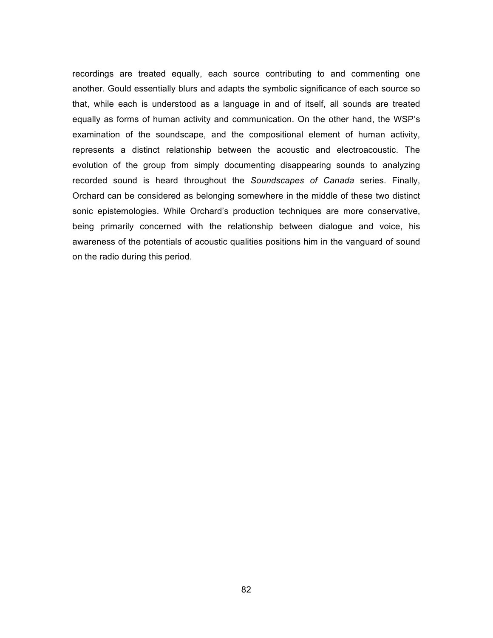recordings are treated equally, each source contributing to and commenting one another. Gould essentially blurs and adapts the symbolic significance of each source so that, while each is understood as a language in and of itself, all sounds are treated equally as forms of human activity and communication. On the other hand, the WSP's examination of the soundscape, and the compositional element of human activity, represents a distinct relationship between the acoustic and electroacoustic. The evolution of the group from simply documenting disappearing sounds to analyzing recorded sound is heard throughout the *Soundscapes of Canada* series. Finally, Orchard can be considered as belonging somewhere in the middle of these two distinct sonic epistemologies. While Orchard's production techniques are more conservative, being primarily concerned with the relationship between dialogue and voice, his awareness of the potentials of acoustic qualities positions him in the vanguard of sound on the radio during this period.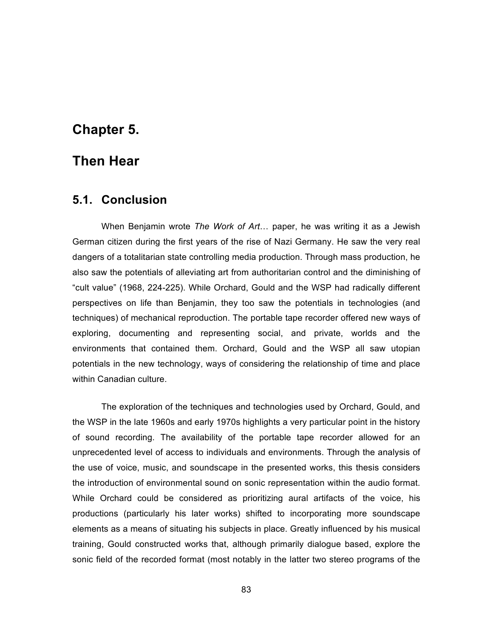# **Chapter 5.**

# **Then Hear**

# **5.1. Conclusion**

When Benjamin wrote *The Work of Art*! paper, he was writing it as a Jewish German citizen during the first years of the rise of Nazi Germany. He saw the very real dangers of a totalitarian state controlling media production. Through mass production, he also saw the potentials of alleviating art from authoritarian control and the diminishing of "cult value" (1968, 224-225). While Orchard, Gould and the WSP had radically different perspectives on life than Benjamin, they too saw the potentials in technologies (and techniques) of mechanical reproduction. The portable tape recorder offered new ways of exploring, documenting and representing social, and private, worlds and the environments that contained them. Orchard, Gould and the WSP all saw utopian potentials in the new technology, ways of considering the relationship of time and place within Canadian culture.

The exploration of the techniques and technologies used by Orchard, Gould, and the WSP in the late 1960s and early 1970s highlights a very particular point in the history of sound recording. The availability of the portable tape recorder allowed for an unprecedented level of access to individuals and environments. Through the analysis of the use of voice, music, and soundscape in the presented works, this thesis considers the introduction of environmental sound on sonic representation within the audio format. While Orchard could be considered as prioritizing aural artifacts of the voice, his productions (particularly his later works) shifted to incorporating more soundscape elements as a means of situating his subjects in place. Greatly influenced by his musical training, Gould constructed works that, although primarily dialogue based, explore the sonic field of the recorded format (most notably in the latter two stereo programs of the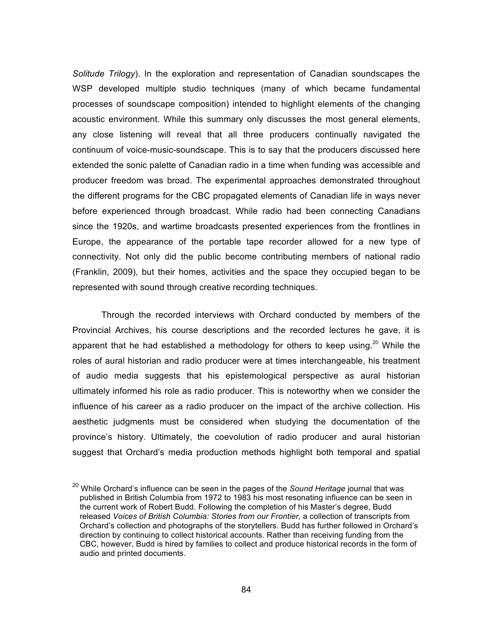*Solitude Trilogy*). In the exploration and representation of Canadian soundscapes the WSP developed multiple studio techniques (many of which became fundamental processes of soundscape composition) intended to highlight elements of the changing acoustic environment. While this summary only discusses the most general elements, any close listening will reveal that all three producers continually navigated the continuum of voice-music-soundscape. This is to say that the producers discussed here extended the sonic palette of Canadian radio in a time when funding was accessible and producer freedom was broad. The experimental approaches demonstrated throughout the different programs for the CBC propagated elements of Canadian life in ways never before experienced through broadcast. While radio had been connecting Canadians since the 1920s, and wartime broadcasts presented experiences from the frontlines in Europe, the appearance of the portable tape recorder allowed for a new type of connectivity. Not only did the public become contributing members of national radio (Franklin, 2009), but their homes, activities and the space they occupied began to be represented with sound through creative recording techniques.

Through the recorded interviews with Orchard conducted by members of the Provincial Archives, his course descriptions and the recorded lectures he gave, it is apparent that he had established a methodology for others to keep using.<sup>20</sup> While the roles of aural historian and radio producer were at times interchangeable, his treatment of audio media suggests that his epistemological perspective as aural historian ultimately informed his role as radio producer. This is noteworthy when we consider the influence of his career as a radio producer on the impact of the archive collection. His aesthetic judgments must be considered when studying the documentation of the province's history. Ultimately, the coevolution of radio producer and aural historian suggest that Orchard's media production methods highlight both temporal and spatial

<sup>20</sup> While Orchard's influence can be seen in the pages of the *Sound Heritage* journal that was published in British Columbia from 1972 to 1983 his most resonating influence can be seen in the current work of Robert Budd. Following the completion of his Master's degree, Budd released *Voices of British Columbia: Stories from our Frontier,* a collection of transcripts from Orchard's collection and photographs of the storytellers. Budd has further followed in Orchard's direction by continuing to collect historical accounts. Rather than receiving funding from the CBC, however, Budd is hired by families to collect and produce historical records in the form of audio and printed documents.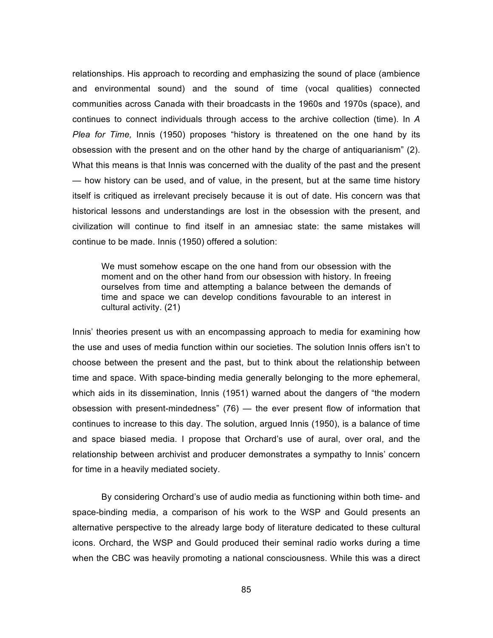relationships. His approach to recording and emphasizing the sound of place (ambience and environmental sound) and the sound of time (vocal qualities) connected communities across Canada with their broadcasts in the 1960s and 1970s (space), and continues to connect individuals through access to the archive collection (time). In *A Plea for Time,* Innis (1950) proposes "history is threatened on the one hand by its obsession with the present and on the other hand by the charge of antiquarianism" (2). What this means is that Innis was concerned with the duality of the past and the present — how history can be used, and of value, in the present, but at the same time history itself is critiqued as irrelevant precisely because it is out of date. His concern was that historical lessons and understandings are lost in the obsession with the present, and civilization will continue to find itself in an amnesiac state: the same mistakes will continue to be made. Innis (1950) offered a solution:

We must somehow escape on the one hand from our obsession with the moment and on the other hand from our obsession with history. In freeing ourselves from time and attempting a balance between the demands of time and space we can develop conditions favourable to an interest in cultural activity. (21)

Innis' theories present us with an encompassing approach to media for examining how the use and uses of media function within our societies. The solution Innis offers isn't to choose between the present and the past, but to think about the relationship between time and space. With space-binding media generally belonging to the more ephemeral, which aids in its dissemination, Innis (1951) warned about the dangers of "the modern obsession with present-mindedness" (76) — the ever present flow of information that continues to increase to this day. The solution, argued Innis (1950), is a balance of time and space biased media. I propose that Orchard's use of aural, over oral, and the relationship between archivist and producer demonstrates a sympathy to Innis' concern for time in a heavily mediated society.

By considering Orchard's use of audio media as functioning within both time- and space-binding media, a comparison of his work to the WSP and Gould presents an alternative perspective to the already large body of literature dedicated to these cultural icons. Orchard, the WSP and Gould produced their seminal radio works during a time when the CBC was heavily promoting a national consciousness. While this was a direct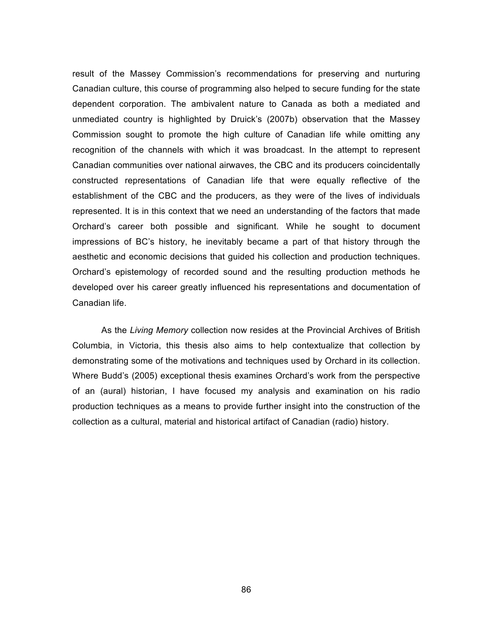result of the Massey Commission's recommendations for preserving and nurturing Canadian culture, this course of programming also helped to secure funding for the state dependent corporation. The ambivalent nature to Canada as both a mediated and unmediated country is highlighted by Druick's (2007b) observation that the Massey Commission sought to promote the high culture of Canadian life while omitting any recognition of the channels with which it was broadcast. In the attempt to represent Canadian communities over national airwaves, the CBC and its producers coincidentally constructed representations of Canadian life that were equally reflective of the establishment of the CBC and the producers, as they were of the lives of individuals represented. It is in this context that we need an understanding of the factors that made Orchard's career both possible and significant. While he sought to document impressions of BC's history, he inevitably became a part of that history through the aesthetic and economic decisions that guided his collection and production techniques. Orchard's epistemology of recorded sound and the resulting production methods he developed over his career greatly influenced his representations and documentation of Canadian life.

As the *Living Memory* collection now resides at the Provincial Archives of British Columbia, in Victoria, this thesis also aims to help contextualize that collection by demonstrating some of the motivations and techniques used by Orchard in its collection. Where Budd's (2005) exceptional thesis examines Orchard's work from the perspective of an (aural) historian, I have focused my analysis and examination on his radio production techniques as a means to provide further insight into the construction of the collection as a cultural, material and historical artifact of Canadian (radio) history.

86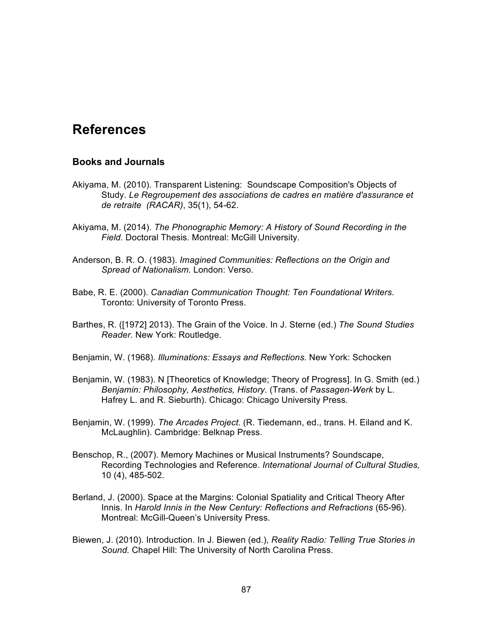# **References**

#### **Books and Journals**

- Akiyama, M. (2010). Transparent Listening: Soundscape Composition's Objects of Study. *Le Regroupement des associations de cadres en matière d'assurance et de retraite (RACAR)*, 35(1), 54-62.
- Akiyama, M. (2014). *The Phonographic Memory: A History of Sound Recording in the Field.* Doctoral Thesis. Montreal: McGill University.
- Anderson, B. R. O. (1983). *Imagined Communities: Reflections on the Origin and Spread of Nationalism.* London: Verso.
- Babe, R. E. (2000). *Canadian Communication Thought: Ten Foundational Writers.* Toronto: University of Toronto Press.
- Barthes, R. ([1972] 2013). The Grain of the Voice. In J. Sterne (ed.) *The Sound Studies Reader.* New York: Routledge.
- Benjamin, W. (1968). *Illuminations: Essays and Reflections.* New York: Schocken
- Benjamin, W. (1983). N [Theoretics of Knowledge; Theory of Progress]. In G. Smith (ed*.*) *Benjamin: Philosophy, Aesthetics, History*. (Trans. of *Passagen-Werk* by L. Hafrey L. and R. Sieburth). Chicago: Chicago University Press.
- Benjamin, W. (1999). *The Arcades Project.* (R. Tiedemann, ed., trans. H. Eiland and K. McLaughlin). Cambridge: Belknap Press.
- Benschop, R., (2007). Memory Machines or Musical Instruments? Soundscape, Recording Technologies and Reference. *International Journal of Cultural Studies,* 10 (4), 485-502.
- Berland, J. (2000). Space at the Margins: Colonial Spatiality and Critical Theory After Innis. In *Harold Innis in the New Century: Reflections and Refractions* (65-96). Montreal: McGill-Queen's University Press.
- Biewen, J. (2010). Introduction. In J. Biewen (ed.), *Reality Radio: Telling True Stories in Sound.* Chapel Hill: The University of North Carolina Press.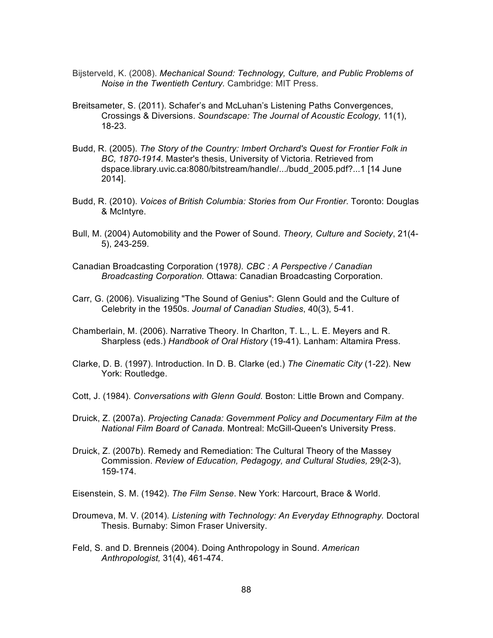- Bijsterveld, K. (2008). *Mechanical Sound: Technology, Culture, and Public Problems of Noise in the Twentieth Century.* Cambridge: MIT Press.
- Breitsameter, S. (2011). Schafer's and McLuhan's Listening Paths Convergences, Crossings & Diversions. *Soundscape: The Journal of Acoustic Ecology,* 11(1), 18-23.
- Budd, R. (2005). *The Story of the Country: Imbert Orchard's Quest for Frontier Folk in BC, 1870-1914.* Master's thesis, University of Victoria. Retrieved from dspace.library.uvic.ca:8080/bitstream/handle/.../budd\_2005.pdf?...1 [14 June 2014].
- Budd, R. (2010). *Voices of British Columbia: Stories from Our Frontier*. Toronto: Douglas & McIntyre.
- Bull, M. (2004) Automobility and the Power of Sound*. Theory, Culture and Society*, 21(4- 5), 243-259.
- Canadian Broadcasting Corporation (1978*). CBC : A Perspective / Canadian Broadcasting Corporation.* Ottawa: Canadian Broadcasting Corporation.
- Carr, G. (2006). Visualizing "The Sound of Genius": Glenn Gould and the Culture of Celebrity in the 1950s. *Journal of Canadian Studies*, 40(3), 5-41.
- Chamberlain, M. (2006). Narrative Theory. In Charlton, T. L., L. E. Meyers and R. Sharpless (eds.) *Handbook of Oral History* (19-41). Lanham: Altamira Press.
- Clarke, D. B. (1997). Introduction. In D. B. Clarke (ed.) *The Cinematic City* (1-22). New York: Routledge.
- Cott, J. (1984). *Conversations with Glenn Gould.* Boston: Little Brown and Company.
- Druick, Z. (2007a). *Projecting Canada: Government Policy and Documentary Film at the National Film Board of Canada.* Montreal: McGill-Queen's University Press.
- Druick, Z. (2007b). Remedy and Remediation: The Cultural Theory of the Massey Commission. *Review of Education, Pedagogy, and Cultural Studies,* 29(2-3), 159-174.

Eisenstein, S. M. (1942). *The Film Sense*. New York: Harcourt, Brace & World.

- Droumeva, M. V. (2014). *Listening with Technology: An Everyday Ethnography.* Doctoral Thesis. Burnaby: Simon Fraser University.
- Feld, S. and D. Brenneis (2004). Doing Anthropology in Sound. *American Anthropologist,* 31(4), 461-474.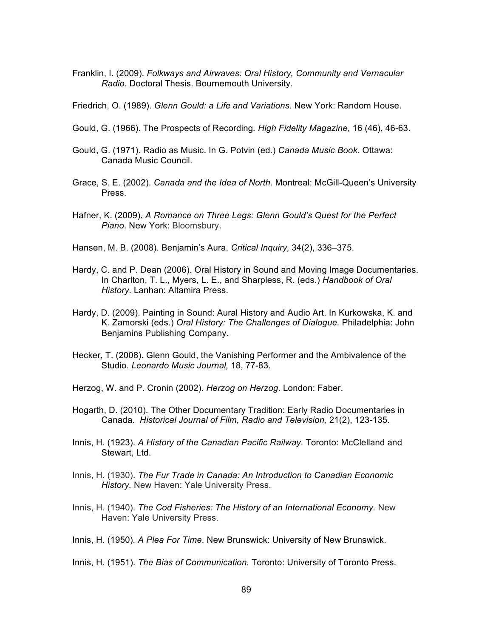Franklin, I. (2009). *Folkways and Airwaves: Oral History, Community and Vernacular Radio.* Doctoral Thesis. Bournemouth University.

Friedrich, O. (1989). *Glenn Gould: a Life and Variations.* New York: Random House.

- Gould, G. (1966). The Prospects of Recording*. High Fidelity Magazine*, 16 (46), 46-63.
- Gould, G. (1971). Radio as Music. In G. Potvin (ed.) *Canada Music Book.* Ottawa: Canada Music Council.
- Grace, S. E. (2002). *Canada and the Idea of North.* Montreal: McGill-Queen's University Press.
- Hafner, K. (2009). *A Romance on Three Legs: Glenn Gould's Quest for the Perfect Piano*. New York: Bloomsbury.
- Hansen, M. B. (2008). Benjamin's Aura. *Critical Inquiry,* 34(2), 336–375.
- Hardy, C. and P. Dean (2006). Oral History in Sound and Moving Image Documentaries. In Charlton, T. L., Myers, L. E., and Sharpless, R. (eds.) *Handbook of Oral History*. Lanhan: Altamira Press.
- Hardy, D. (2009). Painting in Sound: Aural History and Audio Art. In Kurkowska, K. and K. Zamorski (eds.) *Oral History: The Challenges of Dialogue.* Philadelphia: John Benjamins Publishing Company.
- Hecker, T. (2008). Glenn Gould, the Vanishing Performer and the Ambivalence of the Studio. *Leonardo Music Journal,* 18, 77-83.
- Herzog, W. and P. Cronin (2002). *Herzog on Herzog*. London: Faber.
- Hogarth, D. (2010). The Other Documentary Tradition: Early Radio Documentaries in Canada. *Historical Journal of Film, Radio and Television,* 21(2), 123-135.
- Innis, H. (1923). *A History of the Canadian Pacific Railway*. Toronto: McClelland and Stewart, Ltd.
- Innis, H. (1930). *The Fur Trade in Canada: An Introduction to Canadian Economic History.* New Haven: Yale University Press.
- Innis, H. (1940). *The Cod Fisheries: The History of an International Economy.* New Haven: Yale University Press.
- Innis, H. (1950)*. A Plea For Time.* New Brunswick: University of New Brunswick.
- Innis, H. (1951). *The Bias of Communication.* Toronto: University of Toronto Press.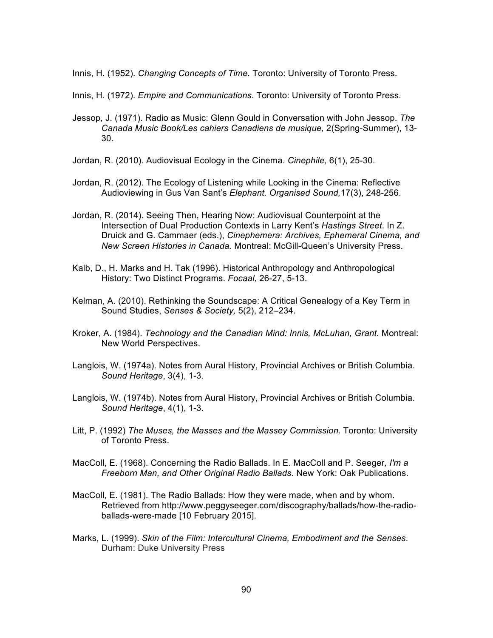Innis, H. (1952). *Changing Concepts of Time.* Toronto: University of Toronto Press.

- Innis, H. (1972). *Empire and Communications.* Toronto: University of Toronto Press.
- Jessop, J. (1971). Radio as Music: Glenn Gould in Conversation with John Jessop. *The Canada Music Book/Les cahiers Canadiens de musique,* 2(Spring-Summer), 13- 30.
- Jordan, R. (2010). Audiovisual Ecology in the Cinema. *Cinephile,* 6(1), 25-30.
- Jordan, R. (2012). The Ecology of Listening while Looking in the Cinema: Reflective Audioviewing in Gus Van Sant's *Elephant. Organised Sound,*17(3), 248-256.
- Jordan, R. (2014). Seeing Then, Hearing Now: Audiovisual Counterpoint at the Intersection of Dual Production Contexts in Larry Kent's *Hastings Street*. In Z. Druick and G. Cammaer (eds.), *Cinephemera: Archives, Ephemeral Cinema, and New Screen Histories in Canada.* Montreal: McGill-Queen's University Press.
- Kalb, D., H. Marks and H. Tak (1996). Historical Anthropology and Anthropological History: Two Distinct Programs. *Focaal,* 26-27, 5-13.
- Kelman, A. (2010). Rethinking the Soundscape: A Critical Genealogy of a Key Term in Sound Studies, *Senses & Society,* 5(2), 212–234.
- Kroker, A. (1984). *Technology and the Canadian Mind: Innis, McLuhan, Grant.* Montreal: New World Perspectives.
- Langlois, W. (1974a). Notes from Aural History, Provincial Archives or British Columbia. *Sound Heritage*, 3(4), 1-3.
- Langlois, W. (1974b). Notes from Aural History, Provincial Archives or British Columbia. *Sound Heritage*, 4(1), 1-3.
- Litt, P. (1992) *The Muses, the Masses and the Massey Commission*. Toronto: University of Toronto Press.
- MacColl, E. (1968). Concerning the Radio Ballads. In E. MacColl and P. Seeger*, I'm a Freeborn Man, and Other Original Radio Ballads*. New York: Oak Publications.
- MacColl, E. (1981). The Radio Ballads: How they were made, when and by whom. Retrieved from http://www.peggyseeger.com/discography/ballads/how-the-radioballads-were-made [10 February 2015].
- Marks, L. (1999). *Skin of the Film: Intercultural Cinema, Embodiment and the Senses*. Durham: Duke University Press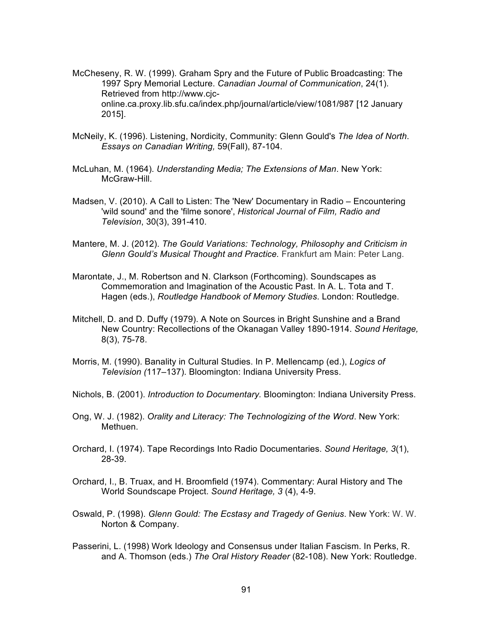- McCheseny, R. W. (1999). Graham Spry and the Future of Public Broadcasting: The 1997 Spry Memorial Lecture. *Canadian Journal of Communication*, 24(1). Retrieved from http://www.cjconline.ca.proxy.lib.sfu.ca/index.php/journal/article/view/1081/987 [12 January 2015].
- McNeily, K. (1996). Listening, Nordicity, Community: Glenn Gould's *The Idea of North*. *Essays on Canadian Writing,* 59(Fall), 87-104.
- McLuhan, M. (1964). *Understanding Media; The Extensions of Man*. New York: McGraw-Hill.
- Madsen, V. (2010). A Call to Listen: The 'New' Documentary in Radio Encountering 'wild sound' and the 'filme sonore', *Historical Journal of Film, Radio and Television*, 30(3), 391-410.
- Mantere, M. J. (2012). *The Gould Variations: Technology, Philosophy and Criticism in Glenn Gould's Musical Thought and Practice.* Frankfurt am Main: Peter Lang.
- Marontate, J., M. Robertson and N. Clarkson (Forthcoming). Soundscapes as Commemoration and Imagination of the Acoustic Past. In A. L. Tota and T. Hagen (eds.), *Routledge Handbook of Memory Studies*. London: Routledge.
- Mitchell, D. and D. Duffy (1979). A Note on Sources in Bright Sunshine and a Brand New Country: Recollections of the Okanagan Valley 1890-1914. *Sound Heritage,* 8(3), 75-78.
- Morris, M. (1990). Banality in Cultural Studies. In P. Mellencamp (ed.), *Logics of Television (*117–137). Bloomington: Indiana University Press.
- Nichols, B. (2001). *Introduction to Documentary.* Bloomington: Indiana University Press.
- Ong, W. J. (1982). *Orality and Literacy: The Technologizing of the Word*. New York: Methuen.
- Orchard, I. (1974). Tape Recordings Into Radio Documentaries. *Sound Heritage, 3*(1), 28-39.
- Orchard, I., B. Truax, and H. Broomfield (1974). Commentary: Aural History and The World Soundscape Project. *Sound Heritage, 3* (4), 4-9.
- Oswald, P. (1998). *Glenn Gould: The Ecstasy and Tragedy of Genius*. New York: W. W. Norton & Company.
- Passerini, L. (1998) Work Ideology and Consensus under Italian Fascism. In Perks, R. and A. Thomson (eds.) *The Oral History Reader* (82-108). New York: Routledge.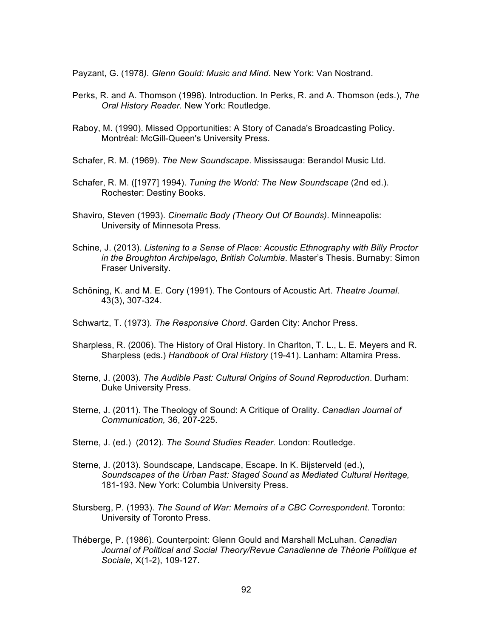Payzant, G. (1978*). Glenn Gould: Music and Mind*. New York: Van Nostrand.

- Perks, R. and A. Thomson (1998). Introduction. In Perks, R. and A. Thomson (eds.), *The Oral History Reader.* New York: Routledge.
- Raboy, M. (1990). Missed Opportunities: A Story of Canada's Broadcasting Policy. Montréal: McGill-Queen's University Press.
- Schafer, R. M. (1969). *The New Soundscape*. Mississauga: Berandol Music Ltd.
- Schafer, R. M. ([1977] 1994). *Tuning the World: The New Soundscape* (2nd ed.). Rochester: Destiny Books.
- Shaviro, Steven (1993). *Cinematic Body (Theory Out Of Bounds)*. Minneapolis: University of Minnesota Press.
- Schine, J. (2013). *Listening to a Sense of Place: Acoustic Ethnography with Billy Proctor in the Broughton Archipelago, British Columbia*. Master's Thesis. Burnaby: Simon Fraser University.
- Schöning, K. and M. E. Cory (1991). The Contours of Acoustic Art. *Theatre Journal*. 43(3), 307-324.

Schwartz, T. (1973). *The Responsive Chord*. Garden City: Anchor Press.

- Sharpless, R. (2006). The History of Oral History. In Charlton, T. L., L. E. Meyers and R. Sharpless (eds.) *Handbook of Oral History* (19-41). Lanham: Altamira Press.
- Sterne, J. (2003). *The Audible Past: Cultural Origins of Sound Reproduction*. Durham: Duke University Press.
- Sterne, J. (2011). The Theology of Sound: A Critique of Orality. *Canadian Journal of Communication,* 36, 207-225.
- Sterne, J. (ed.) (2012). *The Sound Studies Reader.* London: Routledge.
- Sterne, J. (2013). Soundscape, Landscape, Escape. In K. Bijsterveld (ed.), *Soundscapes of the Urban Past: Staged Sound as Mediated Cultural Heritage,* 181-193. New York: Columbia University Press.
- Stursberg, P. (1993). *The Sound of War: Memoirs of a CBC Correspondent*. Toronto: University of Toronto Press.
- Théberge, P. (1986). Counterpoint: Glenn Gould and Marshall McLuhan. *Canadian Journal of Political and Social Theory/Revue Canadienne de Thèorie Politique et Sociale*, X(1-2), 109-127.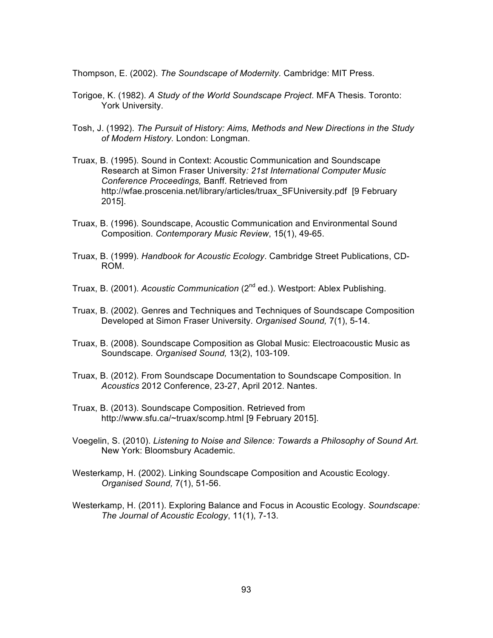Thompson, E. (2002). *The Soundscape of Modernity.* Cambridge: MIT Press.

- Torigoe, K. (1982). *A Study of the World Soundscape Project*. MFA Thesis. Toronto: York University.
- Tosh, J. (1992). *The Pursuit of History: Aims, Methods and New Directions in the Study of Modern History.* London: Longman.
- Truax, B. (1995). Sound in Context: Acoustic Communication and Soundscape Research at Simon Fraser University*: 21st International Computer Music Conference Proceedings,* Banff. Retrieved from http://wfae.proscenia.net/library/articles/truax\_SFUniversity.pdf [9 February 2015].
- Truax, B. (1996). Soundscape, Acoustic Communication and Environmental Sound Composition. *Contemporary Music Review*, 15(1), 49-65.
- Truax, B. (1999). *Handbook for Acoustic Ecology*. Cambridge Street Publications, CD-ROM.
- Truax, B. (2001). *Acoustic Communication* (2nd ed.). Westport: Ablex Publishing.
- Truax, B. (2002). Genres and Techniques and Techniques of Soundscape Composition Developed at Simon Fraser University. *Organised Sound,* 7(1), 5-14.
- Truax, B. (2008). Soundscape Composition as Global Music: Electroacoustic Music as Soundscape. *Organised Sound,* 13(2), 103-109.
- Truax, B. (2012). From Soundscape Documentation to Soundscape Composition. In *Acoustics* 2012 Conference, 23-27, April 2012. Nantes.
- Truax, B. (2013). Soundscape Composition. Retrieved from http://www.sfu.ca/~truax/scomp.html [9 February 2015].
- Voegelin, S. (2010). *Listening to Noise and Silence: Towards a Philosophy of Sound Art.*  New York: Bloomsbury Academic.
- Westerkamp, H. (2002). Linking Soundscape Composition and Acoustic Ecology. *Organised Sound,* 7(1), 51-56.
- Westerkamp, H. (2011). Exploring Balance and Focus in Acoustic Ecology. *Soundscape: The Journal of Acoustic Ecology*, 11(1), 7-13.